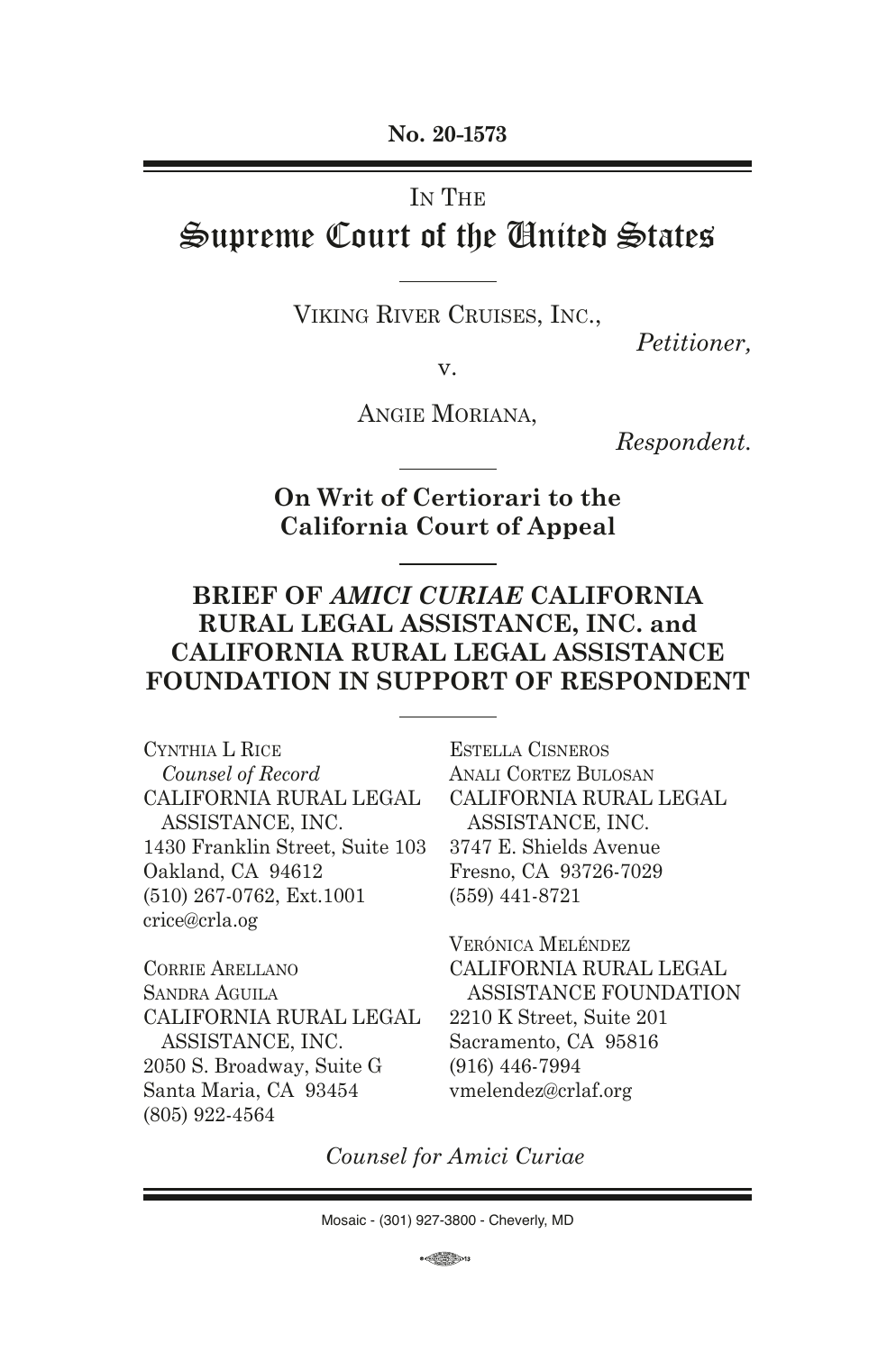**No. 20-1573**

### IN THE

# Supreme Court of the United States

Viking River Cruises, Inc.,

*Petitioner,*

v.

Angie Moriana,

*Respondent.*

**On Writ of Certiorari to the California Court of Appeal**

## **BRIEF OF** *AMICI CURIAE* **CALIFORNIA RURAL LEGAL ASSISTANCE, INC. and CALIFORNIA RURAL LEGAL ASSISTANCE FOUNDATION IN SUPPORT OF RESPONDENT**

Cynthia L Rice *Counsel of Record* CALIFORNIA RURAL LEGAL ASSISTANCE, INC. 1430 Franklin Street, Suite 103 Oakland, CA 94612 (510) 267-0762, Ext.1001 crice@crla.og

Corrie Arellano Sandra Aguila CALIFORNIA RURAL LEGAL ASSISTANCE, INC. 2050 S. Broadway, Suite G Santa Maria, CA 93454 (805) 922-4564

Estella Cisneros Anali Cortez Bulosan CALIFORNIA RURAL LEGAL ASSISTANCE, INC. 3747 E. Shields Avenue Fresno, CA 93726-7029 (559) 441-8721

Verónica Meléndez CALIFORNIA RURAL LEGAL ASSISTANCE FOUNDATION 2210 K Street, Suite 201 Sacramento, CA 95816 (916) 446-7994 vmelendez@crlaf.org

*Counsel for Amici Curiae*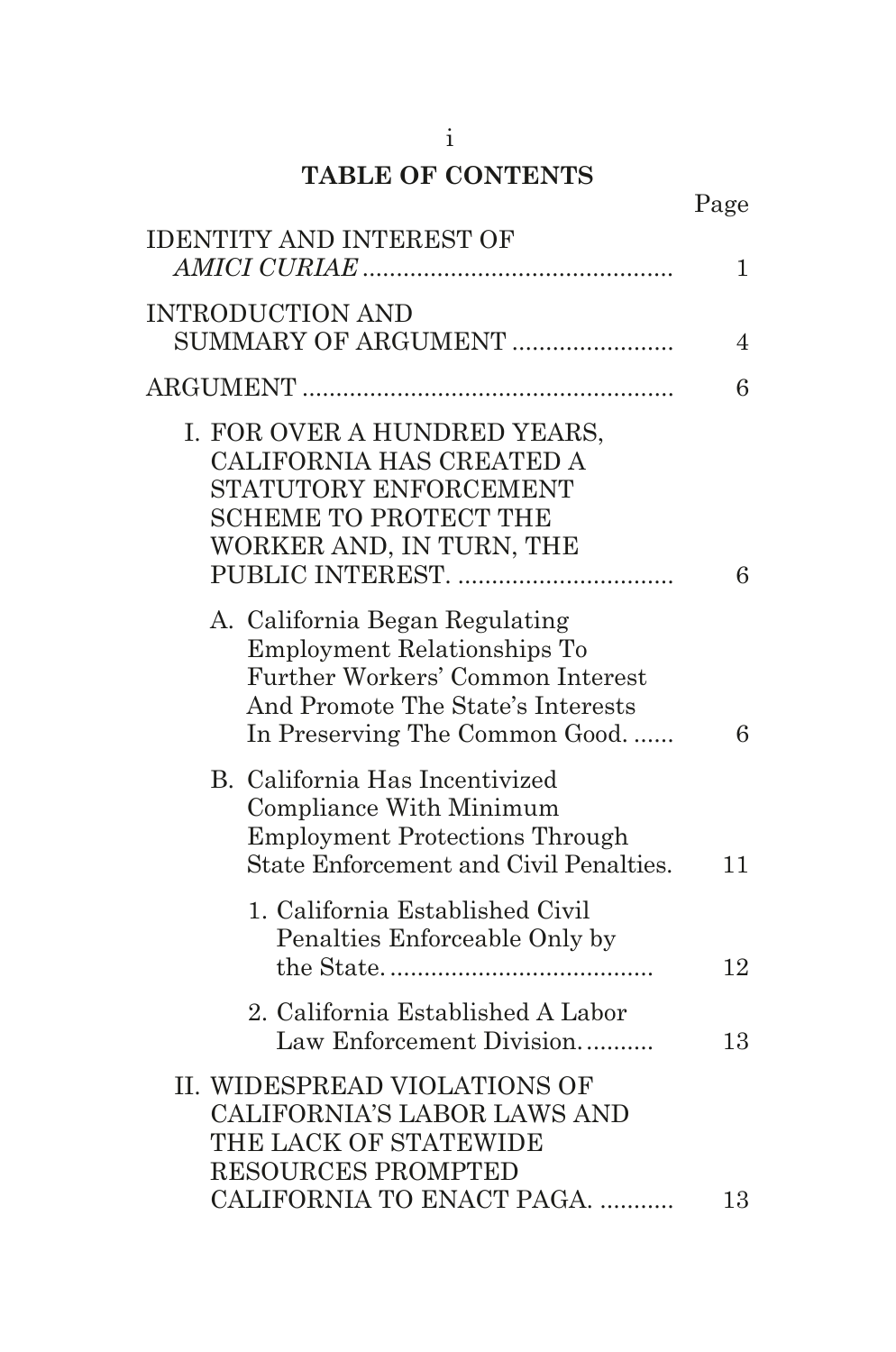## **TABLE OF CONTENTS**

|                                                                                                                                                                                | Page           |
|--------------------------------------------------------------------------------------------------------------------------------------------------------------------------------|----------------|
| <b>IDENTITY AND INTEREST OF</b>                                                                                                                                                | $\mathbf{1}$   |
| <b>INTRODUCTION AND</b><br>SUMMARY OF ARGUMENT                                                                                                                                 | $\overline{4}$ |
|                                                                                                                                                                                | 6              |
| I. FOR OVER A HUNDRED YEARS,<br>CALIFORNIA HAS CREATED A<br>STATUTORY ENFORCEMENT<br><b>SCHEME TO PROTECT THE</b><br>WORKER AND, IN TURN, THE                                  | 6              |
| A. California Began Regulating<br><b>Employment Relationships To</b><br>Further Workers' Common Interest<br>And Promote The State's Interests<br>In Preserving The Common Good | 6              |
| B. California Has Incentivized<br>Compliance With Minimum<br><b>Employment Protections Through</b><br>State Enforcement and Civil Penalties.                                   | 11             |
| 1. California Established Civil<br>Penalties Enforceable Only by                                                                                                               | 12             |
| 2. California Established A Labor<br>Law Enforcement Division                                                                                                                  | 13             |
| II. WIDESPREAD VIOLATIONS OF<br><b>CALIFORNIA'S LABOR LAWS AND</b><br>THE LACK OF STATEWIDE<br><b>RESOURCES PROMPTED</b>                                                       |                |
| CALIFORNIA TO ENACT PAGA.                                                                                                                                                      | 13             |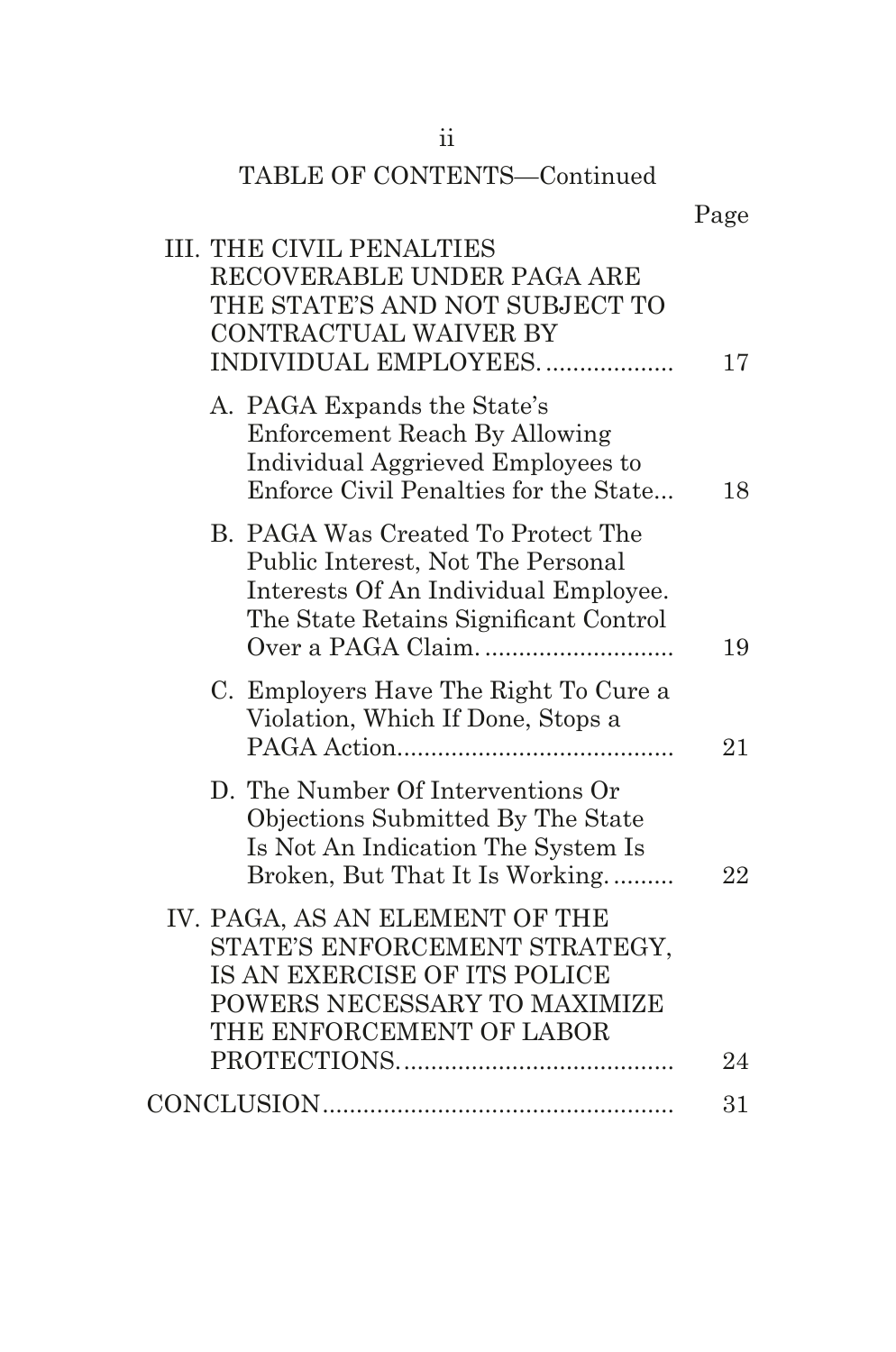| TABLE OF CONTENTS-Continued                                                                                                                                 |      |
|-------------------------------------------------------------------------------------------------------------------------------------------------------------|------|
|                                                                                                                                                             | Page |
| <b>III. THE CIVIL PENALTIES</b><br>RECOVERABLE UNDER PAGA ARE<br>THE STATE'S AND NOT SUBJECT TO<br>CONTRACTUAL WAIVER BY<br>INDIVIDUAL EMPLOYEES            | 17   |
| A. PAGA Expands the State's<br>Enforcement Reach By Allowing<br>Individual Aggrieved Employees to<br>Enforce Civil Penalties for the State                  | 18   |
| B. PAGA Was Created To Protect The<br>Public Interest, Not The Personal<br>Interests Of An Individual Employee.<br>The State Retains Significant Control    | 19   |
| C. Employers Have The Right To Cure a<br>Violation, Which If Done, Stops a                                                                                  | 21   |
| D. The Number Of Interventions Or<br>Objections Submitted By The State<br>Is Not An Indication The System Is<br>Broken, But That It Is Working              | 22   |
| IV. PAGA, AS AN ELEMENT OF THE<br>STATE'S ENFORCEMENT STRATEGY,<br>IS AN EXERCISE OF ITS POLICE<br>POWERS NECESSARY TO MAXIMIZE<br>THE ENFORCEMENT OF LABOR |      |
|                                                                                                                                                             | 24   |
|                                                                                                                                                             | 31   |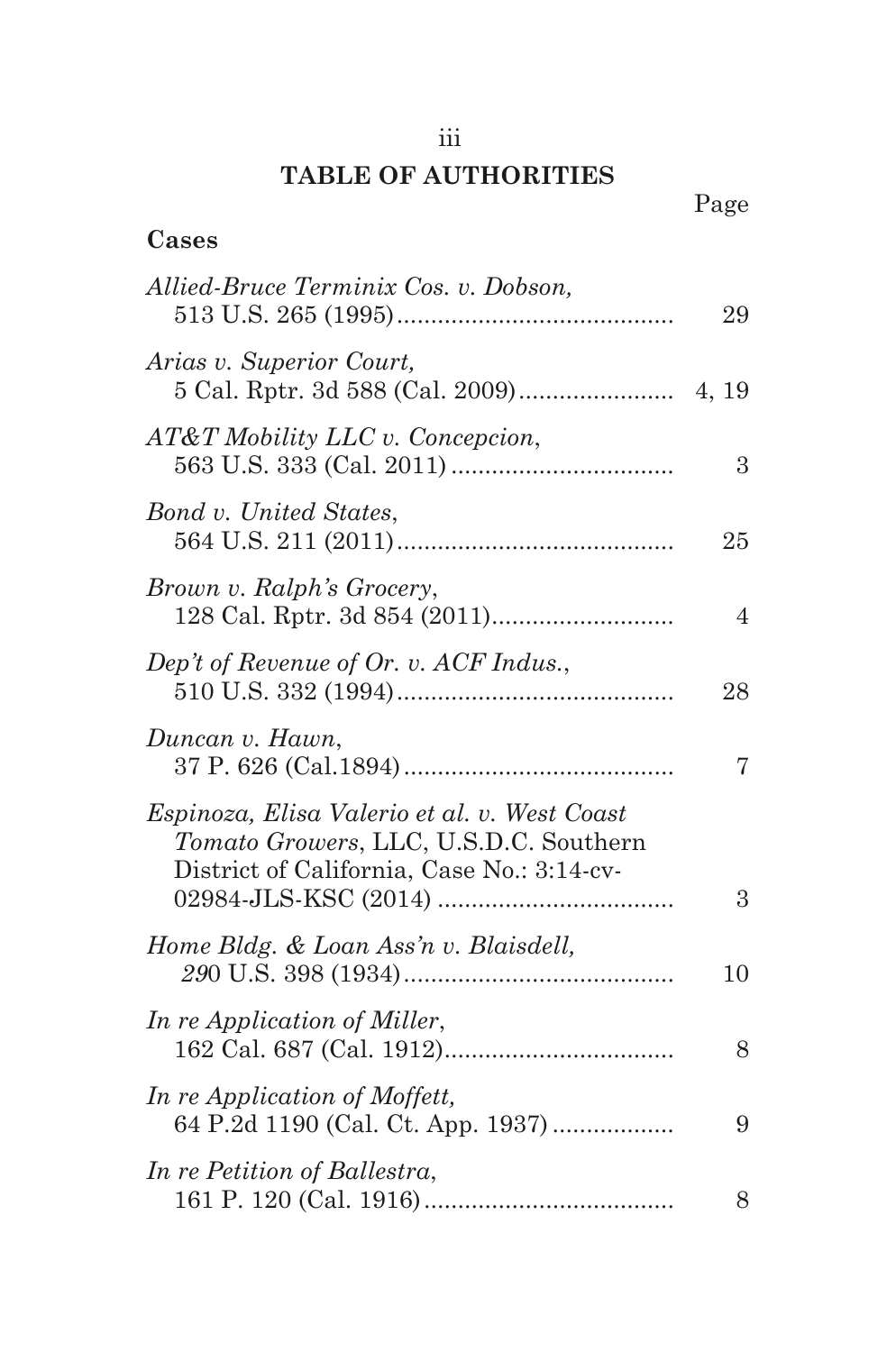## iii

## **TABLE OF AUTHORITIES**

**Cases**

| Allied-Bruce Terminix Cos. v. Dobson,                                                                                                | 29             |
|--------------------------------------------------------------------------------------------------------------------------------------|----------------|
| Arias v. Superior Court,                                                                                                             |                |
| AT&T Mobility LLC v. Concepcion,                                                                                                     | 3              |
| Bond v. United States,                                                                                                               | 25             |
| Brown v. Ralph's Grocery,                                                                                                            | $\overline{4}$ |
| Dep't of Revenue of Or. v. ACF Indus.,                                                                                               | 28             |
| Duncan v. Hawn,                                                                                                                      | 7              |
| Espinoza, Elisa Valerio et al. v. West Coast<br>Tomato Growers, LLC, U.S.D.C. Southern<br>District of California, Case No.: 3:14-cv- | 3              |
| Home Bldg. & Loan Ass'n v. Blaisdell,                                                                                                | 10             |
| In re Application of Miller,                                                                                                         | 8              |
| In re Application of Moffett,<br>64 P.2d 1190 (Cal. Ct. App. 1937)                                                                   | 9              |
| In re Petition of Ballestra,                                                                                                         | 8              |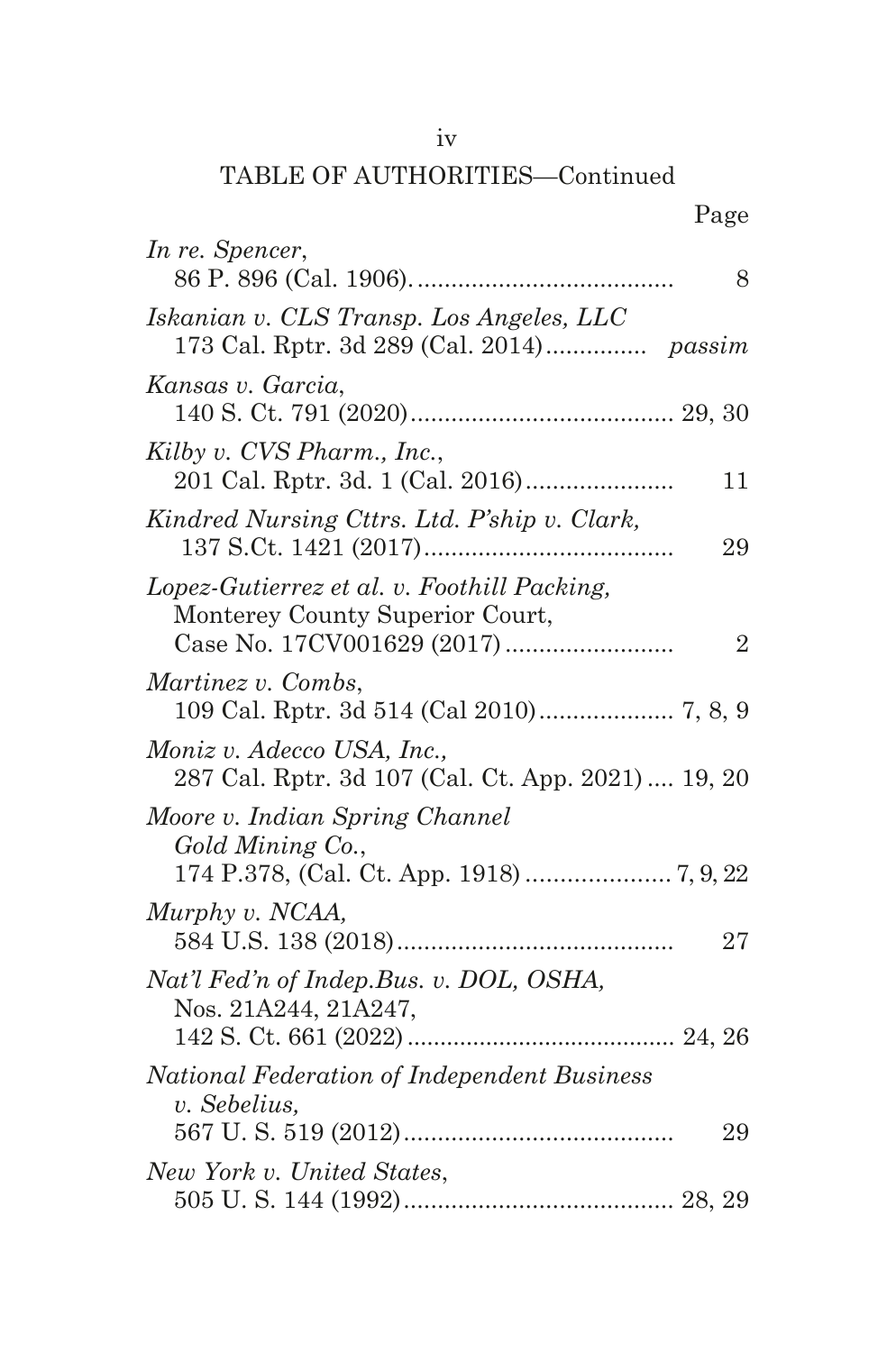## iv

## TABLE OF AUTHORITIES—Continued

## Page

| In re. Spencer,                                                                  | 8              |
|----------------------------------------------------------------------------------|----------------|
| Iskanian v. CLS Transp. Los Angeles, LLC                                         |                |
| Kansas v. Garcia,                                                                |                |
| Kilby v. CVS Pharm., Inc.,                                                       | 11             |
| Kindred Nursing Cttrs. Ltd. P'ship v. Clark,                                     | 29             |
| Lopez-Gutierrez et al. v. Foothill Packing,<br>Monterey County Superior Court,   | $\overline{2}$ |
| Martinez v. Combs,                                                               |                |
| Moniz v. Adecco USA, Inc.,<br>287 Cal. Rptr. 3d 107 (Cal. Ct. App. 2021)  19, 20 |                |
| Moore v. Indian Spring Channel<br>Gold Mining Co.,                               |                |
| Murphy v. NCAA,                                                                  | 27             |
| Nat'l Fed'n of Indep.Bus. v. DOL, OSHA,<br>Nos. 21A244, 21A247,                  |                |
| <b>National Federation of Independent Business</b><br>v. Sebelius,               |                |
| New York v. United States,                                                       | 29             |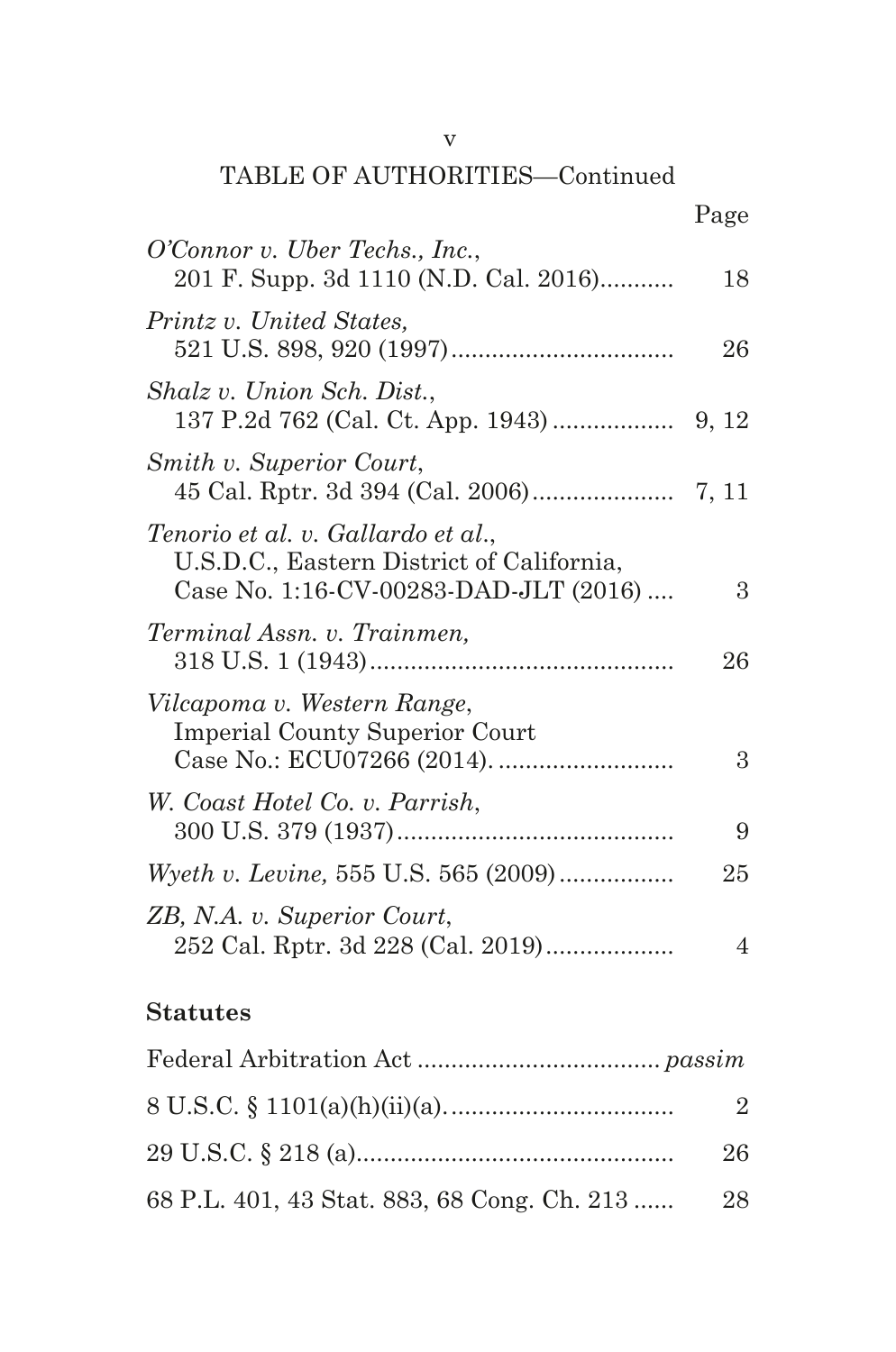#### v

## TABLE OF AUTHORITIES—Continued

|                                                                                                                          | Page |
|--------------------------------------------------------------------------------------------------------------------------|------|
| O'Connor v. Uber Techs., Inc.,<br>201 F. Supp. 3d 1110 (N.D. Cal. 2016)                                                  | 18   |
| Printz v. United States,                                                                                                 | 26   |
| Shalz v. Union Sch. Dist.,                                                                                               |      |
| Smith v. Superior Court,                                                                                                 |      |
| Tenorio et al. v. Gallardo et al.,<br>U.S.D.C., Eastern District of California,<br>Case No. 1:16-CV-00283-DAD-JLT (2016) | 3    |
| Terminal Assn. v. Trainmen,                                                                                              | 26   |
| Vilcapoma v. Western Range,<br><b>Imperial County Superior Court</b>                                                     | 3    |
| W. Coast Hotel Co. v. Parrish,                                                                                           | 9    |
| <i>Wyeth v. Levine, 555 U.S. 565 (2009)</i>                                                                              | 25   |
| ZB, N.A. v. Superior Court,<br>252 Cal. Rptr. 3d 228 (Cal. 2019)                                                         | 4    |

## **Statutes**

|                                                 | $\mathfrak{D}$ |
|-------------------------------------------------|----------------|
|                                                 | 26             |
| 68 P.L. 401, 43 Stat. 883, 68 Cong. Ch. 213  28 |                |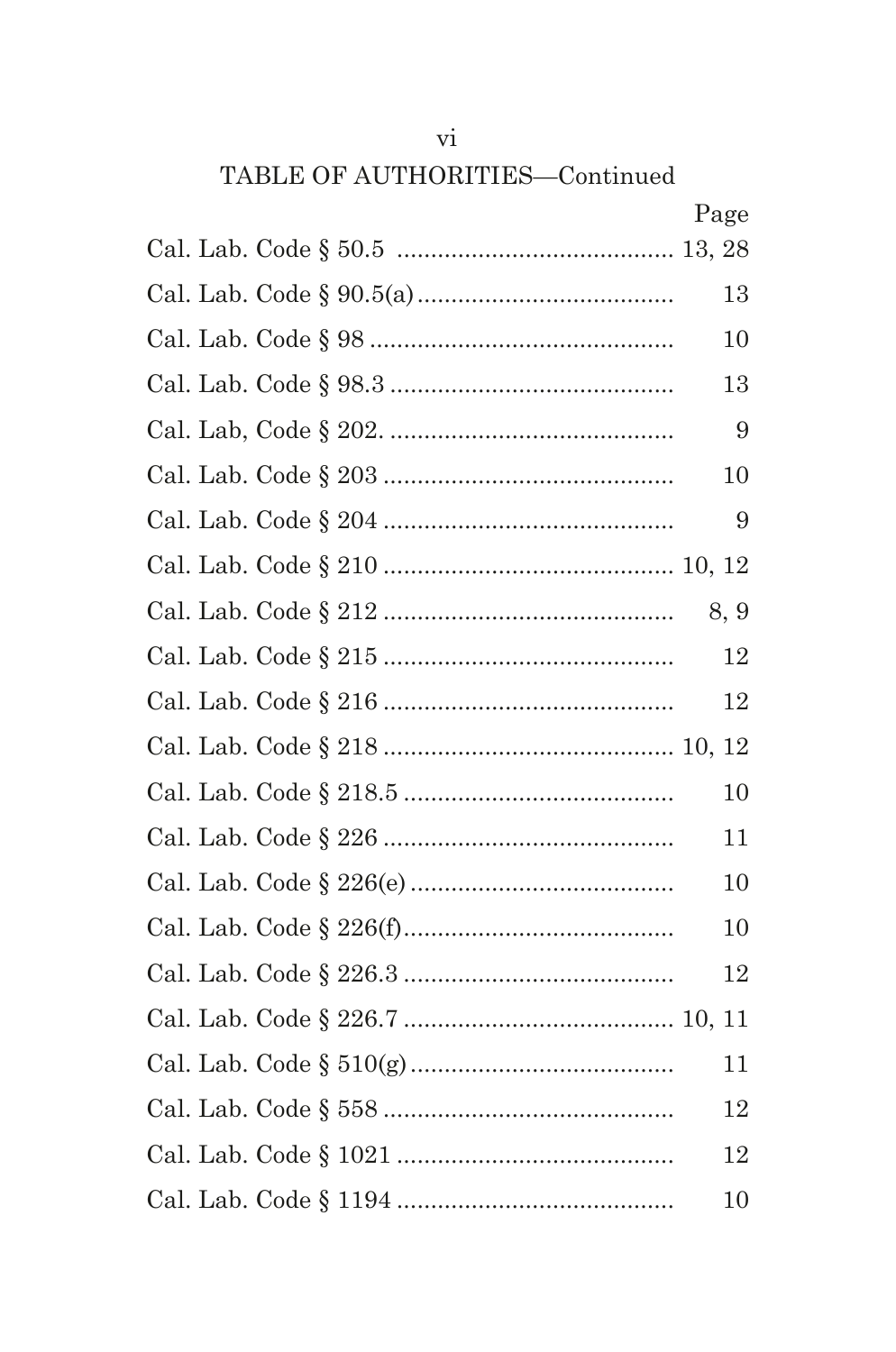## TABLE OF AUTHORITIES-Continued

| Page |
|------|
|      |
| 13   |
| 10   |
| 13   |
| 9    |
| 10   |
| 9    |
|      |
| 8, 9 |
| 12   |
| 12   |
|      |
| 10   |
| 11   |
| 10   |
| 10   |
| 12   |
|      |
| 11   |
| 12   |
| 12   |
| 10   |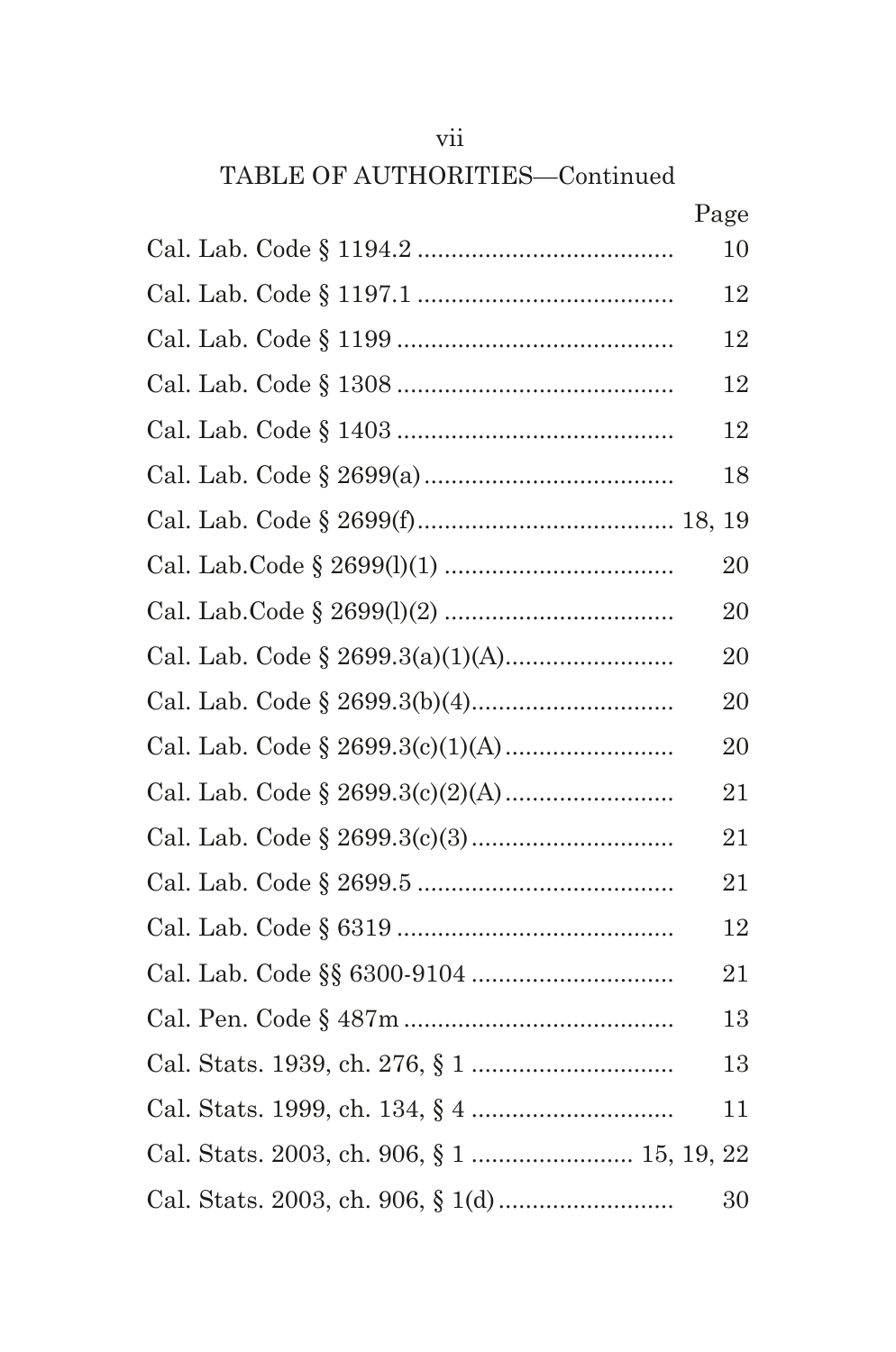## TABLE OF AUTHORITIES—Continued

|                                            | Page |
|--------------------------------------------|------|
|                                            | 10   |
|                                            | 12   |
|                                            | 12   |
|                                            | 12   |
|                                            | 12   |
|                                            | 18   |
|                                            |      |
|                                            | 20   |
|                                            | 20   |
|                                            | 20   |
|                                            | 20   |
|                                            | 20   |
|                                            | 21   |
|                                            | 21   |
|                                            | 21   |
|                                            | 12   |
|                                            | 21   |
|                                            | 13   |
|                                            | 13   |
|                                            | 11   |
| Cal. Stats. 2003, ch. 906, § 1  15, 19, 22 |      |
|                                            | 30   |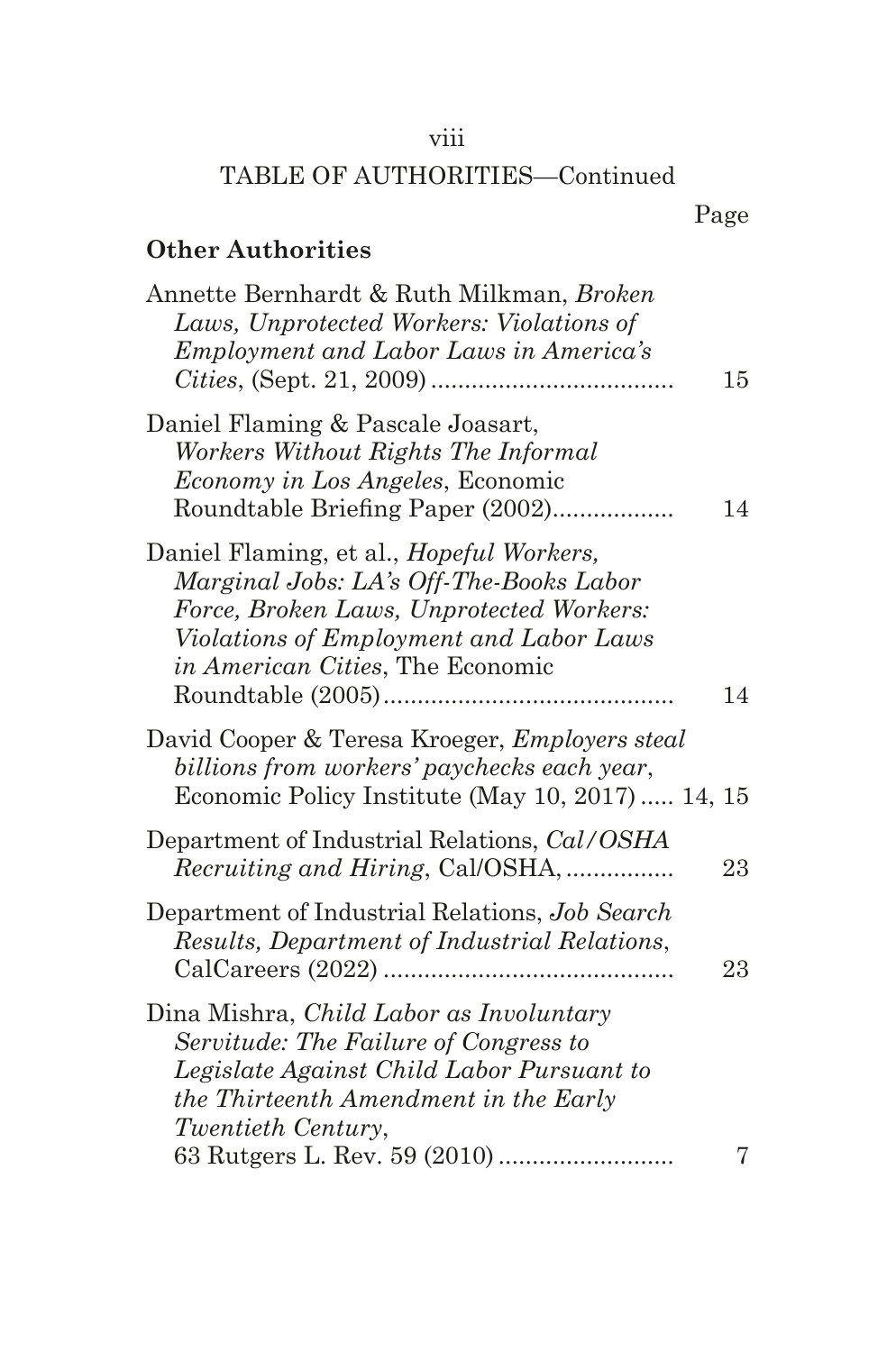## viii

## TABLE OF AUTHORITIES—Continued

## **Other Authorities**

| Annette Bernhardt & Ruth Milkman, Broken<br>Laws, Unprotected Workers: Violations of<br><i>Employment and Labor Laws in America's</i>                                                                          | 15 |
|----------------------------------------------------------------------------------------------------------------------------------------------------------------------------------------------------------------|----|
| Daniel Flaming & Pascale Joasart,<br>Workers Without Rights The Informal<br>Economy in Los Angeles, Economic<br>Roundtable Briefing Paper (2002)                                                               | 14 |
| Daniel Flaming, et al., Hopeful Workers,<br>Marginal Jobs: LA's Off-The-Books Labor<br>Force, Broken Laws, Unprotected Workers:<br>Violations of Employment and Labor Laws<br>in American Cities, The Economic | 14 |
| David Cooper & Teresa Kroeger, Employers steal<br>billions from workers' paychecks each year,<br>Economic Policy Institute (May 10, 2017)  14, 15                                                              |    |
| Department of Industrial Relations, Cal/OSHA<br><i>Recruiting and Hiring, Cal/OSHA, </i>                                                                                                                       | 23 |
| Department of Industrial Relations, Job Search<br>Results, Department of Industrial Relations,                                                                                                                 | 23 |
| Dina Mishra, <i>Child Labor as Involuntary</i><br>Servitude: The Failure of Congress to<br>Legislate Against Child Labor Pursuant to<br>the Thirteenth Amendment in the Early<br>Twentieth Century,            |    |
|                                                                                                                                                                                                                | 7  |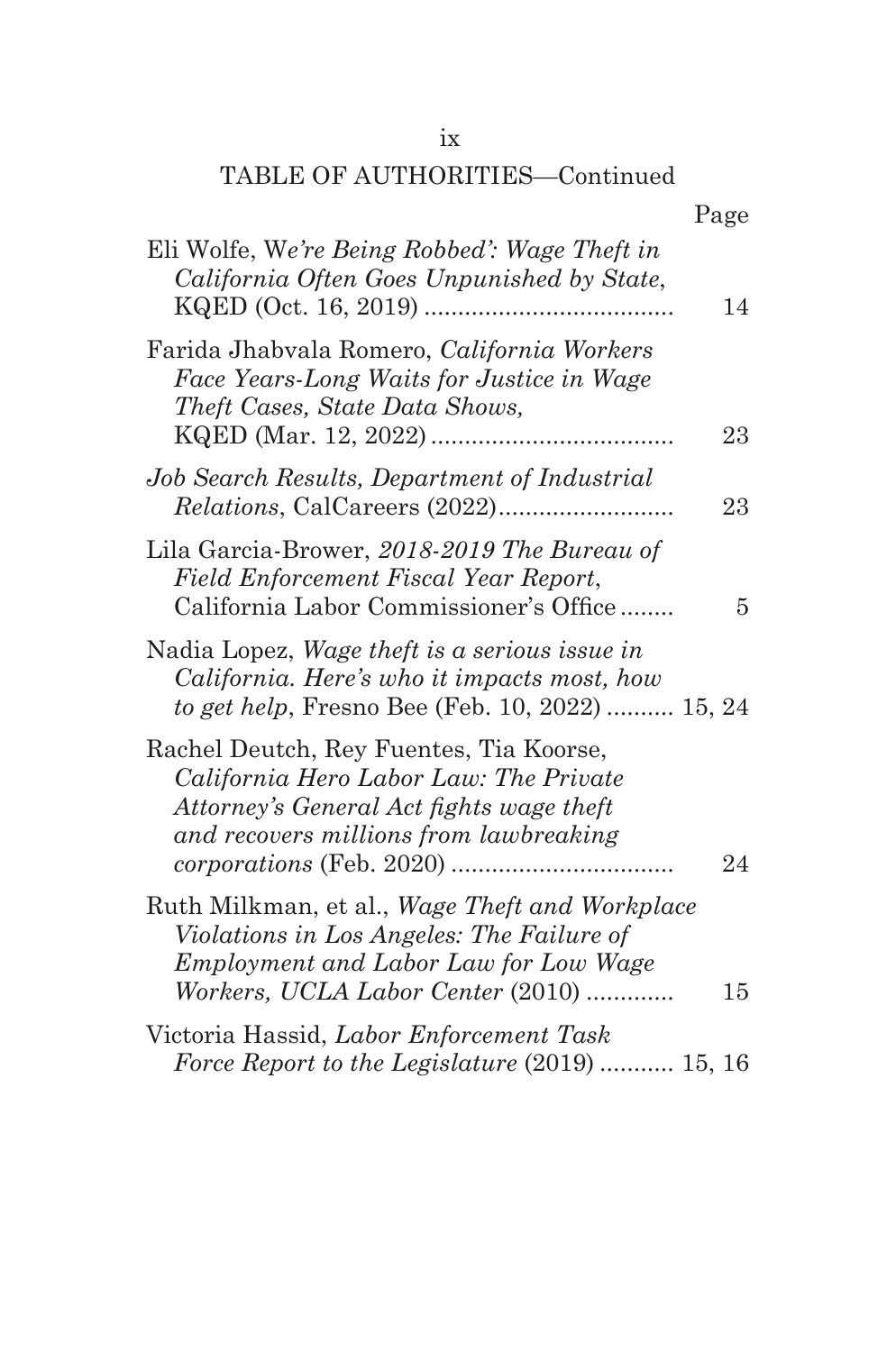### ix

## TABLE OF AUTHORITIES—Continued

| Eli Wolfe, We're Being Robbed': Wage Theft in<br>California Often Goes Unpunished by State,<br>KQED (Oct. 16, 2019)                                                       | 14 |
|---------------------------------------------------------------------------------------------------------------------------------------------------------------------------|----|
| Farida Jhabvala Romero, California Workers<br>Face Years-Long Waits for Justice in Wage<br>Theft Cases, State Data Shows,                                                 | 23 |
| Job Search Results, Department of Industrial                                                                                                                              | 23 |
| Lila Garcia-Brower, 2018-2019 The Bureau of<br>Field Enforcement Fiscal Year Report,<br>California Labor Commissioner's Office                                            | 5  |
| Nadia Lopez, Wage theft is a serious issue in<br>California. Here's who it impacts most, how<br>to get help, Fresno Bee (Feb. 10, 2022)  15, 24                           |    |
| Rachel Deutch, Rey Fuentes, Tia Koorse,<br>California Hero Labor Law: The Private<br>Attorney's General Act fights wage theft<br>and recovers millions from lawbreaking   | 24 |
| Ruth Milkman, et al., Wage Theft and Workplace<br>Violations in Los Angeles: The Failure of<br>Employment and Labor Law for Low Wage<br>Workers, UCLA Labor Center (2010) | 15 |
| Victoria Hassid, Labor Enforcement Task<br>Force Report to the Legislature (2019)  15, 16                                                                                 |    |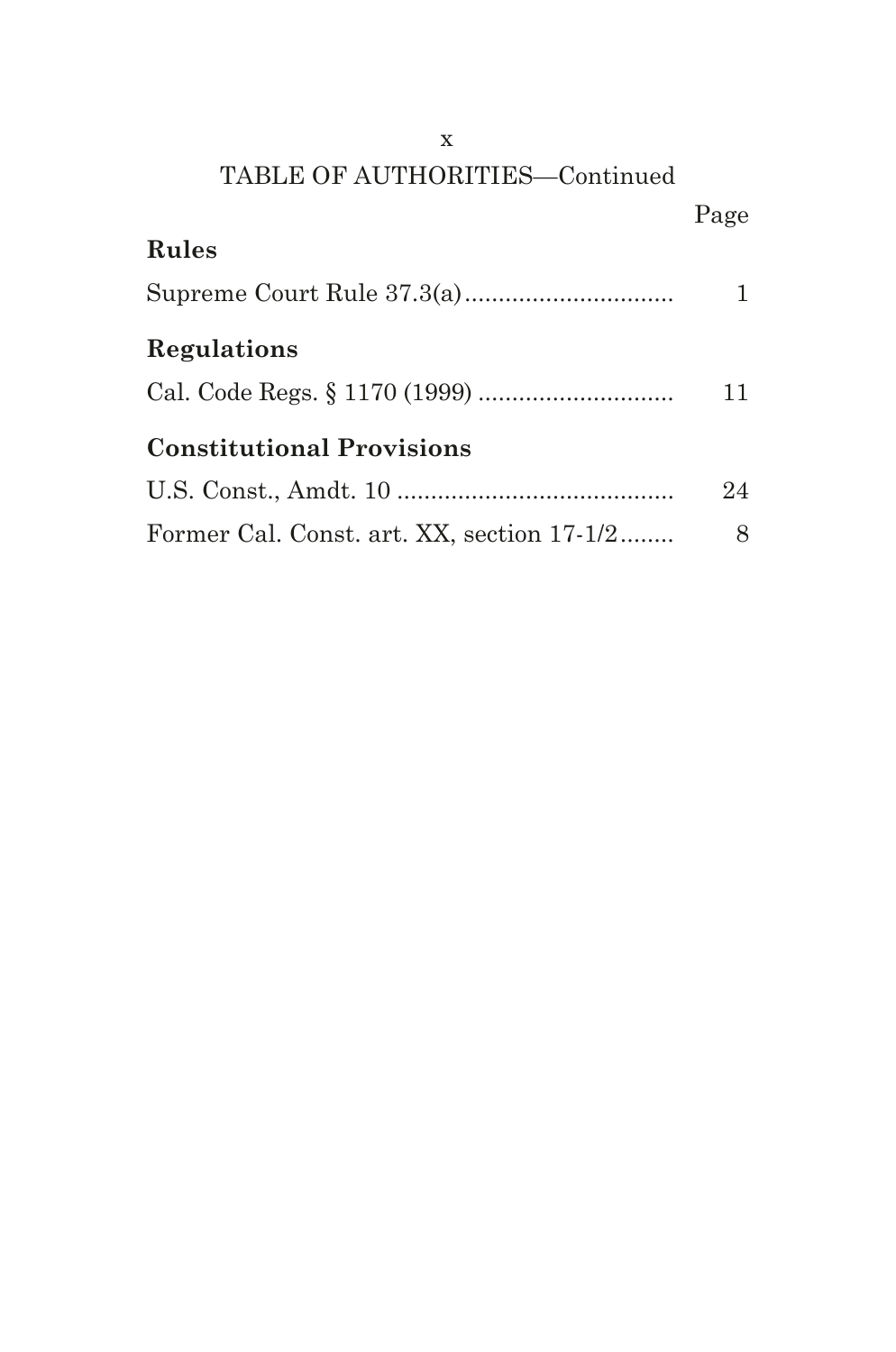| X                                          |      |
|--------------------------------------------|------|
| TABLE OF AUTHORITIES-Continued             |      |
|                                            | Page |
| <b>Rules</b>                               |      |
|                                            |      |
| Regulations                                |      |
|                                            | 11   |
| <b>Constitutional Provisions</b>           |      |
|                                            | 24   |
| Former Cal. Const. art. XX, section 17-1/2 | 8    |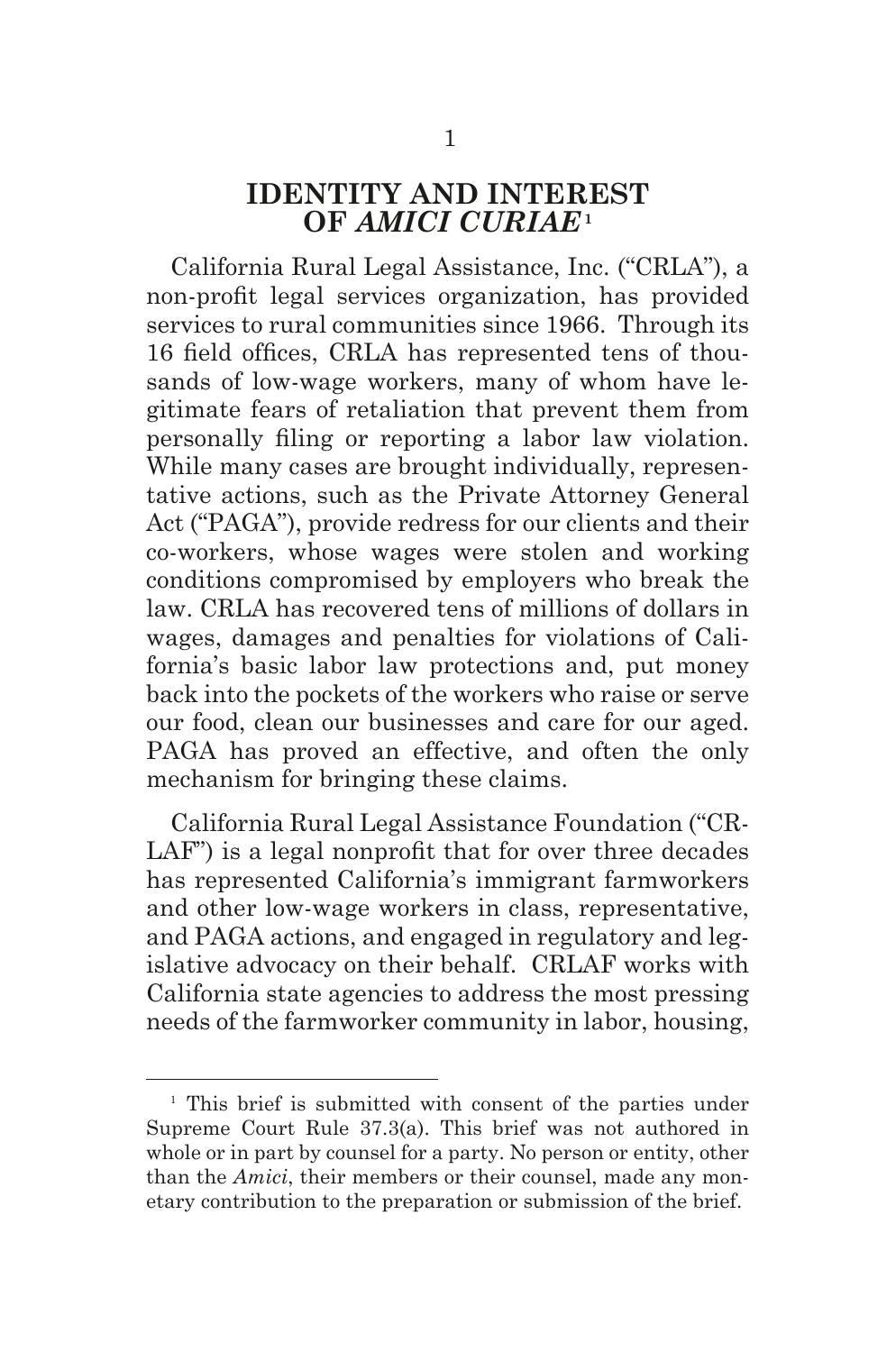## **IDENTITY AND INTEREST OF** *AMICI CURIAE***<sup>1</sup>**

California Rural Legal Assistance, Inc. ("CRLA"), a non-proft legal services organization, has provided services to rural communities since 1966. Through its 16 field offices, CRLA has represented tens of thousands of low-wage workers, many of whom have legitimate fears of retaliation that prevent them from personally fling or reporting a labor law violation. While many cases are brought individually, representative actions, such as the Private Attorney General Act ("PAGA"), provide redress for our clients and their co-workers, whose wages were stolen and working conditions compromised by employers who break the law. CRLA has recovered tens of millions of dollars in wages, damages and penalties for violations of California's basic labor law protections and, put money back into the pockets of the workers who raise or serve our food, clean our businesses and care for our aged. PAGA has proved an effective, and often the only mechanism for bringing these claims.

California Rural Legal Assistance Foundation ("CR-LAF") is a legal nonprofit that for over three decades has represented California's immigrant farmworkers and other low-wage workers in class, representative, and PAGA actions, and engaged in regulatory and legislative advocacy on their behalf. CRLAF works with California state agencies to address the most pressing needs of the farmworker community in labor, housing,

<sup>&</sup>lt;sup>1</sup> This brief is submitted with consent of the parties under Supreme Court Rule 37.3(a). This brief was not authored in whole or in part by counsel for a party. No person or entity, other than the *Amici*, their members or their counsel, made any monetary contribution to the preparation or submission of the brief.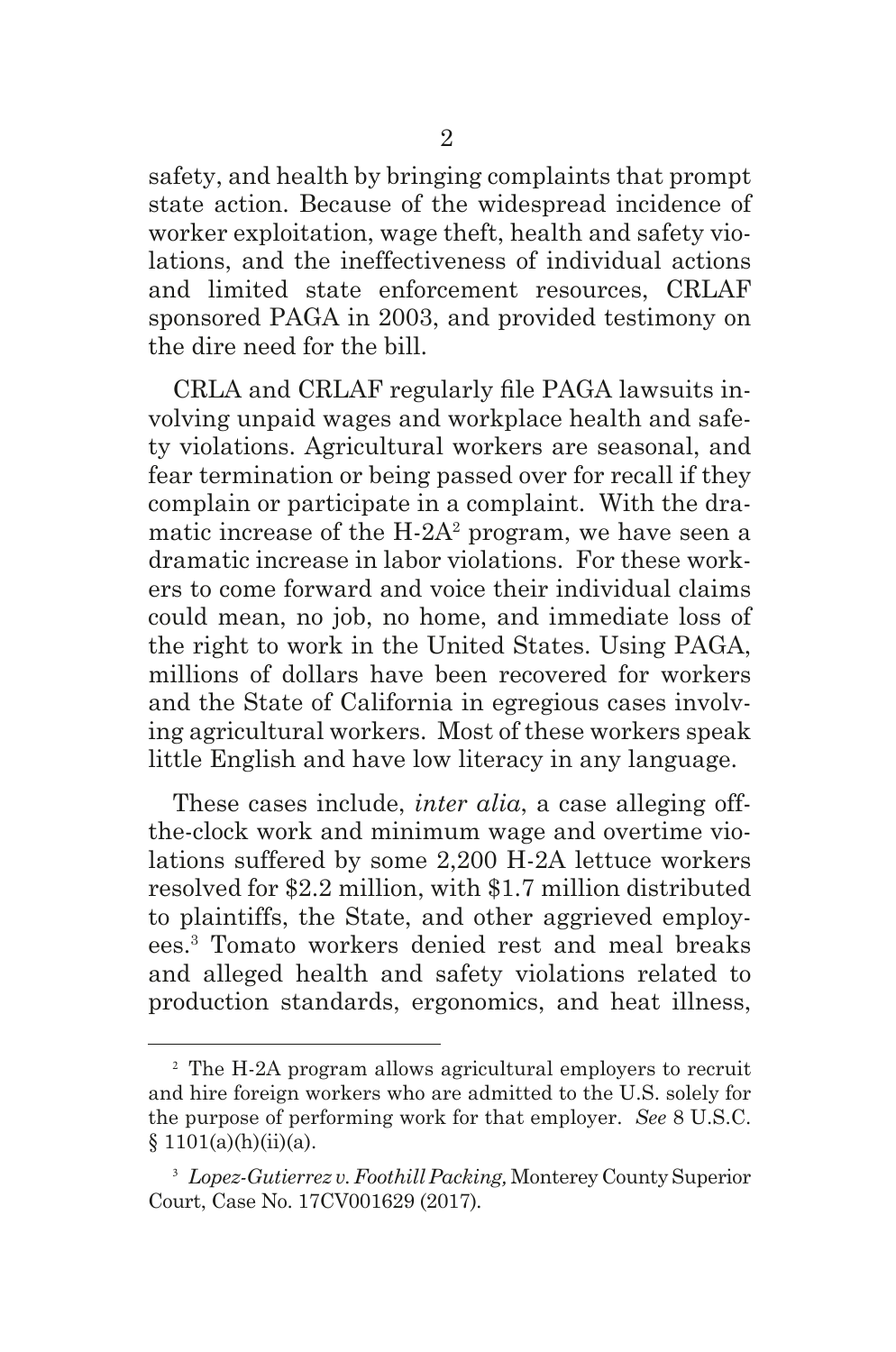safety, and health by bringing complaints that prompt state action. Because of the widespread incidence of worker exploitation, wage theft, health and safety violations, and the ineffectiveness of individual actions and limited state enforcement resources, CRLAF sponsored PAGA in 2003, and provided testimony on the dire need for the bill.

CRLA and CRLAF regularly fle PAGA lawsuits involving unpaid wages and workplace health and safety violations. Agricultural workers are seasonal, and fear termination or being passed over for recall if they complain or participate in a complaint. With the dramatic increase of the  $H-2A^2$  program, we have seen a dramatic increase in labor violations. For these workers to come forward and voice their individual claims could mean, no job, no home, and immediate loss of the right to work in the United States. Using PAGA, millions of dollars have been recovered for workers and the State of California in egregious cases involving agricultural workers. Most of these workers speak little English and have low literacy in any language.

These cases include, *inter alia*, a case alleging offthe-clock work and minimum wage and overtime violations suffered by some 2,200 H-2A lettuce workers resolved for \$2.2 million, with \$1.7 million distributed to plaintiffs, the State, and other aggrieved employees.3 Tomato workers denied rest and meal breaks and alleged health and safety violations related to production standards, ergonomics, and heat illness,

<sup>2</sup> The H-2A program allows agricultural employers to recruit and hire foreign workers who are admitted to the U.S. solely for the purpose of performing work for that employer. *See* 8 U.S.C.  $§ 1101(a)(h)(ii)(a).$ 

<sup>3</sup> *Lopez-Gutierrez v. Foothill Packing,* Monterey County Superior Court, Case No. 17CV001629 (2017)*.*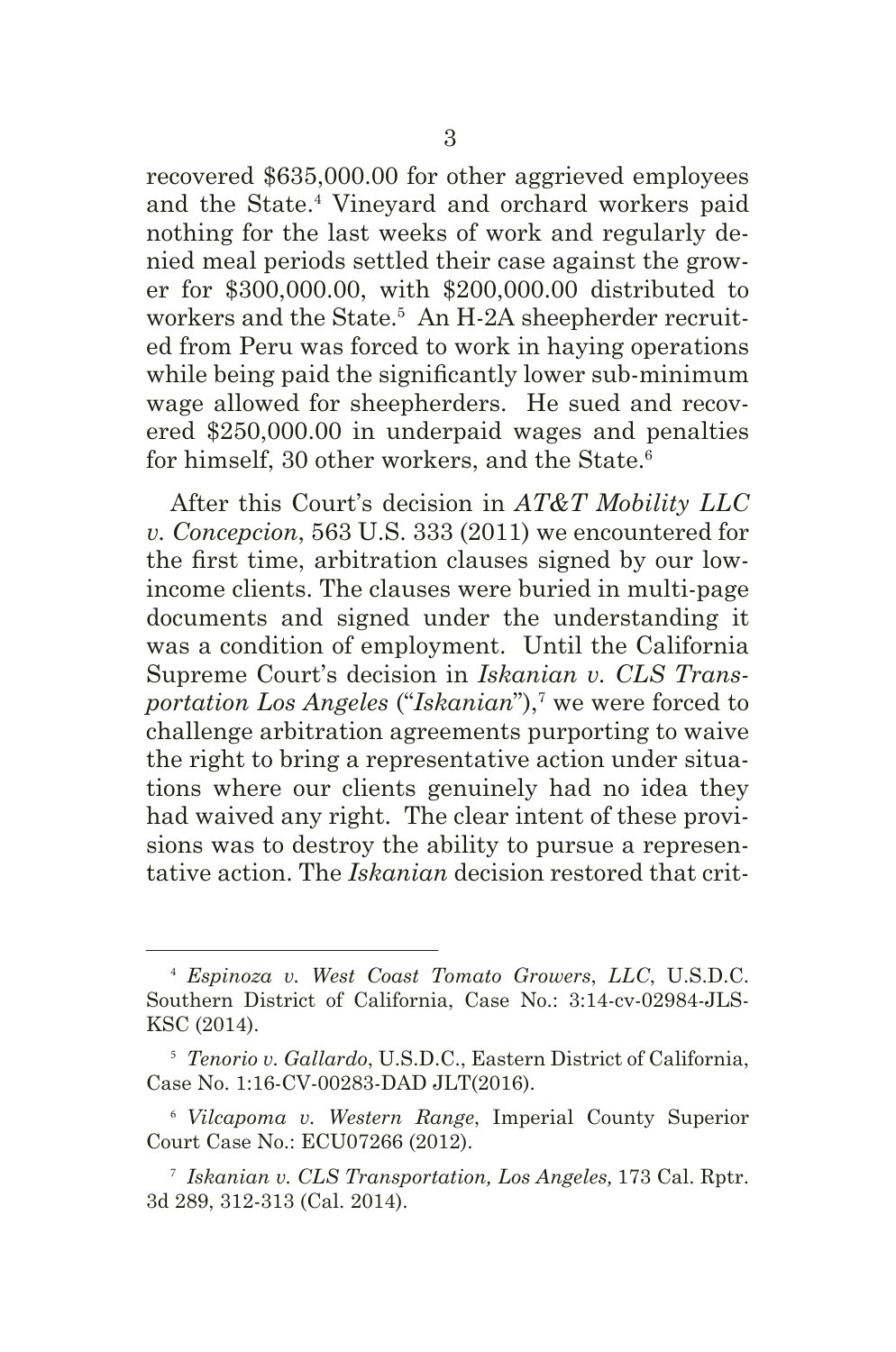recovered \$635,000.00 for other aggrieved employees and the State.4 Vineyard and orchard workers paid nothing for the last weeks of work and regularly denied meal periods settled their case against the grower for \$300,000.00, with \$200,000.00 distributed to workers and the State.<sup>5</sup> An H-2A sheepherder recruited from Peru was forced to work in haying operations while being paid the signifcantly lower sub-minimum wage allowed for sheepherders. He sued and recovered \$250,000.00 in underpaid wages and penalties for himself, 30 other workers, and the State.<sup>6</sup>

After this Court's decision in *AT&T Mobility LLC v. Concepcion*, 563 U.S. 333 (2011) we encountered for the frst time, arbitration clauses signed by our lowincome clients. The clauses were buried in multi-page documents and signed under the understanding it was a condition of employment. Until the California Supreme Court's decision in *Iskanian v. CLS Trans*portation Los Angeles ("Iskanian"),<sup>7</sup> we were forced to challenge arbitration agreements purporting to waive the right to bring a representative action under situations where our clients genuinely had no idea they had waived any right. The clear intent of these provisions was to destroy the ability to pursue a representative action. The *Iskanian* decision restored that crit-

<sup>4</sup> *Espinoza v. West Coast Tomato Growers*, *LLC*, U.S.D.C. Southern District of California, Case No.: 3:14-cv-02984-JLS-KSC (2014).

<sup>5</sup> *Tenorio v. Gallardo*, U.S.D.C., Eastern District of California, Case No. 1:16-CV-00283-DAD JLT(2016).

<sup>6</sup> *Vilcapoma v. Western Range*, Imperial County Superior Court Case No.: ECU07266 (2012).

<sup>7</sup> *Iskanian v. CLS Transportation, Los Angeles,* 173 Cal. Rptr. 3d 289, 312-313 (Cal. 2014).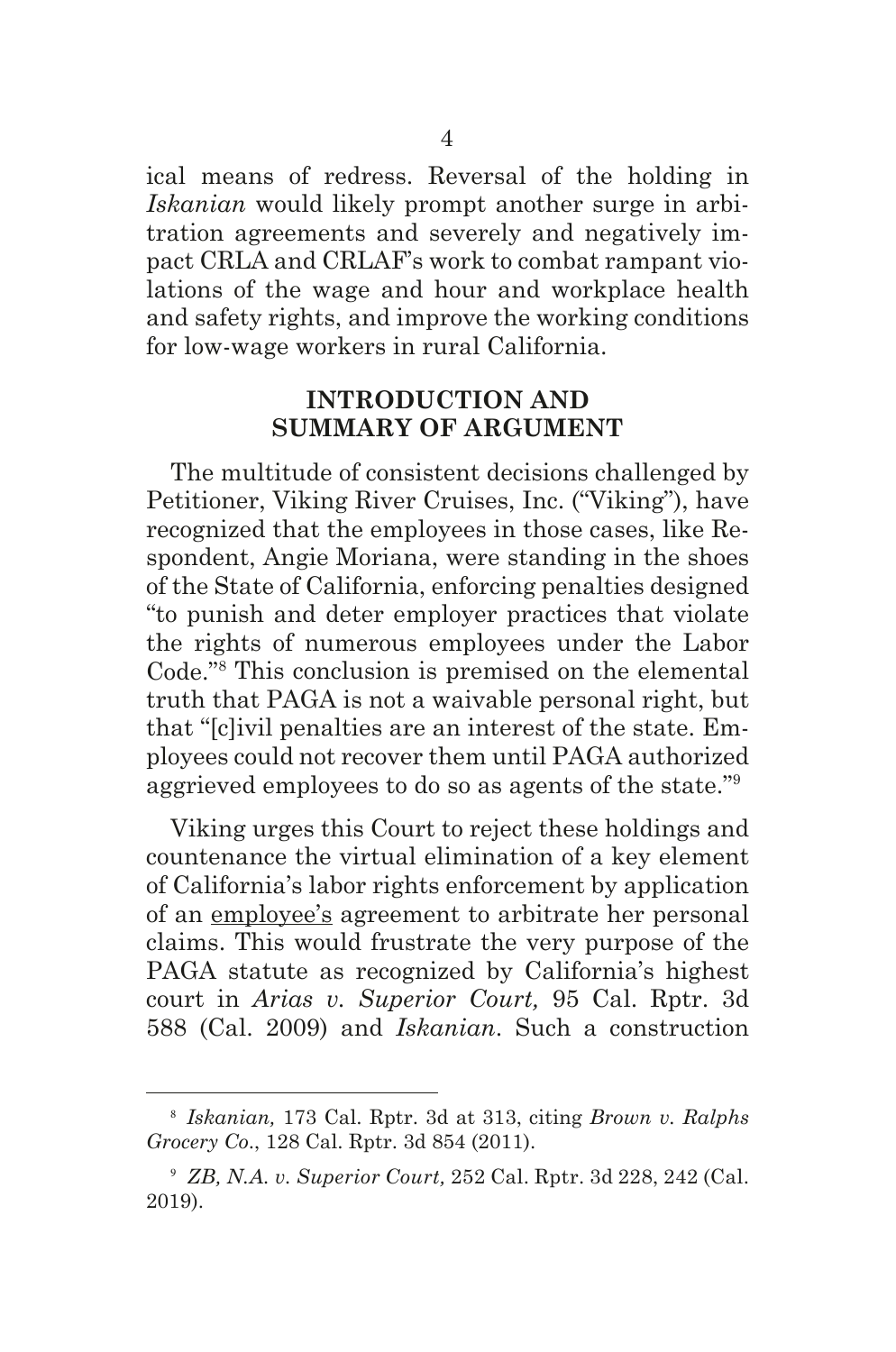ical means of redress. Reversal of the holding in *Iskanian* would likely prompt another surge in arbitration agreements and severely and negatively impact CRLA and CRLAF's work to combat rampant violations of the wage and hour and workplace health and safety rights, and improve the working conditions for low-wage workers in rural California.

#### **INTRODUCTION AND SUMMARY OF ARGUMENT**

The multitude of consistent decisions challenged by Petitioner, Viking River Cruises, Inc. ("Viking"), have recognized that the employees in those cases, like Respondent, Angie Moriana, were standing in the shoes of the State of California, enforcing penalties designed "to punish and deter employer practices that violate the rights of numerous employees under the Labor Code."8 This conclusion is premised on the elemental truth that PAGA is not a waivable personal right, but that "[c]ivil penalties are an interest of the state. Employees could not recover them until PAGA authorized aggrieved employees to do so as agents of the state."9

Viking urges this Court to reject these holdings and countenance the virtual elimination of a key element of California's labor rights enforcement by application of an employee's agreement to arbitrate her personal claims. This would frustrate the very purpose of the PAGA statute as recognized by California's highest court in *Arias v. Superior Court,* 95 Cal. Rptr. 3d 588 (Cal. 2009) and *Iskanian*. Such a construction

<sup>8</sup> *Iskanian,* 173 Cal. Rptr. 3d at 313, citing *Brown v. Ralphs Grocery Co*., 128 Cal. Rptr. 3d 854 (2011).

<sup>9</sup> *ZB, N.A. v. Superior Court,* 252 Cal. Rptr. 3d 228, 242 (Cal. 2019).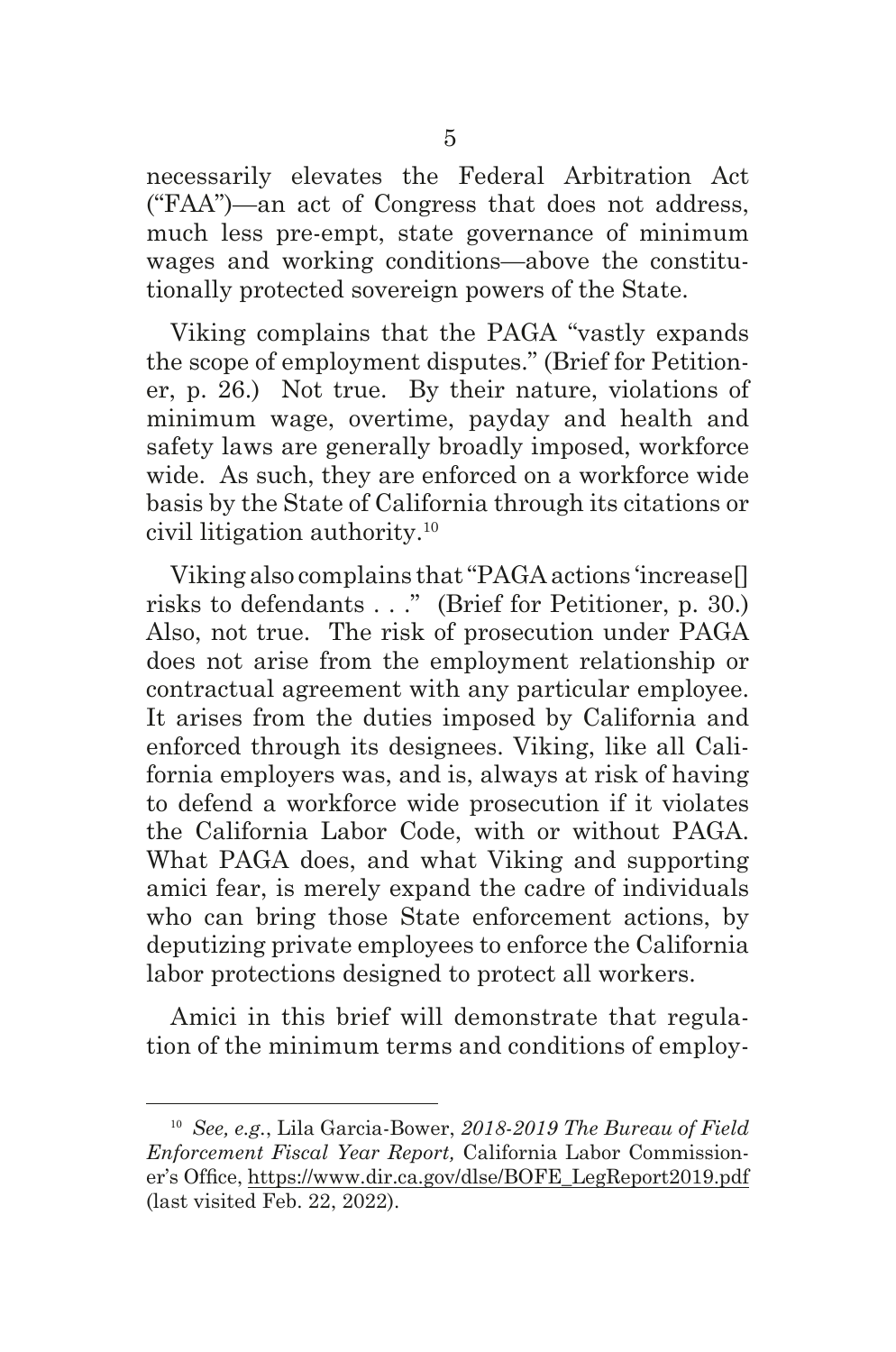necessarily elevates the Federal Arbitration Act ("FAA")—an act of Congress that does not address, much less pre-empt, state governance of minimum wages and working conditions—above the constitutionally protected sovereign powers of the State.

Viking complains that the PAGA "vastly expands the scope of employment disputes." (Brief for Petitioner, p. 26.) Not true. By their nature, violations of minimum wage, overtime, payday and health and safety laws are generally broadly imposed, workforce wide. As such, they are enforced on a workforce wide basis by the State of California through its citations or civil litigation authority.10

Viking also complains that "PAGA actions 'increase[] risks to defendants . . ." (Brief for Petitioner, p. 30.) Also, not true. The risk of prosecution under PAGA does not arise from the employment relationship or contractual agreement with any particular employee. It arises from the duties imposed by California and enforced through its designees. Viking, like all California employers was, and is, always at risk of having to defend a workforce wide prosecution if it violates the California Labor Code, with or without PAGA. What PAGA does, and what Viking and supporting amici fear, is merely expand the cadre of individuals who can bring those State enforcement actions, by deputizing private employees to enforce the California labor protections designed to protect all workers.

Amici in this brief will demonstrate that regulation of the minimum terms and conditions of employ-

<sup>10</sup> *See, e.g.*, Lila Garcia-Bower, *2018-2019 The Bureau of Field Enforcement Fiscal Year Report,* California Labor Commissioner's Office, https://www.dir.ca.gov/dlse/BOFE\_LegReport2019.pdf (last visited Feb. 22, 2022).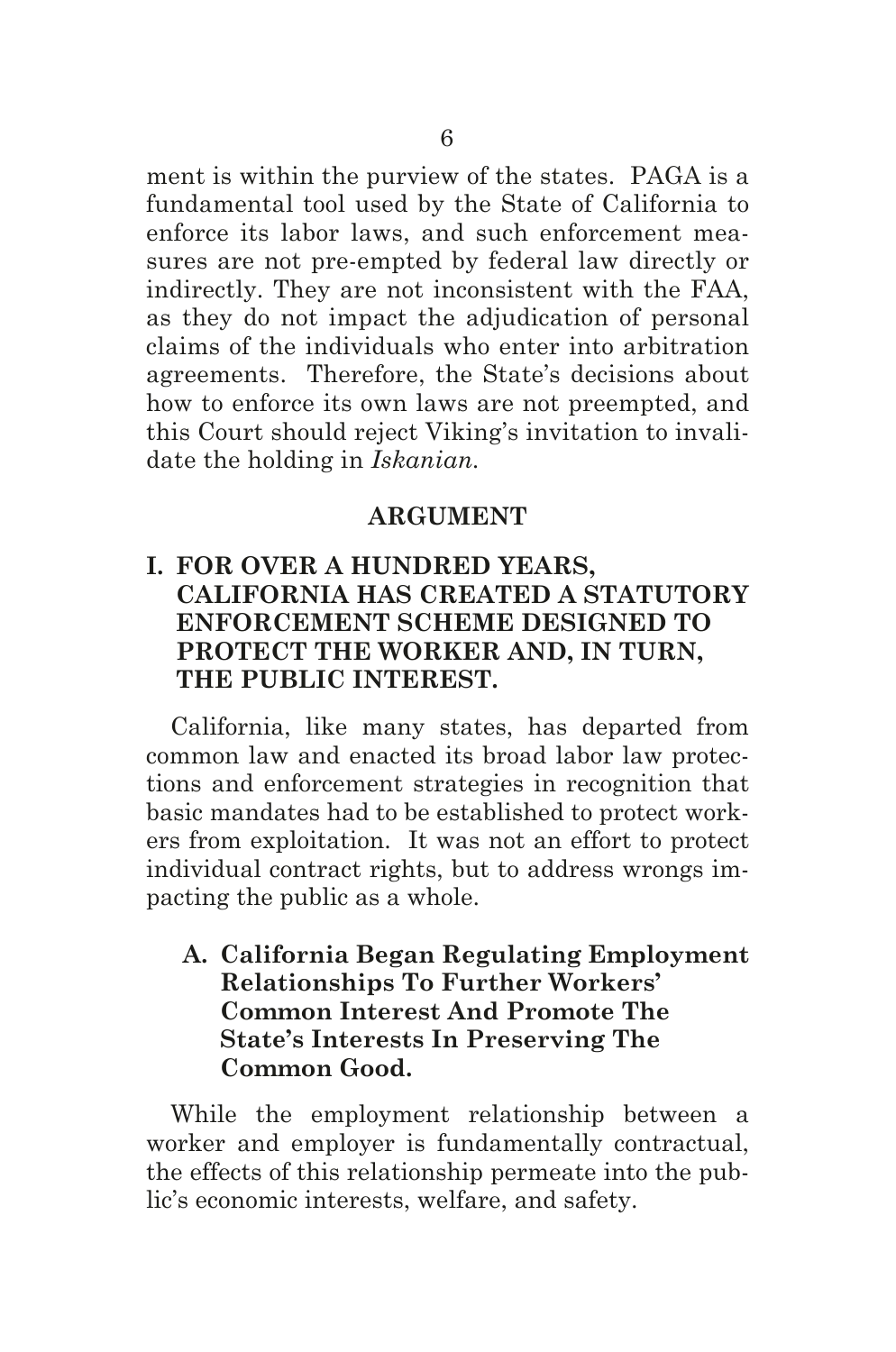ment is within the purview of the states. PAGA is a fundamental tool used by the State of California to enforce its labor laws, and such enforcement measures are not pre-empted by federal law directly or indirectly. They are not inconsistent with the FAA, as they do not impact the adjudication of personal claims of the individuals who enter into arbitration agreements. Therefore, the State's decisions about how to enforce its own laws are not preempted, and this Court should reject Viking's invitation to invalidate the holding in *Iskanian.*

#### **ARGUMENT**

## **I. FOR OVER A HUNDRED YEARS, CALIFORNIA HAS CREATED A STATUTORY ENFORCEMENT SCHEME DESIGNED TO PROTECT THE WORKER AND, IN TURN, THE PUBLIC INTEREST.**

California, like many states, has departed from common law and enacted its broad labor law protections and enforcement strategies in recognition that basic mandates had to be established to protect workers from exploitation. It was not an effort to protect individual contract rights, but to address wrongs impacting the public as a whole.

### **A. California Began Regulating Employment Relationships To Further Workers' Common Interest And Promote The State's Interests In Preserving The Common Good.**

While the employment relationship between a worker and employer is fundamentally contractual, the effects of this relationship permeate into the public's economic interests, welfare, and safety.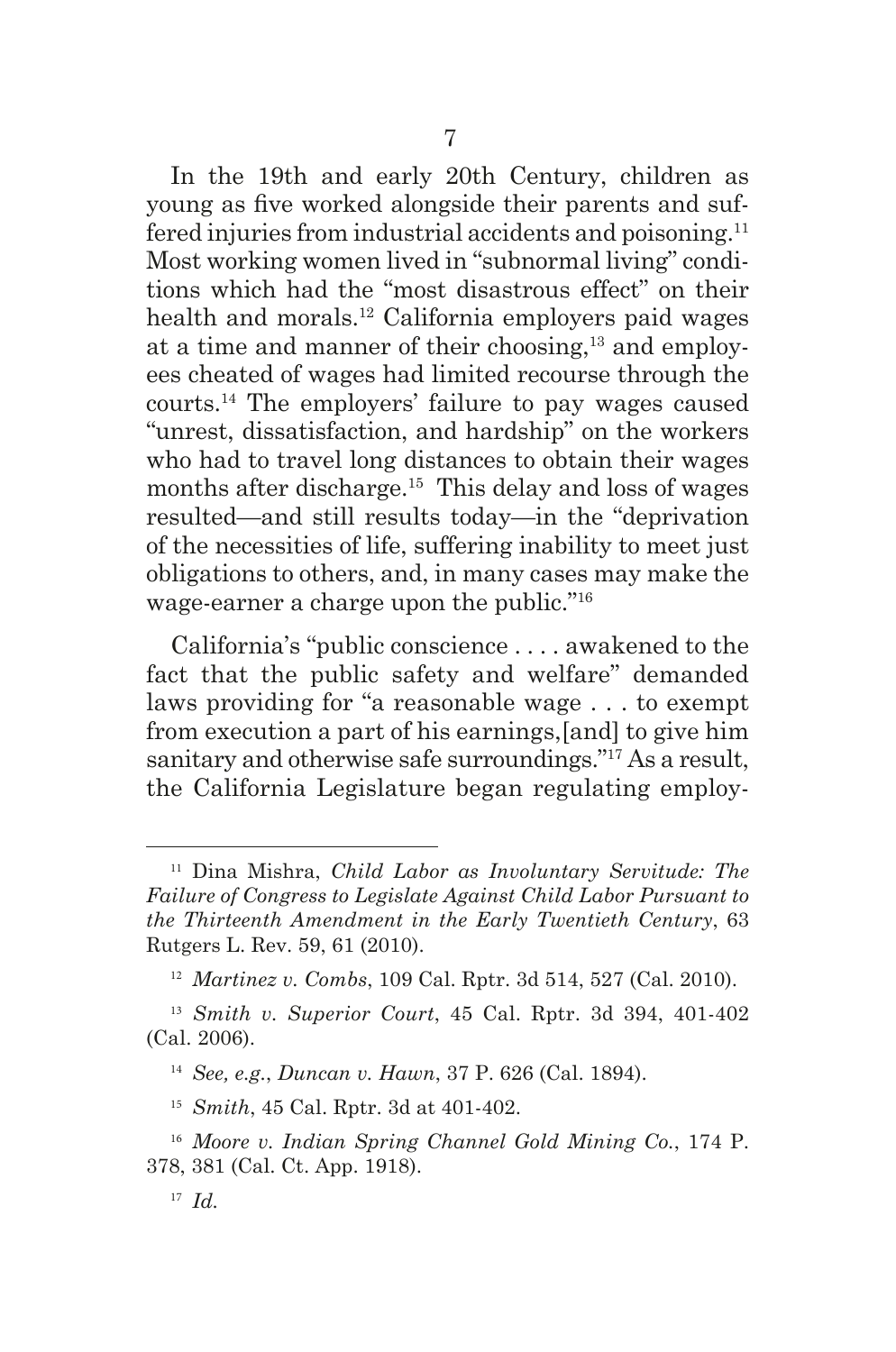In the 19th and early 20th Century, children as young as fve worked alongside their parents and suffered injuries from industrial accidents and poisoning.11 Most working women lived in "subnormal living" conditions which had the "most disastrous effect" on their health and morals.12 California employers paid wages at a time and manner of their choosing,<sup>13</sup> and employees cheated of wages had limited recourse through the courts.14 The employers' failure to pay wages caused "unrest, dissatisfaction, and hardship" on the workers who had to travel long distances to obtain their wages months after discharge.<sup>15</sup> This delay and loss of wages resulted—and still results today—in the "deprivation of the necessities of life, suffering inability to meet just obligations to others, and, in many cases may make the wage-earner a charge upon the public."16

7

California's "public conscience . . . . awakened to the fact that the public safety and welfare" demanded laws providing for "a reasonable wage . . . to exempt from execution a part of his earnings,[and] to give him sanitary and otherwise safe surroundings."17 As a result, the California Legislature began regulating employ-

<sup>11</sup> Dina Mishra, *Child Labor as Involuntary Servitude: The Failure of Congress to Legislate Against Child Labor Pursuant to the Thirteenth Amendment in the Early Twentieth Century*, 63 Rutgers L. Rev. 59, 61 (2010).

<sup>12</sup> *Martinez v. Combs*, 109 Cal. Rptr. 3d 514, 527 (Cal. 2010).

<sup>13</sup> *Smith v. Superior Court*, 45 Cal. Rptr. 3d 394, 401-402 (Cal. 2006).

<sup>14</sup> *See, e.g.*, *Duncan v. Hawn*, 37 P. 626 (Cal. 1894).

<sup>15</sup> *Smith*, 45 Cal. Rptr. 3d at 401-402.

<sup>16</sup> *Moore v. Indian Spring Channel Gold Mining Co.*, 174 P. 378, 381 (Cal. Ct. App. 1918).

<sup>17</sup> *Id.*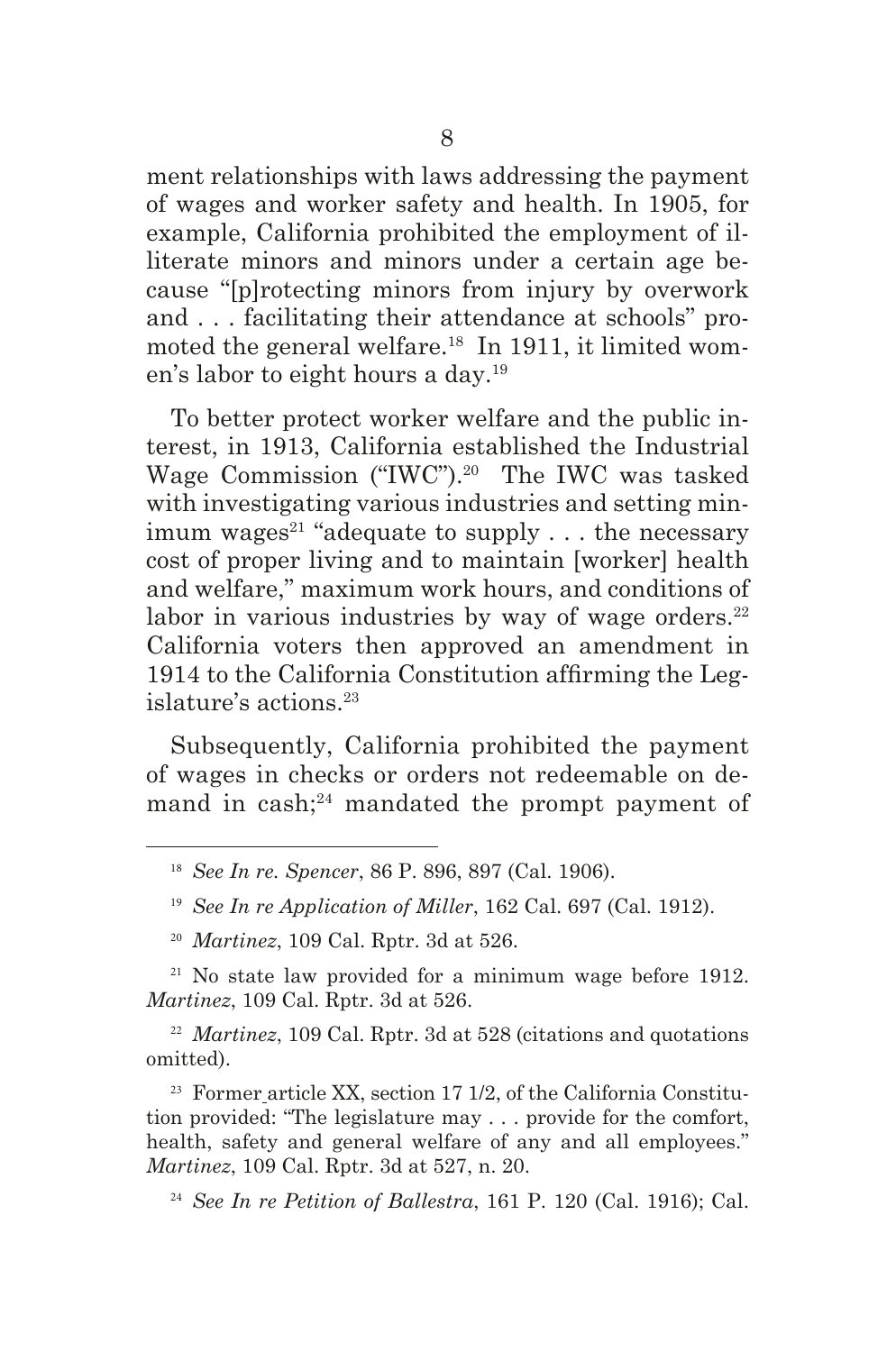ment relationships with laws addressing the payment of wages and worker safety and health. In 1905, for example, California prohibited the employment of illiterate minors and minors under a certain age because "[p]rotecting minors from injury by overwork and . . . facilitating their attendance at schools" promoted the general welfare.<sup>18</sup> In 1911, it limited women's labor to eight hours a day.19

To better protect worker welfare and the public interest, in 1913, California established the Industrial Wage Commission ("IWC").20 The IWC was tasked with investigating various industries and setting minimum wages<sup>21</sup> "adequate to supply  $\ldots$  the necessary cost of proper living and to maintain [worker] health and welfare," maximum work hours, and conditions of labor in various industries by way of wage orders. $22$ California voters then approved an amendment in 1914 to the California Constitution affrming the Legislature's actions.23

Subsequently, California prohibited the payment of wages in checks or orders not redeemable on demand in cash; $^{24}$  mandated the prompt payment of

 $21$  No state law provided for a minimum wage before 1912. *Martinez*, 109 Cal. Rptr. 3d at 526.

<sup>22</sup> *Martinez*, 109 Cal. Rptr. 3d at 528 (citations and quotations omitted).

 $23$  Former article XX, section 17 1/2, of the California Constitution provided: "The legislature may . . . provide for the comfort, health, safety and general welfare of any and all employees." *Martinez*, 109 Cal. Rptr. 3d at 527, n. 20.

<sup>24</sup> *See In re Petition of Ballestra*, 161 P. 120 (Cal. 1916); Cal.

<sup>18</sup> *See In re. Spencer*, 86 P. 896, 897 (Cal. 1906).

<sup>19</sup> *See In re Application of Miller*, 162 Cal. 697 (Cal. 1912).

<sup>20</sup> *Martinez*, 109 Cal. Rptr. 3d at 526.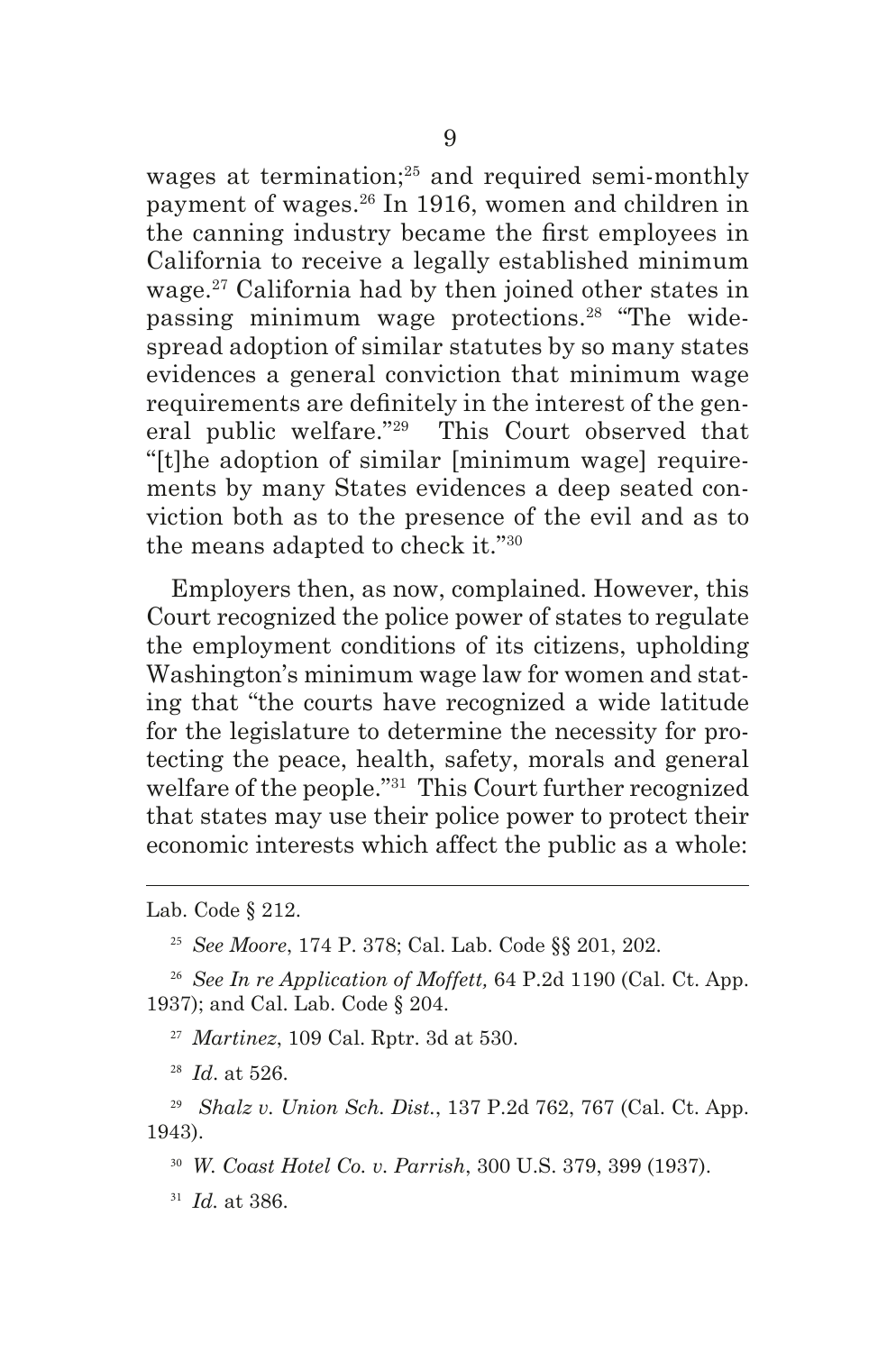wages at termination;<sup>25</sup> and required semi-monthly payment of wages.26 In 1916, women and children in the canning industry became the frst employees in California to receive a legally established minimum wage.27 California had by then joined other states in passing minimum wage protections.28 "The widespread adoption of similar statutes by so many states evidences a general conviction that minimum wage requirements are defnitely in the interest of the general public welfare."29 This Court observed that "[t]he adoption of similar [minimum wage] requirements by many States evidences a deep seated conviction both as to the presence of the evil and as to the means adapted to check it."30

Employers then, as now, complained. However, this Court recognized the police power of states to regulate the employment conditions of its citizens, upholding Washington's minimum wage law for women and stating that "the courts have recognized a wide latitude for the legislature to determine the necessity for protecting the peace, health, safety, morals and general welfare of the people."31 This Court further recognized that states may use their police power to protect their economic interests which affect the public as a whole:

Lab. Code § 212.

<sup>25</sup> *See Moore*, 174 P. 378; Cal. Lab. Code §§ 201, 202.

<sup>26</sup> *See In re Application of Moffett,* 64 P.2d 1190 (Cal. Ct. App. 1937); and Cal. Lab. Code § 204.

<sup>27</sup> *Martinez*, 109 Cal. Rptr. 3d at 530.

<sup>28</sup> *Id*. at 526.

<sup>29</sup> *Shalz v. Union Sch. Dist.*, 137 P.2d 762, 767 (Cal. Ct. App. 1943).

<sup>30</sup> *W. Coast Hotel Co. v. Parrish*, 300 U.S. 379, 399 (1937).

<sup>31</sup> *Id.* at 386.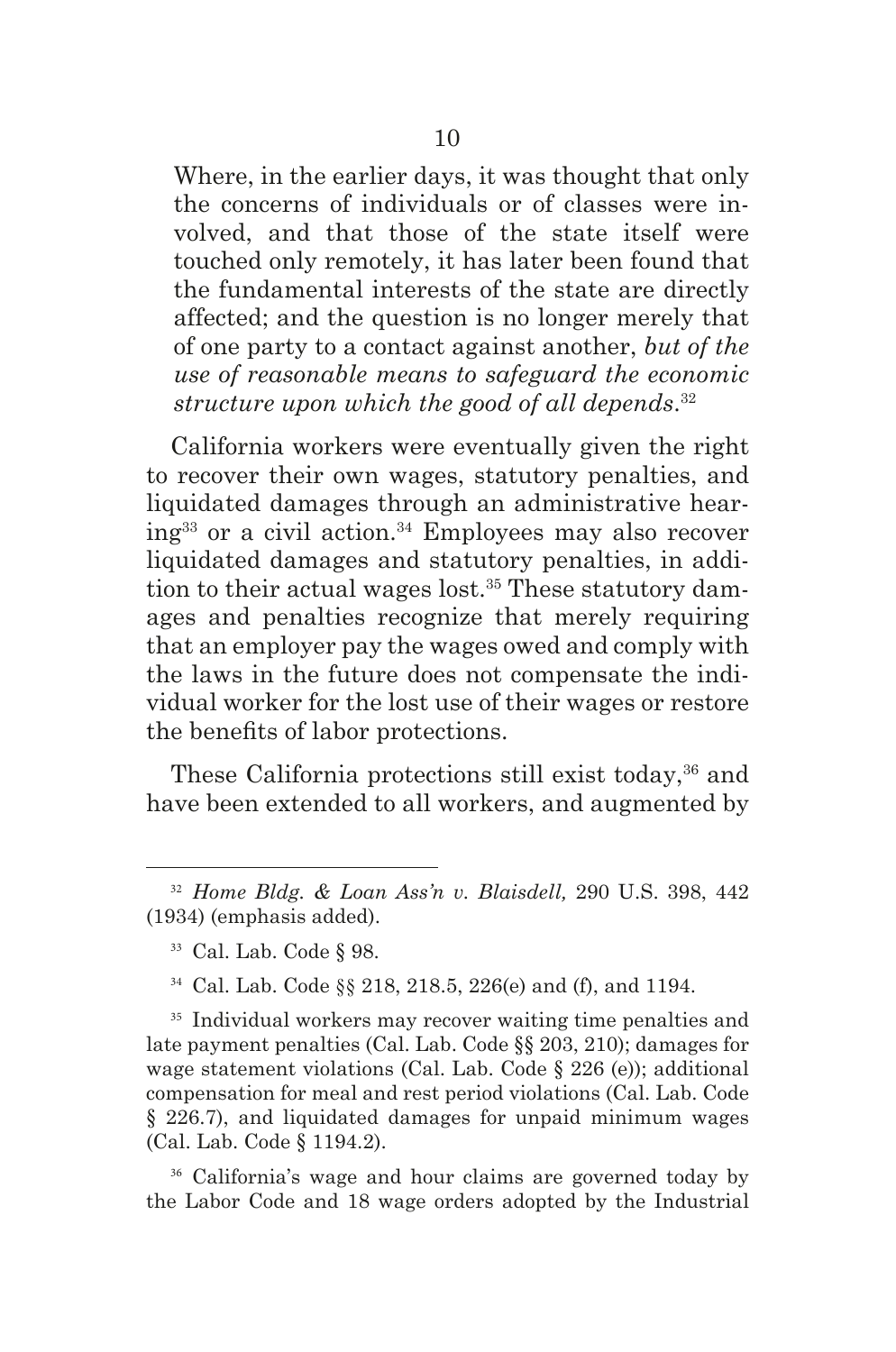Where, in the earlier days, it was thought that only the concerns of individuals or of classes were involved, and that those of the state itself were touched only remotely, it has later been found that the fundamental interests of the state are directly affected; and the question is no longer merely that of one party to a contact against another, *but of the use of reasonable means to safeguard the economic structure upon which the good of all depends*. 32

California workers were eventually given the right to recover their own wages, statutory penalties, and liquidated damages through an administrative hear $ing<sup>33</sup>$  or a civil action.<sup>34</sup> Employees may also recover liquidated damages and statutory penalties, in addition to their actual wages lost.<sup>35</sup> These statutory damages and penalties recognize that merely requiring that an employer pay the wages owed and comply with the laws in the future does not compensate the individual worker for the lost use of their wages or restore the benefts of labor protections.

These California protections still exist today,<sup>36</sup> and have been extended to all workers, and augmented by

<sup>36</sup> California's wage and hour claims are governed today by the Labor Code and 18 wage orders adopted by the Industrial

<sup>32</sup> *Home Bldg. & Loan Ass'n v. Blaisdell,* 290 U.S. 398, 442 (1934) (emphasis added).

<sup>33</sup> Cal. Lab. Code § 98.

<sup>34</sup> Cal. Lab. Code §§ 218, 218.5, 226(e) and (f), and 1194.

<sup>&</sup>lt;sup>35</sup> Individual workers may recover waiting time penalties and late payment penalties (Cal. Lab. Code §§ 203, 210); damages for wage statement violations (Cal. Lab. Code § 226 (e)); additional compensation for meal and rest period violations (Cal. Lab. Code § 226.7), and liquidated damages for unpaid minimum wages (Cal. Lab. Code § 1194.2).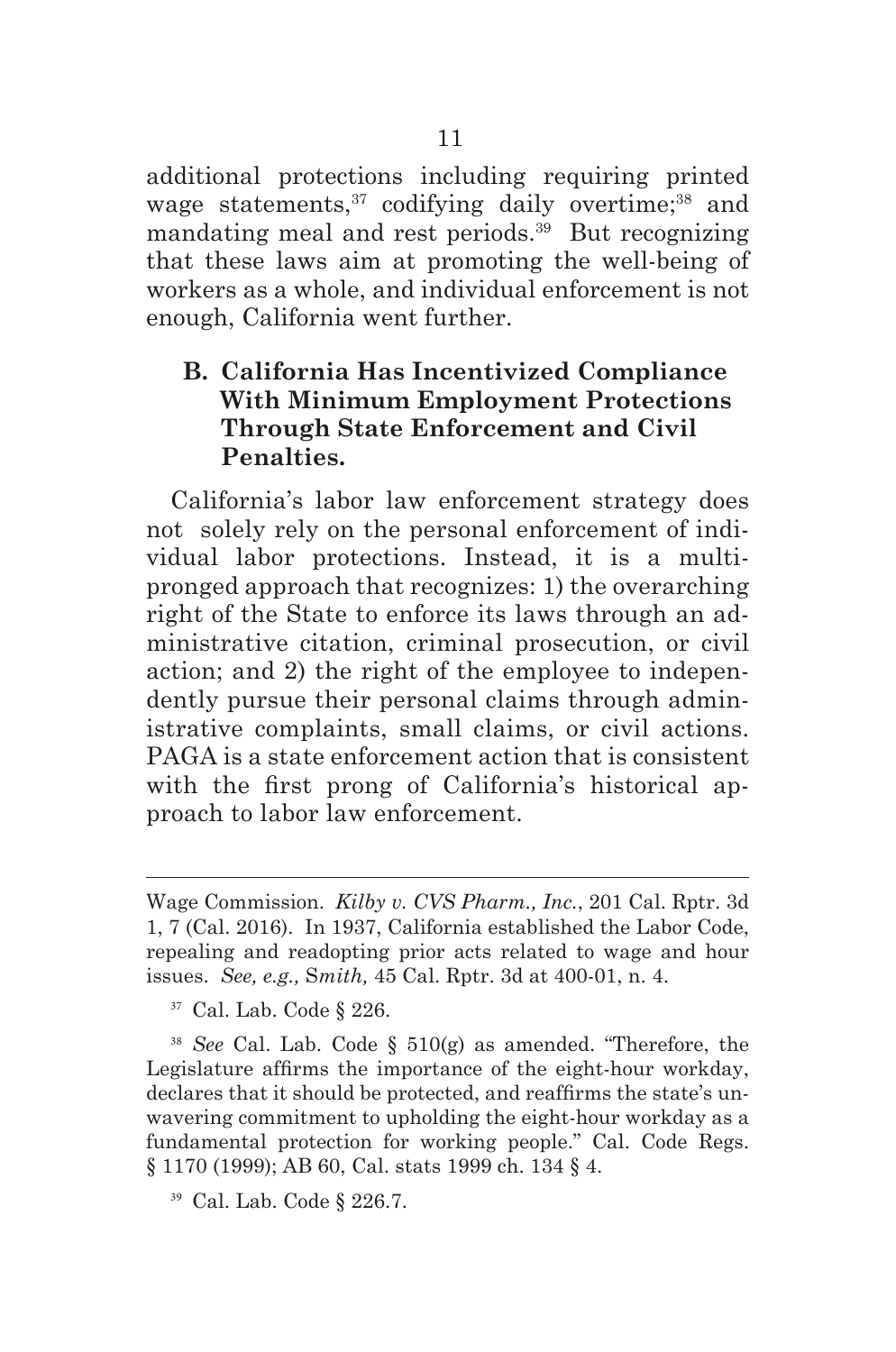additional protections including requiring printed wage statements,<sup>37</sup> codifying daily overtime;<sup>38</sup> and mandating meal and rest periods.39 But recognizing that these laws aim at promoting the well-being of workers as a whole, and individual enforcement is not enough, California went further.

## **B. California Has Incentivized Compliance With Minimum Employment Protections Through State Enforcement and Civil Penalties.**

California's labor law enforcement strategy does not solely rely on the personal enforcement of individual labor protections. Instead, it is a multipronged approach that recognizes: 1) the overarching right of the State to enforce its laws through an administrative citation, criminal prosecution, or civil action; and 2) the right of the employee to independently pursue their personal claims through administrative complaints, small claims, or civil actions. PAGA is a state enforcement action that is consistent with the frst prong of California's historical approach to labor law enforcement.

<sup>38</sup> *See* Cal. Lab. Code § 510(g) as amended. "Therefore, the Legislature affrms the importance of the eight-hour workday, declares that it should be protected, and reaffrms the state's unwavering commitment to upholding the eight-hour workday as a fundamental protection for working people." Cal. Code Regs. § 1170 (1999); AB 60, Cal. stats 1999 ch. 134 § 4.

<sup>39</sup> Cal. Lab. Code § 226.7.

Wage Commission. *Kilby v. CVS Pharm., Inc.*, 201 Cal. Rptr. 3d 1, 7 (Cal. 2016). In 1937, California established the Labor Code, repealing and readopting prior acts related to wage and hour issues. *See, e.g.,* S*mith,* 45 Cal. Rptr. 3d at 400-01, n. 4.

<sup>37</sup> Cal. Lab. Code § 226.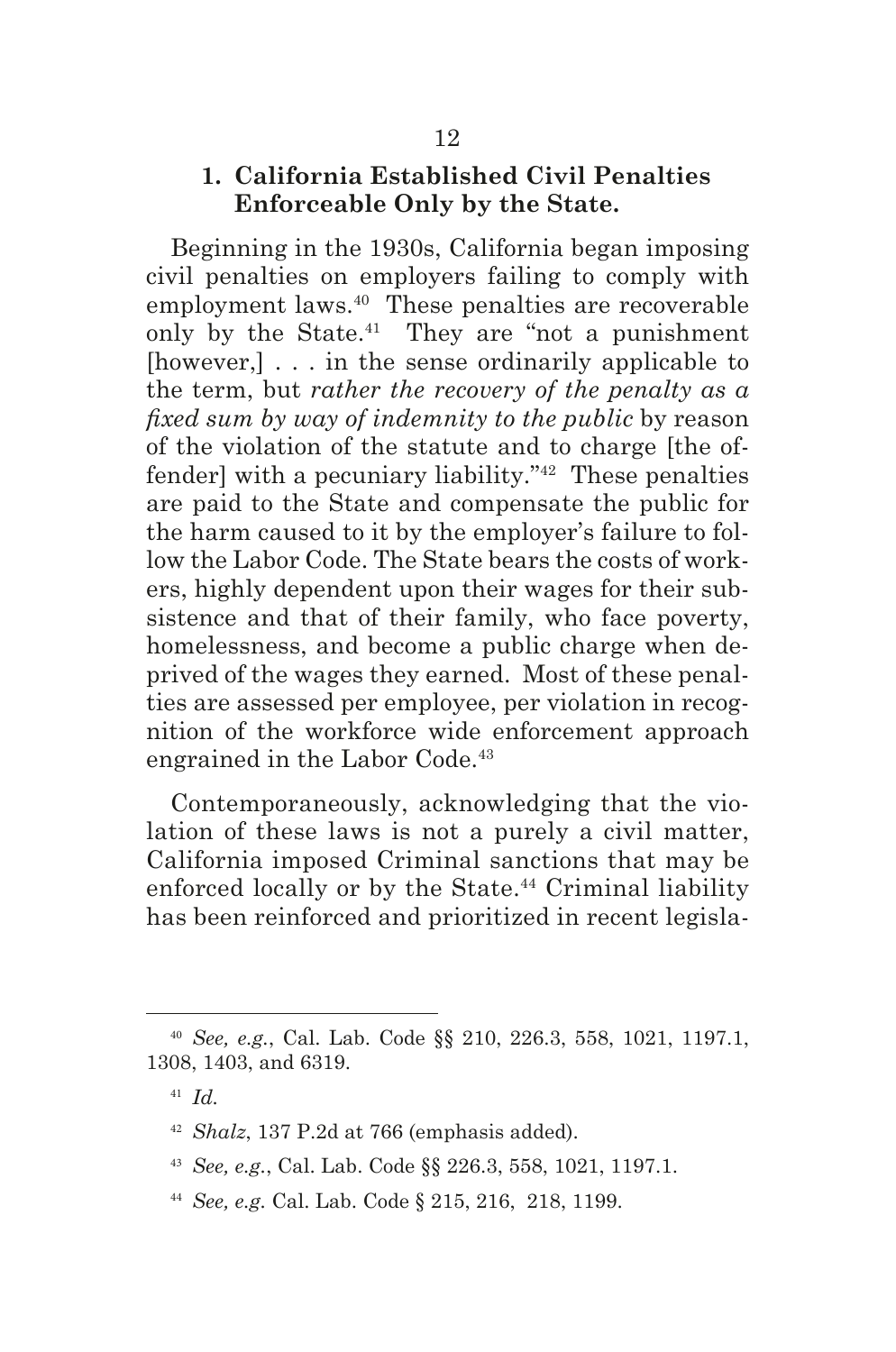### **1. California Established Civil Penalties Enforceable Only by the State.**

Beginning in the 1930s, California began imposing civil penalties on employers failing to comply with employment laws.<sup>40</sup> These penalties are recoverable only by the State. $41$  They are "not a punishment" [however,] . . . in the sense ordinarily applicable to the term, but *rather the recovery of the penalty as a fxed sum by way of indemnity to the public* by reason of the violation of the statute and to charge [the offender] with a pecuniary liability."42 These penalties are paid to the State and compensate the public for the harm caused to it by the employer's failure to follow the Labor Code. The State bears the costs of workers, highly dependent upon their wages for their subsistence and that of their family, who face poverty, homelessness, and become a public charge when deprived of the wages they earned. Most of these penalties are assessed per employee, per violation in recognition of the workforce wide enforcement approach engrained in the Labor Code.<sup>43</sup>

Contemporaneously, acknowledging that the violation of these laws is not a purely a civil matter, California imposed Criminal sanctions that may be enforced locally or by the State.<sup>44</sup> Criminal liability has been reinforced and prioritized in recent legisla-

- <sup>43</sup> *See, e.g.*, Cal. Lab. Code §§ 226.3, 558, 1021, 1197.1.
- <sup>44</sup> *See, e.g.* Cal. Lab. Code § 215, 216, 218, 1199.

<sup>40</sup> *See, e.g.*, Cal. Lab. Code §§ 210, 226.3, 558, 1021, 1197.1, 1308, 1403, and 6319.

<sup>41</sup> *Id.*

<sup>42</sup> *Shalz*, 137 P.2d at 766 (emphasis added).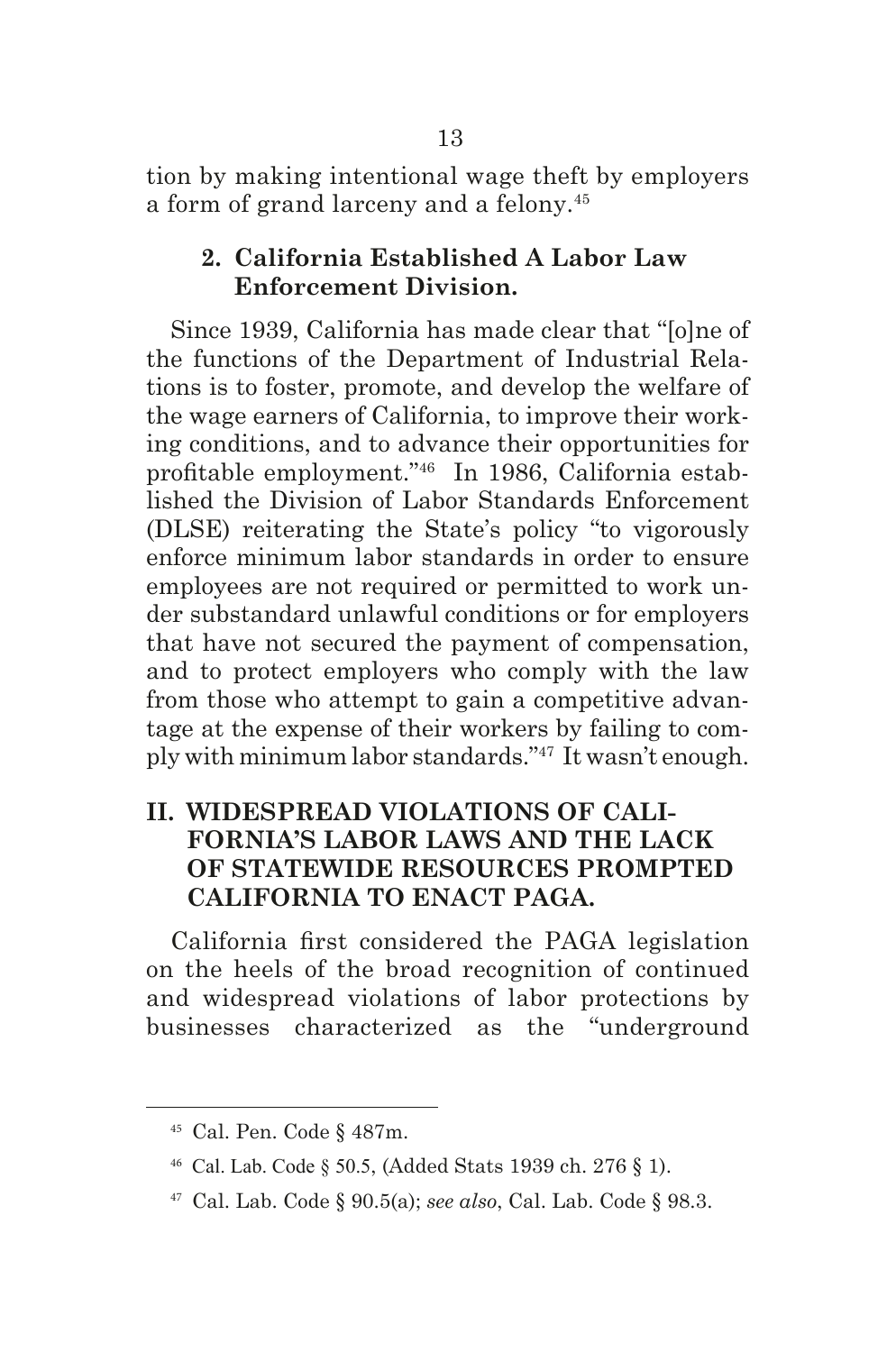tion by making intentional wage theft by employers a form of grand larceny and a felony.45

### **2. California Established A Labor Law Enforcement Division.**

Since 1939, California has made clear that "[o]ne of the functions of the Department of Industrial Relations is to foster, promote, and develop the welfare of the wage earners of California, to improve their working conditions, and to advance their opportunities for proftable employment."46 In 1986, California established the Division of Labor Standards Enforcement (DLSE) reiterating the State's policy "to vigorously enforce minimum labor standards in order to ensure employees are not required or permitted to work under substandard unlawful conditions or for employers that have not secured the payment of compensation, and to protect employers who comply with the law from those who attempt to gain a competitive advantage at the expense of their workers by failing to comply with minimum labor standards."47 It wasn't enough.

## **II. WIDESPREAD VIOLATIONS OF CALI-FORNIA'S LABOR LAWS AND THE LACK OF STATEWIDE RESOURCES PROMPTED CALIFORNIA TO ENACT PAGA.**

California frst considered the PAGA legislation on the heels of the broad recognition of continued and widespread violations of labor protections by businesses characterized as the "underground

<sup>45</sup> Cal. Pen. Code § 487m.

<sup>46</sup> Cal. Lab. Code § 50.5, (Added Stats 1939 ch. 276 § 1).

<sup>47</sup> Cal. Lab. Code § 90.5(a); *see also*, Cal. Lab. Code § 98.3.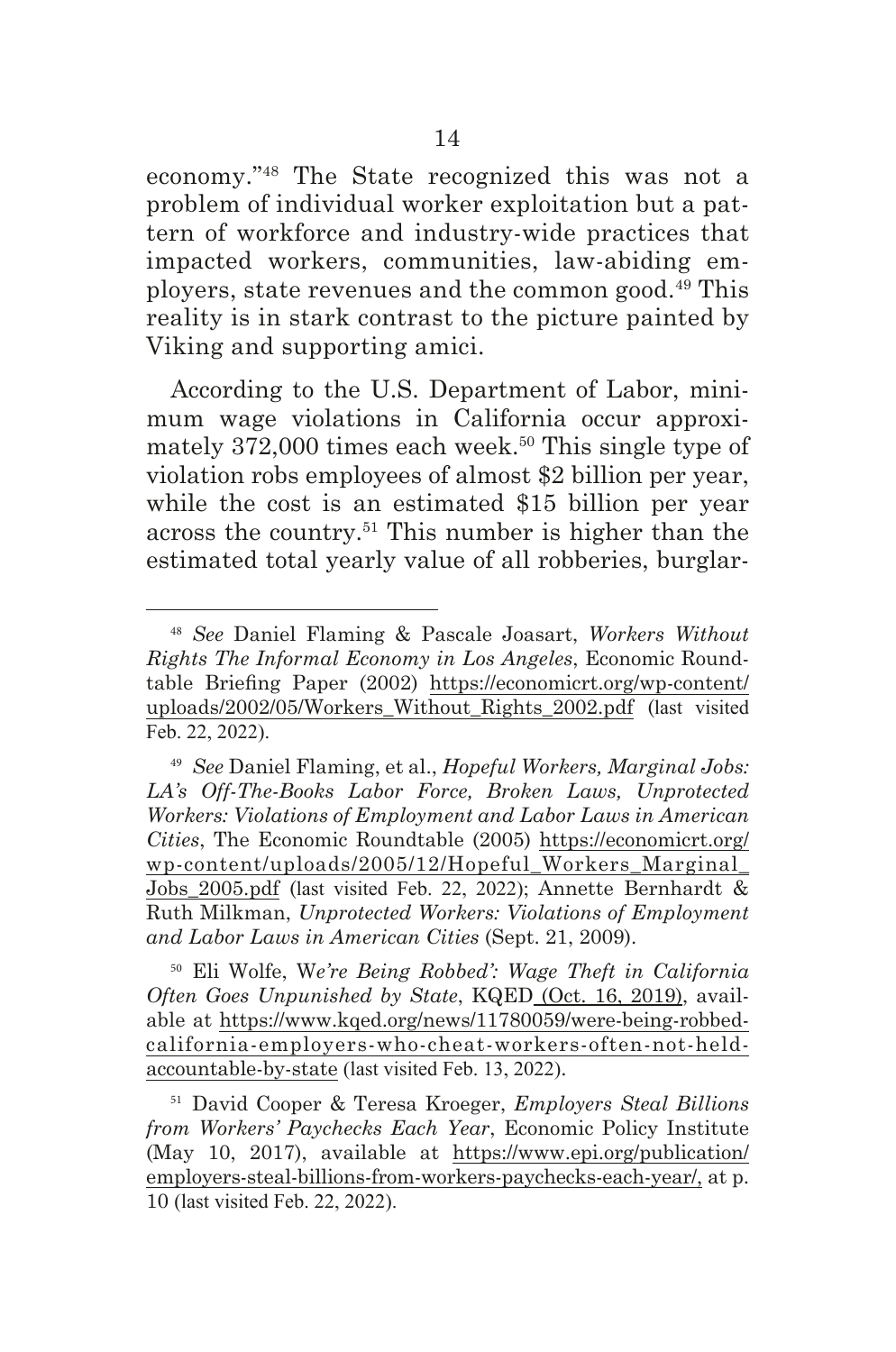economy."48 The State recognized this was not a problem of individual worker exploitation but a pattern of workforce and industry-wide practices that impacted workers, communities, law-abiding employers, state revenues and the common good.49 This reality is in stark contrast to the picture painted by Viking and supporting amici.

According to the U.S. Department of Labor, minimum wage violations in California occur approximately  $372,000$  times each week.<sup>50</sup> This single type of violation robs employees of almost \$2 billion per year, while the cost is an estimated \$15 billion per year across the country.51 This number is higher than the estimated total yearly value of all robberies, burglar-

<sup>50</sup> Eli Wolfe, W*e're Being Robbed': Wage Theft in California Often Goes Unpunished by State*, KQED (Oct. 16, 2019), available at https://www.kqed.org/news/11780059/were-being-robbedcalifornia-employers-who-cheat-workers-often-not-heldaccountable-by-state (last visited Feb. 13, 2022).

<sup>51</sup> David Cooper & Teresa Kroeger, *Employers Steal Billions from Workers' Paychecks Each Year*, Economic Policy Institute (May 10, 2017), available at https://www.epi.org/publication/ employers-steal-billions-from-workers-paychecks-each-year/, at p. 10 (last visited Feb. 22, 2022).

<sup>48</sup> *See* Daniel Flaming & Pascale Joasart, *Workers Without Rights The Informal Economy in Los Angeles*, Economic Roundtable Briefng Paper (2002) https://economicrt.org/wp-content/ uploads/2002/05/Workers\_Without\_Rights\_2002.pdf (last visited Feb. 22, 2022).

<sup>49</sup> *See* Daniel Flaming, et al., *Hopeful Workers, Marginal Jobs: LA's Off-The-Books Labor Force, Broken Laws, Unprotected Workers: Violations of Employment and Labor Laws in American Cities*, The Economic Roundtable (2005) https://economicrt.org/ wp-content/uploads/2005/12/Hopeful\_Workers\_Marginal\_ Jobs\_2005.pdf (last visited Feb. 22, 2022); Annette Bernhardt & Ruth Milkman, *Unprotected Workers: Violations of Employment and Labor Laws in American Cities* (Sept. 21, 2009).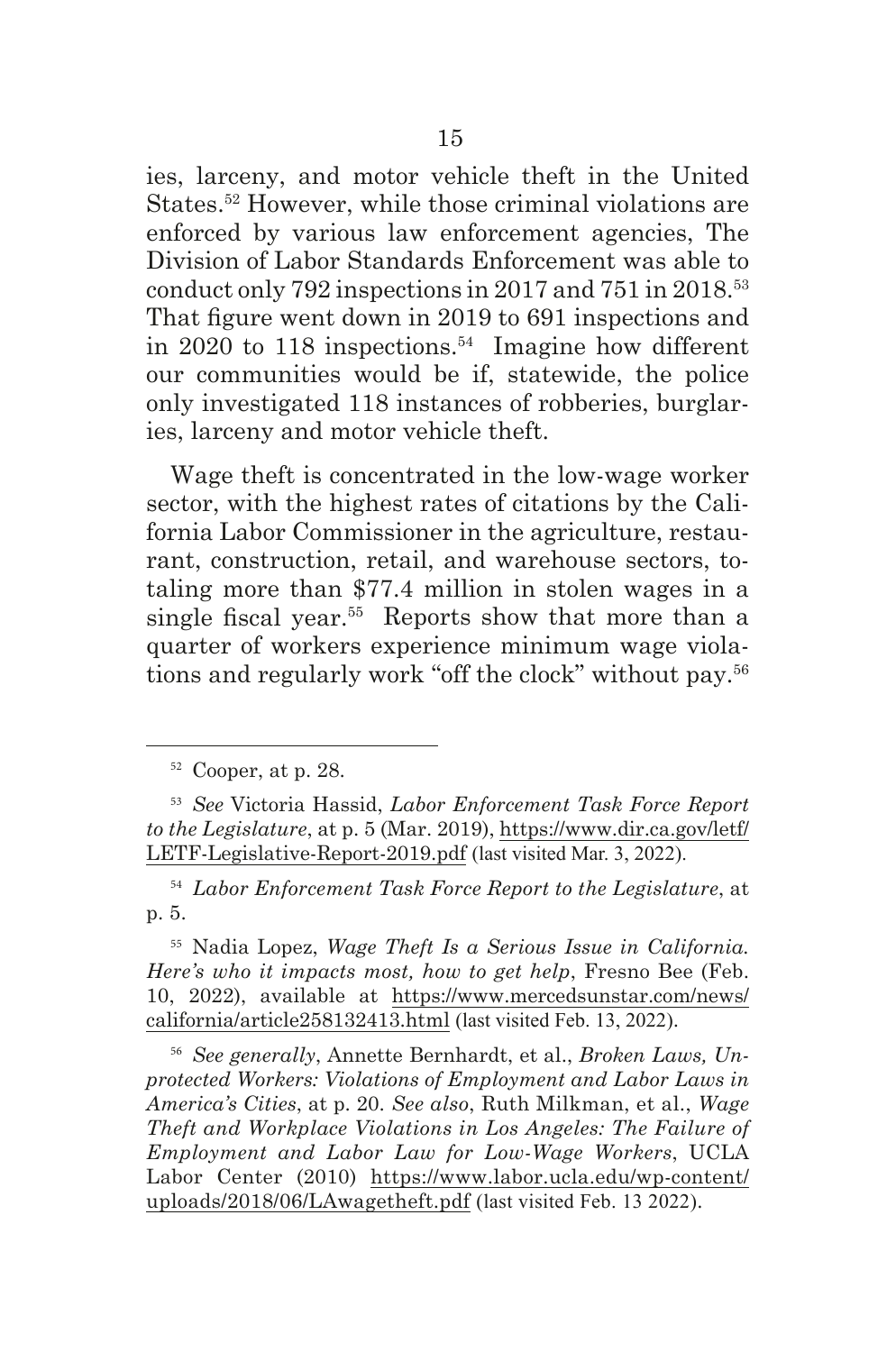ies, larceny, and motor vehicle theft in the United States.52 However, while those criminal violations are enforced by various law enforcement agencies, The Division of Labor Standards Enforcement was able to conduct only 792 inspections in 2017 and 751 in 2018.<sup>53</sup> That fgure went down in 2019 to 691 inspections and in 2020 to 118 inspections.<sup>54</sup> Imagine how different our communities would be if, statewide, the police only investigated 118 instances of robberies, burglaries, larceny and motor vehicle theft.

Wage theft is concentrated in the low-wage worker sector, with the highest rates of citations by the California Labor Commissioner in the agriculture, restaurant, construction, retail, and warehouse sectors, totaling more than \$77.4 million in stolen wages in a single fiscal year.<sup>55</sup> Reports show that more than a quarter of workers experience minimum wage violations and regularly work "off the clock" without pay.56

<sup>52</sup> Cooper, at p. 28.

<sup>53</sup> *See* Victoria Hassid, *Labor Enforcement Task Force Report to the Legislature*, at p. 5 (Mar. 2019), https://www.dir.ca.gov/letf/ LETF-Legislative-Report-2019.pdf (last visited Mar. 3, 2022).

<sup>54</sup> *Labor Enforcement Task Force Report to the Legislature*, at p. 5.

<sup>55</sup> Nadia Lopez, *Wage Theft Is a Serious Issue in California. Here's who it impacts most, how to get help*, Fresno Bee (Feb. 10, 2022), available at https://www.mercedsunstar.com/news/ california/article258132413.html (last visited Feb. 13, 2022).

<sup>56</sup> *See generally*, Annette Bernhardt, et al., *Broken Laws, Unprotected Workers: Violations of Employment and Labor Laws in America's Cities*, at p. 20. *See also*, Ruth Milkman, et al., *Wage Theft and Workplace Violations in Los Angeles: The Failure of Employment and Labor Law for Low-Wage Workers*, UCLA Labor Center (2010) https://www.labor.ucla.edu/wp-content/ uploads/2018/06/LAwagetheft.pdf (last visited Feb. 13 2022).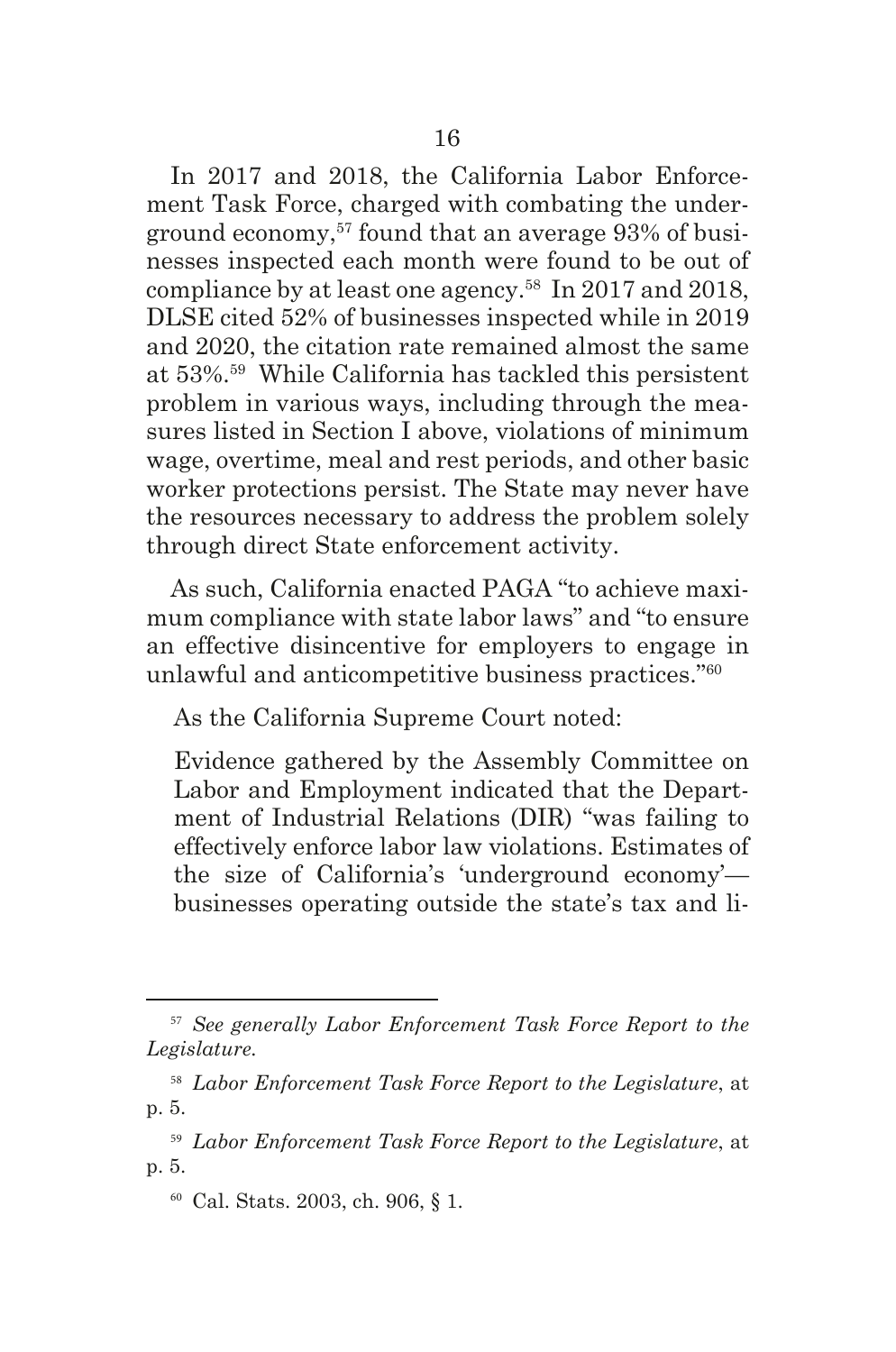In 2017 and 2018, the California Labor Enforcement Task Force, charged with combating the underground economy,57 found that an average 93% of businesses inspected each month were found to be out of compliance by at least one agency.<sup>58</sup> In 2017 and 2018, DLSE cited 52% of businesses inspected while in 2019 and 2020, the citation rate remained almost the same at 53%.59 While California has tackled this persistent problem in various ways, including through the measures listed in Section I above, violations of minimum wage, overtime, meal and rest periods, and other basic worker protections persist. The State may never have the resources necessary to address the problem solely through direct State enforcement activity.

As such, California enacted PAGA "to achieve maximum compliance with state labor laws" and "to ensure an effective disincentive for employers to engage in unlawful and anticompetitive business practices."60

As the California Supreme Court noted:

Evidence gathered by the Assembly Committee on Labor and Employment indicated that the Department of Industrial Relations (DIR) "was failing to effectively enforce labor law violations. Estimates of the size of California's 'underground economy' businesses operating outside the state's tax and li-

<sup>60</sup> Cal. Stats. 2003, ch. 906, § 1.

<sup>57</sup> *See generally Labor Enforcement Task Force Report to the Legislature.* 

<sup>58</sup> *Labor Enforcement Task Force Report to the Legislature*, at p. 5.

<sup>59</sup> *Labor Enforcement Task Force Report to the Legislature*, at p. 5.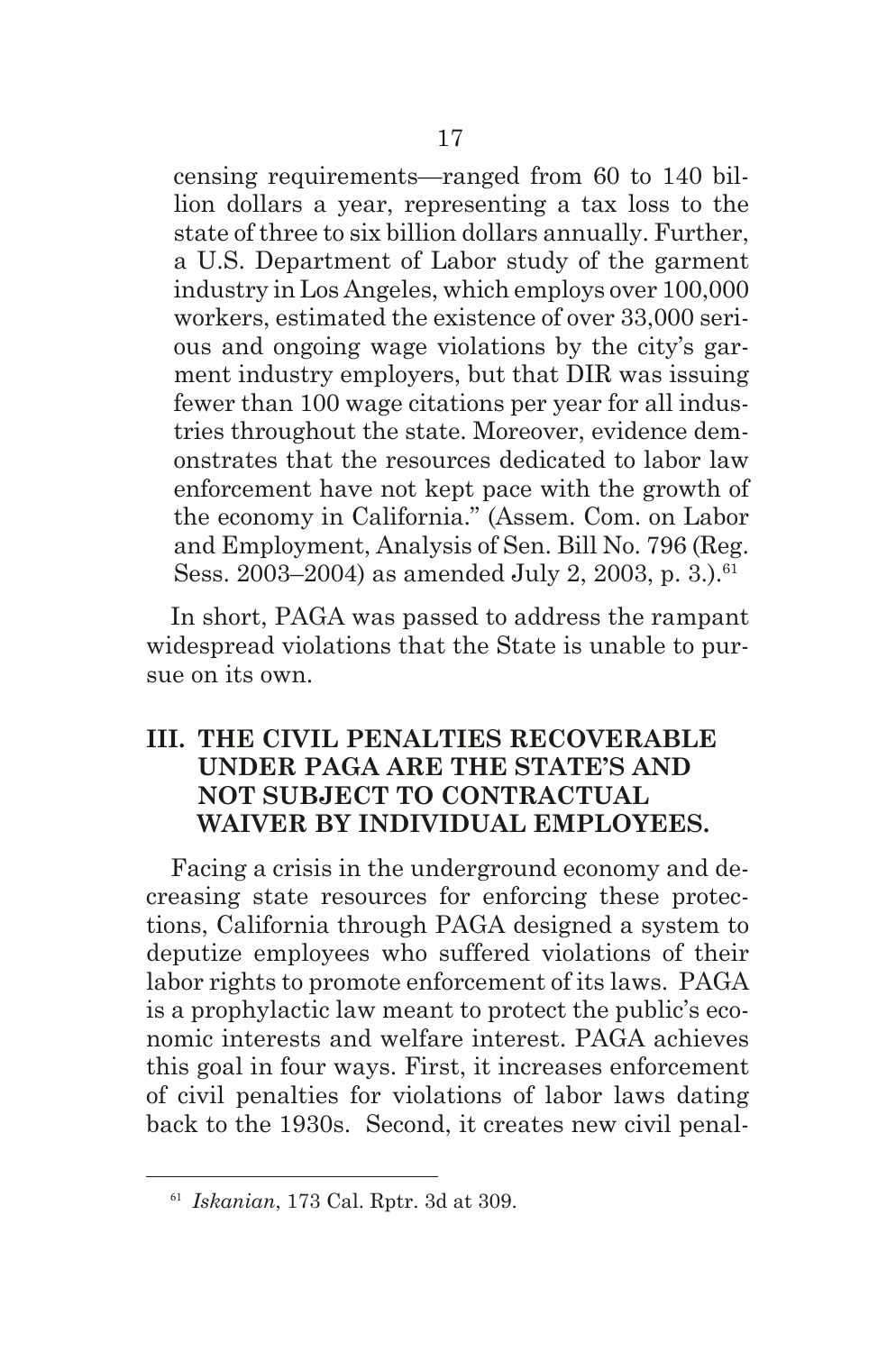censing requirements—ranged from 60 to 140 billion dollars a year, representing a tax loss to the state of three to six billion dollars annually. Further, a U.S. Department of Labor study of the garment industry in Los Angeles, which employs over 100,000 workers, estimated the existence of over 33,000 serious and ongoing wage violations by the city's garment industry employers, but that DIR was issuing fewer than 100 wage citations per year for all industries throughout the state. Moreover, evidence demonstrates that the resources dedicated to labor law enforcement have not kept pace with the growth of the economy in California." (Assem. Com. on Labor and Employment, Analysis of Sen. Bill No. 796 (Reg. Sess. 2003–2004) as amended July 2, 2003, p. 3. $^6$ <sup>61</sup>

In short, PAGA was passed to address the rampant widespread violations that the State is unable to pursue on its own.

## **III. THE CIVIL PENALTIES RECOVERABLE UNDER PAGA ARE THE STATE'S AND NOT SUBJECT TO CONTRACTUAL WAIVER BY INDIVIDUAL EMPLOYEES.**

Facing a crisis in the underground economy and decreasing state resources for enforcing these protections, California through PAGA designed a system to deputize employees who suffered violations of their labor rights to promote enforcement of its laws. PAGA is a prophylactic law meant to protect the public's economic interests and welfare interest. PAGA achieves this goal in four ways. First, it increases enforcement of civil penalties for violations of labor laws dating back to the 1930s. Second, it creates new civil penal-

<sup>61</sup> *Iskanian*, 173 Cal. Rptr. 3d at 309.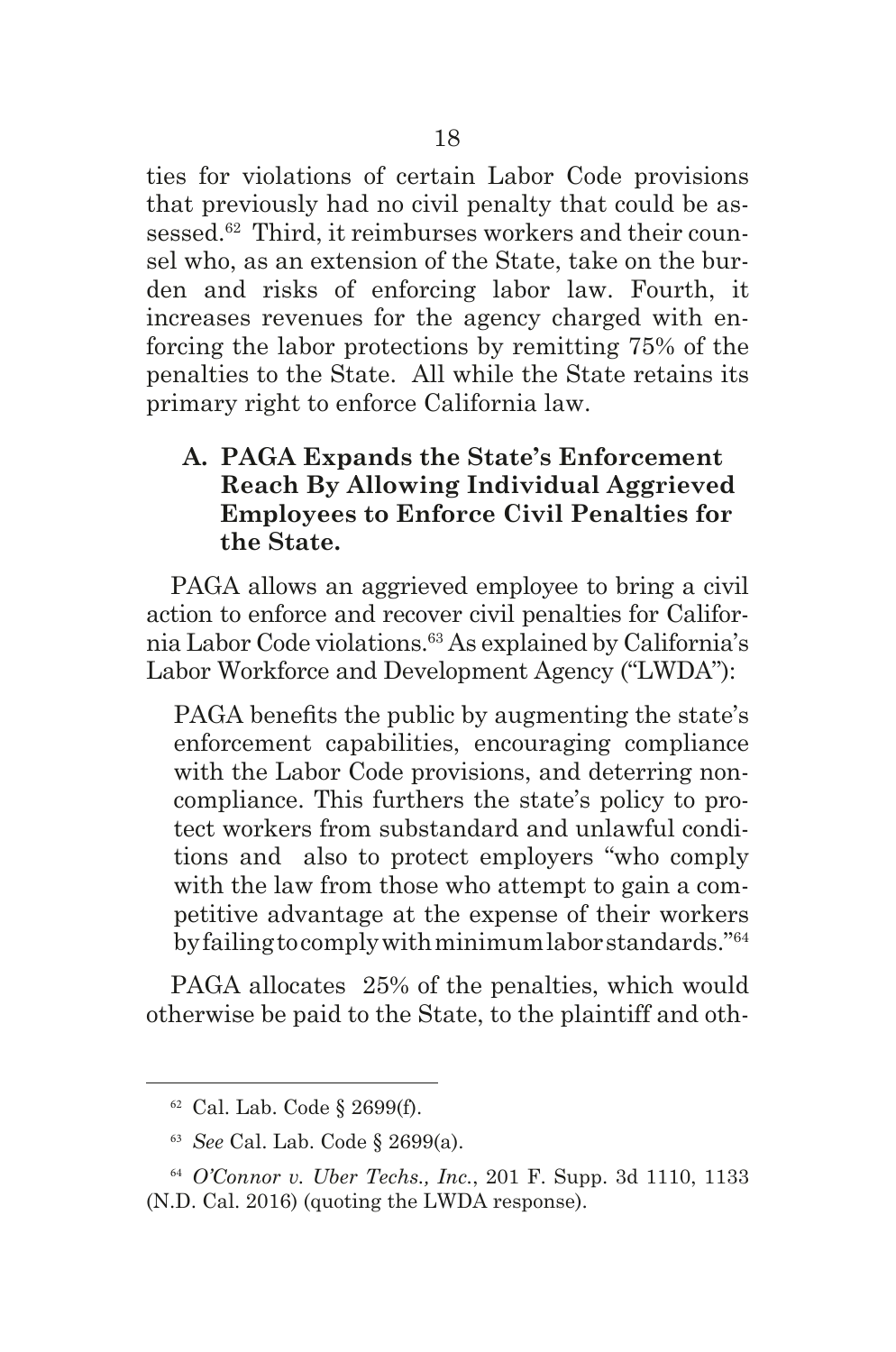ties for violations of certain Labor Code provisions that previously had no civil penalty that could be assessed.<sup>62</sup> Third, it reimburses workers and their counsel who, as an extension of the State, take on the burden and risks of enforcing labor law. Fourth, it increases revenues for the agency charged with enforcing the labor protections by remitting 75% of the penalties to the State. All while the State retains its primary right to enforce California law.

## **A. PAGA Expands the State's Enforcement Reach By Allowing Individual Aggrieved Employees to Enforce Civil Penalties for the State.**

PAGA allows an aggrieved employee to bring a civil action to enforce and recover civil penalties for California Labor Code violations.63 As explained by California's Labor Workforce and Development Agency ("LWDA"):

PAGA benefts the public by augmenting the state's enforcement capabilities, encouraging compliance with the Labor Code provisions, and deterring noncompliance. This furthers the state's policy to protect workers from substandard and unlawful conditions and also to protect employers "who comply with the law from those who attempt to gain a competitive advantage at the expense of their workers by failing to comply with minimum labor standards."64

PAGA allocates 25% of the penalties, which would otherwise be paid to the State, to the plaintiff and oth-

 $62$  Cal. Lab. Code § 2699(f).

<sup>63</sup> *See* Cal. Lab. Code § 2699(a).

<sup>64</sup> *O'Connor v. Uber Techs., Inc.*, 201 F. Supp. 3d 1110, 1133 (N.D. Cal. 2016) (quoting the LWDA response).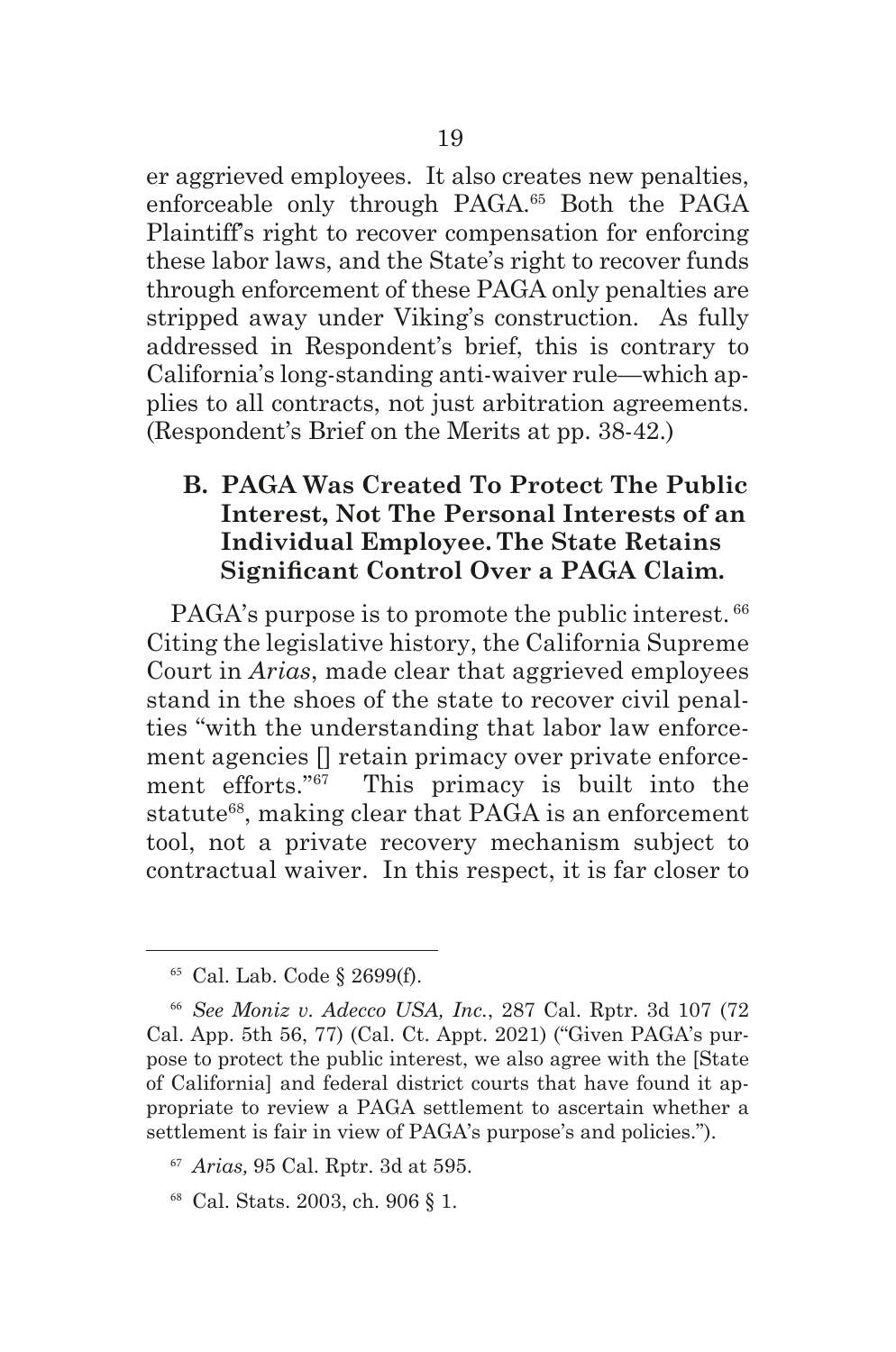er aggrieved employees. It also creates new penalties, enforceable only through PAGA.<sup>65</sup> Both the PAGA Plaintiff's right to recover compensation for enforcing these labor laws, and the State's right to recover funds through enforcement of these PAGA only penalties are stripped away under Viking's construction. As fully addressed in Respondent's brief, this is contrary to California's long-standing anti-waiver rule—which applies to all contracts, not just arbitration agreements. (Respondent's Brief on the Merits at pp. 38-42.)

## **B. PAGA Was Created To Protect The Public Interest, Not The Personal Interests of an Individual Employee. The State Retains Signifcant Control Over a PAGA Claim.**

PAGA's purpose is to promote the public interest.  $66$ Citing the legislative history, the California Supreme Court in *Arias*, made clear that aggrieved employees stand in the shoes of the state to recover civil penalties "with the understanding that labor law enforcement agencies [] retain primacy over private enforcement efforts."67 This primacy is built into the statute<sup>68</sup>, making clear that PAGA is an enforcement tool, not a private recovery mechanism subject to contractual waiver. In this respect, it is far closer to

<sup>65</sup> Cal. Lab. Code § 2699(f).

<sup>66</sup> *See Moniz v. Adecco USA, Inc.*, 287 Cal. Rptr. 3d 107 (72 Cal. App. 5th 56, 77) (Cal. Ct. Appt. 2021) ("Given PAGA's purpose to protect the public interest, we also agree with the [State of California] and federal district courts that have found it appropriate to review a PAGA settlement to ascertain whether a settlement is fair in view of PAGA's purpose's and policies.").

<sup>67</sup> *Arias,* 95 Cal. Rptr. 3d at 595.

<sup>68</sup> Cal. Stats. 2003, ch. 906 § 1.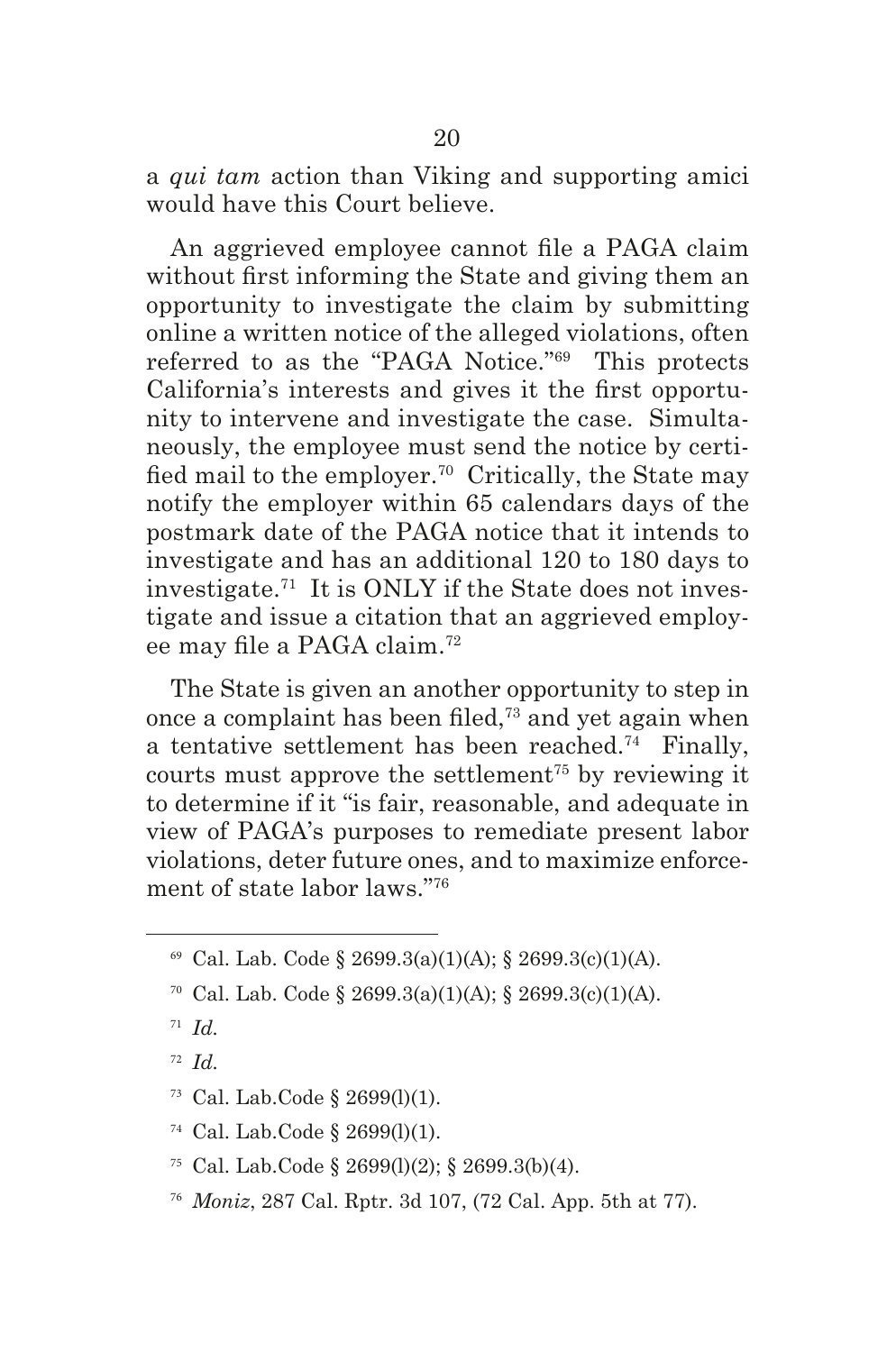a *qui tam* action than Viking and supporting amici would have this Court believe.

An aggrieved employee cannot fle a PAGA claim without frst informing the State and giving them an opportunity to investigate the claim by submitting online a written notice of the alleged violations, often referred to as the "PAGA Notice."69 This protects California's interests and gives it the frst opportunity to intervene and investigate the case. Simultaneously, the employee must send the notice by certifed mail to the employer.70 Critically, the State may notify the employer within 65 calendars days of the postmark date of the PAGA notice that it intends to investigate and has an additional 120 to 180 days to investigate.71 It is ONLY if the State does not investigate and issue a citation that an aggrieved employee may fle a PAGA claim.<sup>72</sup>

The State is given an another opportunity to step in once a complaint has been fled,73 and yet again when a tentative settlement has been reached.74 Finally, courts must approve the settlement<sup> $75$ </sup> by reviewing it to determine if it "is fair, reasonable, and adequate in view of PAGA's purposes to remediate present labor violations, deter future ones, and to maximize enforcement of state labor laws."76

- <sup>75</sup> Cal. Lab.Code § 2699(l)(2); § 2699.3(b)(4).
- <sup>76</sup> *Moniz*, 287 Cal. Rptr. 3d 107, (72 Cal. App. 5th at 77).

<sup>69</sup> Cal. Lab. Code § 2699.3(a)(1)(A); § 2699.3(c)(1)(A).

<sup>70</sup> Cal. Lab. Code § 2699.3(a)(1)(A); § 2699.3(c)(1)(A).

<sup>71</sup> *Id.*

<sup>72</sup> *Id.*

 $73$  Cal. Lab. Code  $\S$  2699(l)(1).

 $74$  Cal. Lab. Code § 2699(1)(1).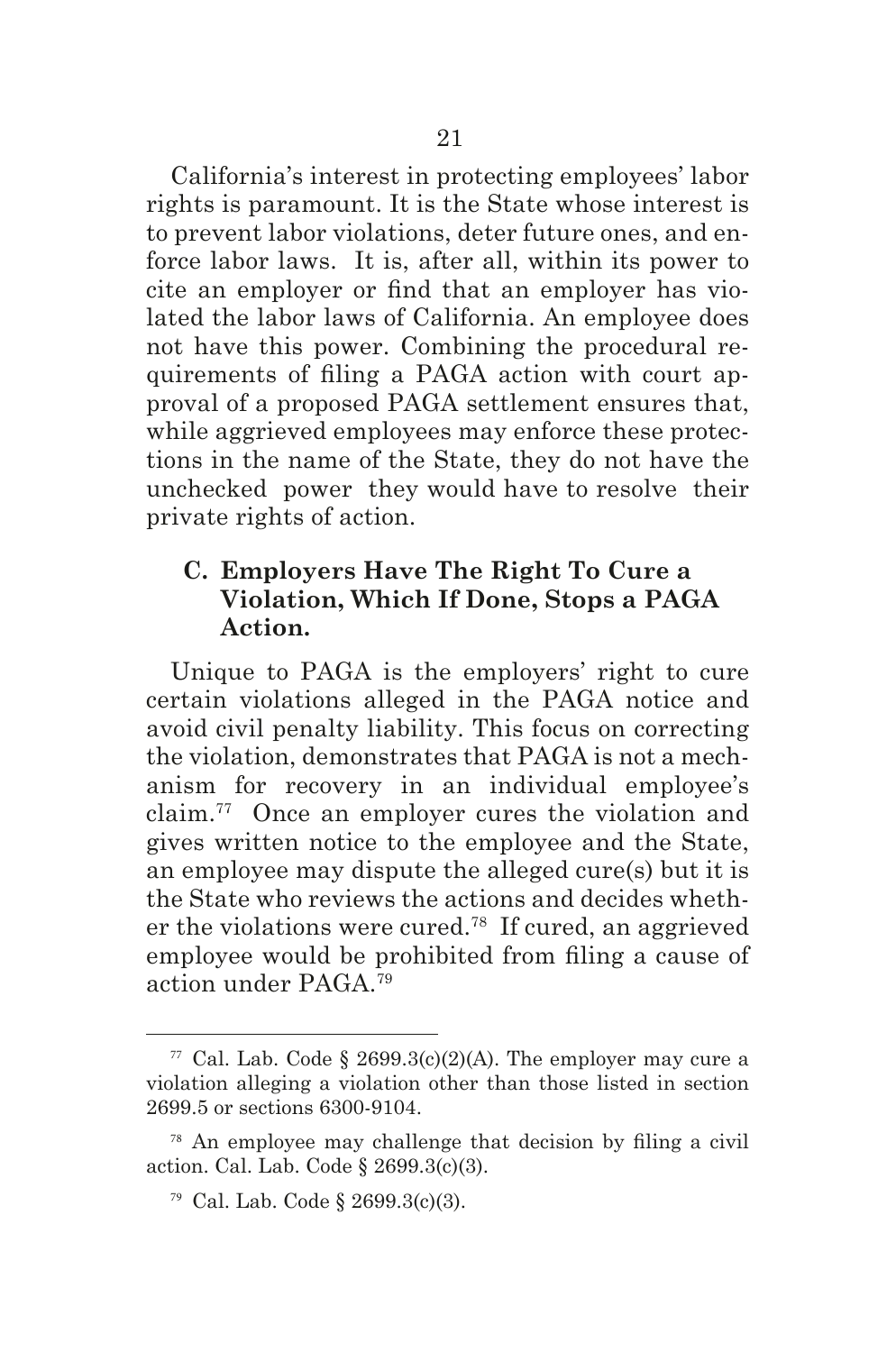California's interest in protecting employees' labor rights is paramount. It is the State whose interest is to prevent labor violations, deter future ones, and enforce labor laws. It is, after all, within its power to cite an employer or fnd that an employer has violated the labor laws of California. An employee does not have this power. Combining the procedural requirements of fling a PAGA action with court approval of a proposed PAGA settlement ensures that, while aggrieved employees may enforce these protections in the name of the State, they do not have the unchecked power they would have to resolve their private rights of action.

## **C. Employers Have The Right To Cure a Violation, Which If Done, Stops a PAGA Action.**

Unique to PAGA is the employers' right to cure certain violations alleged in the PAGA notice and avoid civil penalty liability. This focus on correcting the violation, demonstrates that PAGA is not a mechanism for recovery in an individual employee's claim.77 Once an employer cures the violation and gives written notice to the employee and the State, an employee may dispute the alleged cure(s) but it is the State who reviews the actions and decides whether the violations were cured.78 If cured, an aggrieved employee would be prohibited from fling a cause of action under PAGA.79

<sup>&</sup>lt;sup>77</sup> Cal. Lab. Code § 2699.3(c)(2)(A). The employer may cure a violation alleging a violation other than those listed in section 2699.5 or sections 6300-9104.

<sup>78</sup> An employee may challenge that decision by fling a civil action. Cal. Lab. Code § 2699.3(c)(3).

<sup>79</sup> Cal. Lab. Code § 2699.3(c)(3).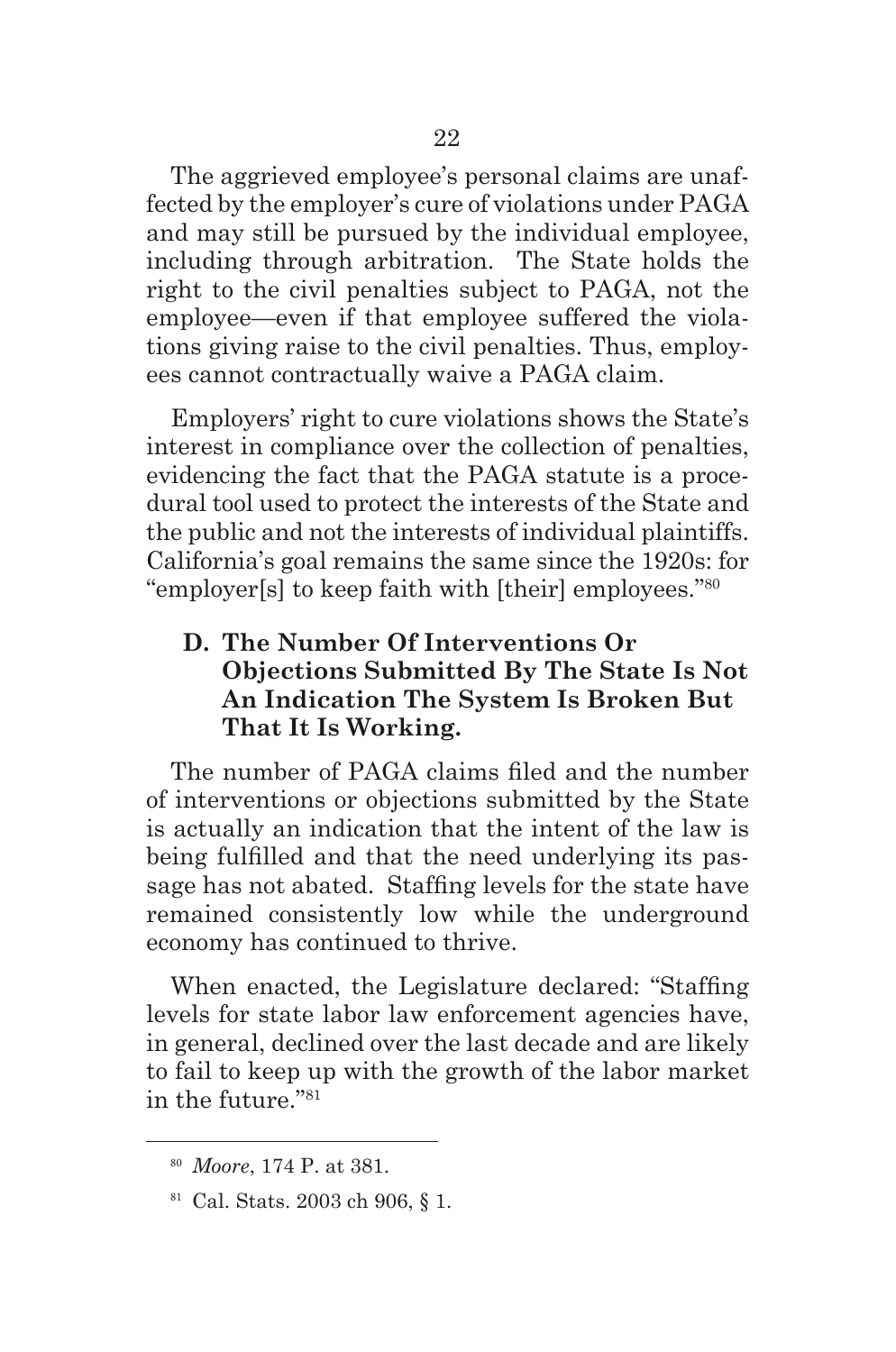The aggrieved employee's personal claims are unaffected by the employer's cure of violations under PAGA and may still be pursued by the individual employee, including through arbitration. The State holds the right to the civil penalties subject to PAGA, not the employee—even if that employee suffered the violations giving raise to the civil penalties. Thus, employees cannot contractually waive a PAGA claim.

Employers' right to cure violations shows the State's interest in compliance over the collection of penalties, evidencing the fact that the PAGA statute is a procedural tool used to protect the interests of the State and the public and not the interests of individual plaintiffs. California's goal remains the same since the 1920s: for "employer[s] to keep faith with [their] employees."80

## **D. The Number Of Interventions Or Objections Submitted By The State Is Not An Indication The System Is Broken But That It Is Working.**

The number of PAGA claims fled and the number of interventions or objections submitted by the State is actually an indication that the intent of the law is being fulflled and that the need underlying its passage has not abated. Staffng levels for the state have remained consistently low while the underground economy has continued to thrive.

When enacted, the Legislature declared: "Staffng levels for state labor law enforcement agencies have, in general, declined over the last decade and are likely to fail to keep up with the growth of the labor market in the future."81

<sup>80</sup> *Moore*, 174 P. at 381.

<sup>81</sup> Cal. Stats. 2003 ch 906, § 1.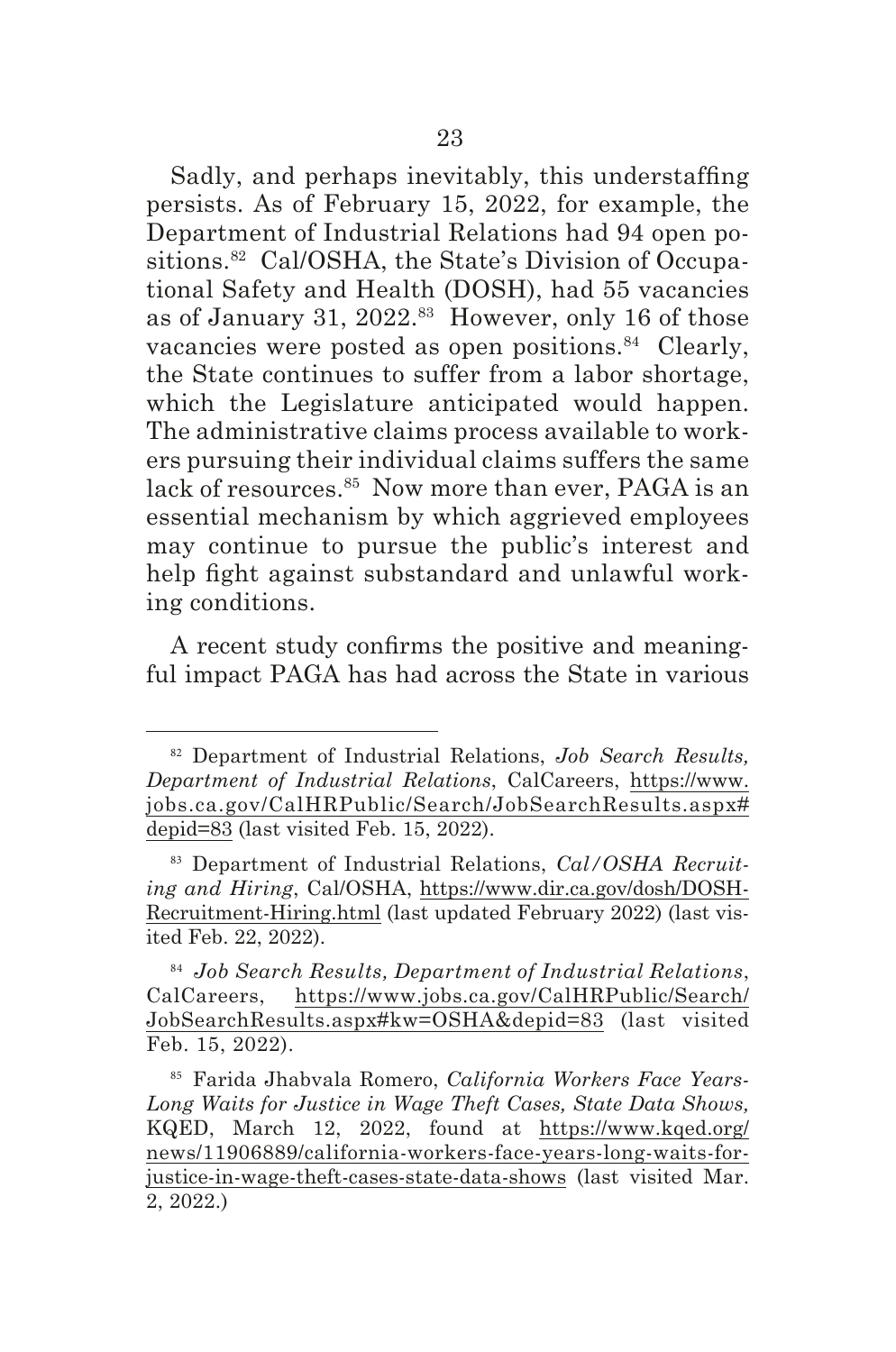Sadly, and perhaps inevitably, this understaffng persists. As of February 15, 2022, for example, the Department of Industrial Relations had 94 open positions.<sup>82</sup> Cal/OSHA, the State's Division of Occupational Safety and Health (DOSH), had 55 vacancies as of January 31, 2022.83 However, only 16 of those vacancies were posted as open positions.<sup>84</sup> Clearly, the State continues to suffer from a labor shortage, which the Legislature anticipated would happen. The administrative claims process available to workers pursuing their individual claims suffers the same lack of resources.<sup>85</sup> Now more than ever, PAGA is an essential mechanism by which aggrieved employees may continue to pursue the public's interest and help fght against substandard and unlawful working conditions.

A recent study confrms the positive and meaningful impact PAGA has had across the State in various

<sup>82</sup> Department of Industrial Relations, *Job Search Results, Department of Industrial Relations*, CalCareers, https://www. jobs.ca.gov/CalHRPublic/Search/JobSearchResults.aspx# depid=83 (last visited Feb. 15, 2022).

<sup>83</sup> Department of Industrial Relations, *Cal/OSHA Recruiting and Hiring*, Cal/OSHA, https://www.dir.ca.gov/dosh/DOSH-Recruitment-Hiring.html (last updated February 2022) (last visited Feb. 22, 2022).

<sup>84</sup> *Job Search Results, Department of Industrial Relations*, CalCareers, https://www.jobs.ca.gov/CalHRPublic/Search/ JobSearchResults.aspx#kw=OSHA&depid=83 (last visited Feb. 15, 2022).

<sup>85</sup> Farida Jhabvala Romero, *California Workers Face Years-Long Waits for Justice in Wage Theft Cases, State Data Shows,*  KQED, March 12, 2022, found at https://www.kqed.org/ news/11906889/california-workers-face-years-long-waits-forjustice-in-wage-theft-cases-state-data-shows (last visited Mar. 2, 2022.)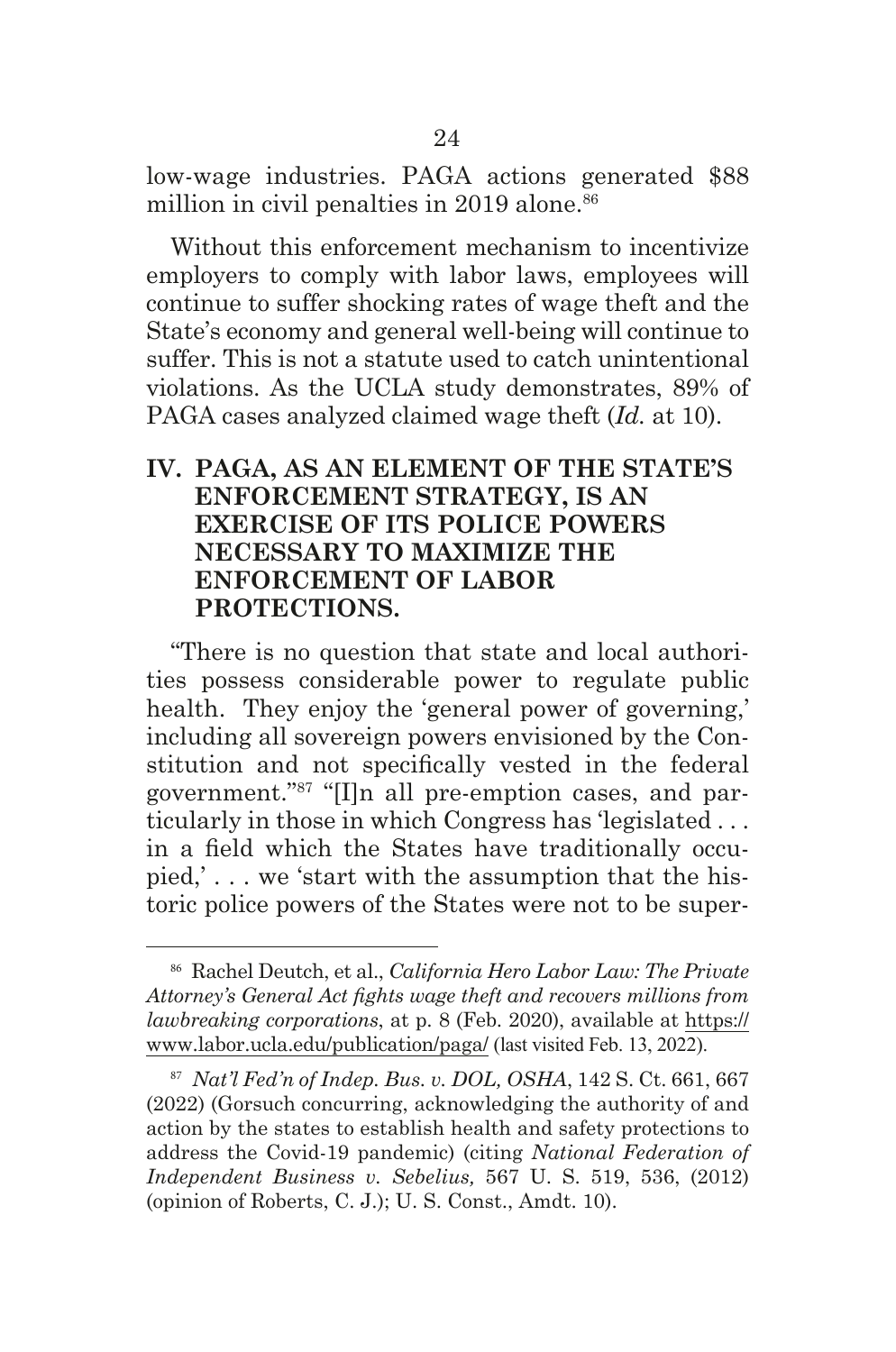low-wage industries. PAGA actions generated \$88 million in civil penalties in 2019 alone.<sup>86</sup>

Without this enforcement mechanism to incentivize employers to comply with labor laws, employees will continue to suffer shocking rates of wage theft and the State's economy and general well-being will continue to suffer. This is not a statute used to catch unintentional violations. As the UCLA study demonstrates, 89% of PAGA cases analyzed claimed wage theft (*Id.* at 10).

### **IV. PAGA, AS AN ELEMENT OF THE STATE'S ENFORCEMENT STRATEGY, IS AN EXERCISE OF ITS POLICE POWERS NECESSARY TO MAXIMIZE THE ENFORCEMENT OF LABOR PROTECTIONS.**

"There is no question that state and local authorities possess considerable power to regulate public health. They enjoy the 'general power of governing,' including all sovereign powers envisioned by the Constitution and not specifcally vested in the federal government."87 "[I]n all pre-emption cases, and particularly in those in which Congress has 'legislated . . . in a feld which the States have traditionally occupied,' . . . we 'start with the assumption that the historic police powers of the States were not to be super-

<sup>86</sup> Rachel Deutch, et al., *California Hero Labor Law: The Private Attorney's General Act fghts wage theft and recovers millions from lawbreaking corporations*, at p. 8 (Feb. 2020), available at https:// www.labor.ucla.edu/publication/paga/ (last visited Feb. 13, 2022).

<sup>87</sup> *Nat'l Fed'n of Indep. Bus. v. DOL, OSHA*, 142 S. Ct. 661, 667 (2022) (Gorsuch concurring, acknowledging the authority of and action by the states to establish health and safety protections to address the Covid-19 pandemic) (citing *National Federation of Independent Business v. Sebelius,* 567 U. S. 519, 536, (2012) (opinion of Roberts, C. J.); U. S. Const., Amdt. 10).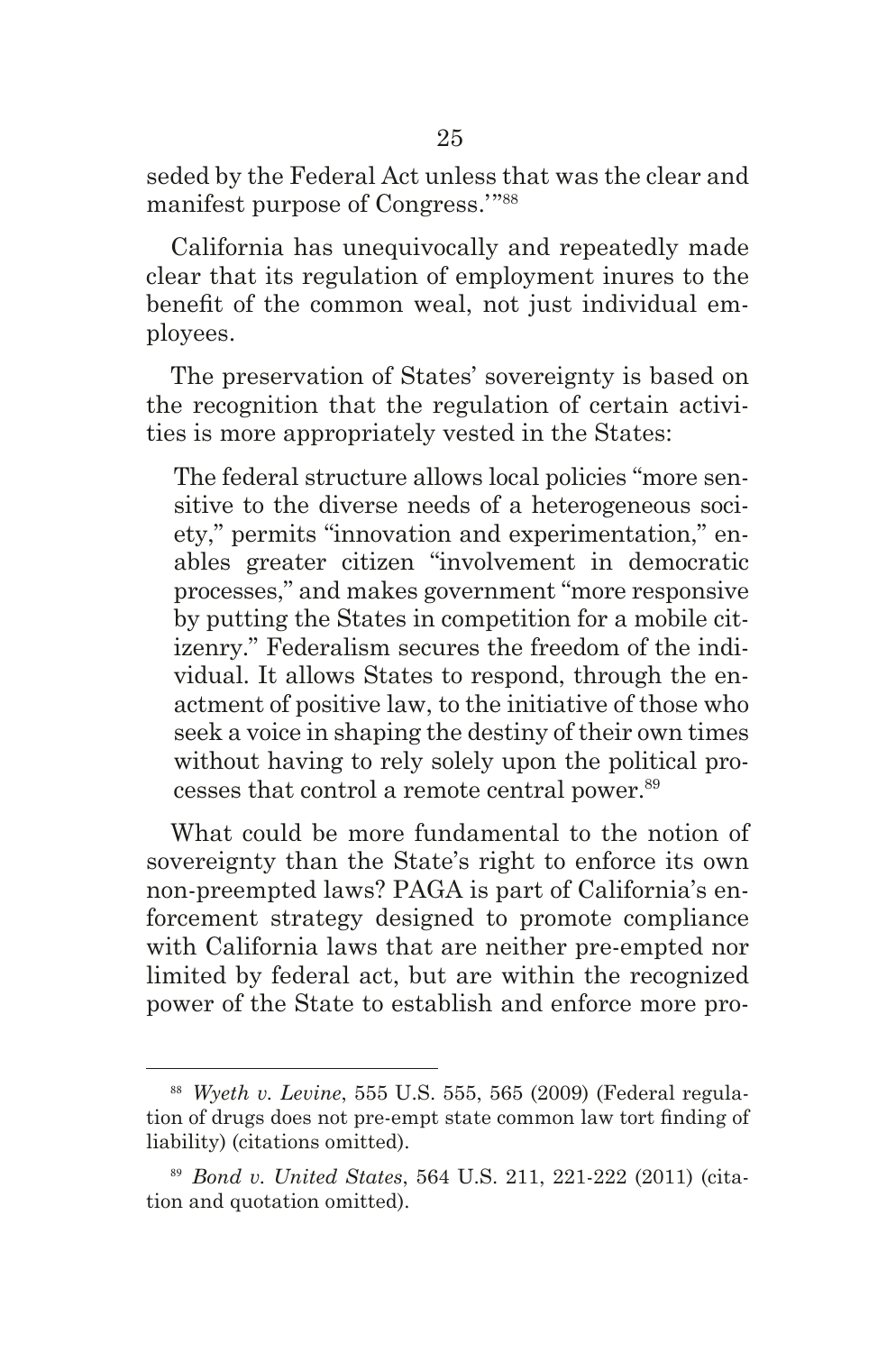seded by the Federal Act unless that was the clear and manifest purpose of Congress.'"88

California has unequivocally and repeatedly made clear that its regulation of employment inures to the beneft of the common weal, not just individual employees.

The preservation of States' sovereignty is based on the recognition that the regulation of certain activities is more appropriately vested in the States:

The federal structure allows local policies "more sensitive to the diverse needs of a heterogeneous society," permits "innovation and experimentation," enables greater citizen "involvement in democratic processes," and makes government "more responsive by putting the States in competition for a mobile citizenry." Federalism secures the freedom of the individual. It allows States to respond, through the enactment of positive law, to the initiative of those who seek a voice in shaping the destiny of their own times without having to rely solely upon the political processes that control a remote central power.<sup>89</sup>

What could be more fundamental to the notion of sovereignty than the State's right to enforce its own non-preempted laws? PAGA is part of California's enforcement strategy designed to promote compliance with California laws that are neither pre-empted nor limited by federal act, but are within the recognized power of the State to establish and enforce more pro-

<sup>88</sup> *Wyeth v. Levine*, 555 U.S. 555, 565 (2009) (Federal regulation of drugs does not pre-empt state common law tort fnding of liability) (citations omitted).

<sup>89</sup> *Bond v. United States*, 564 U.S. 211, 221-222 (2011) (citation and quotation omitted).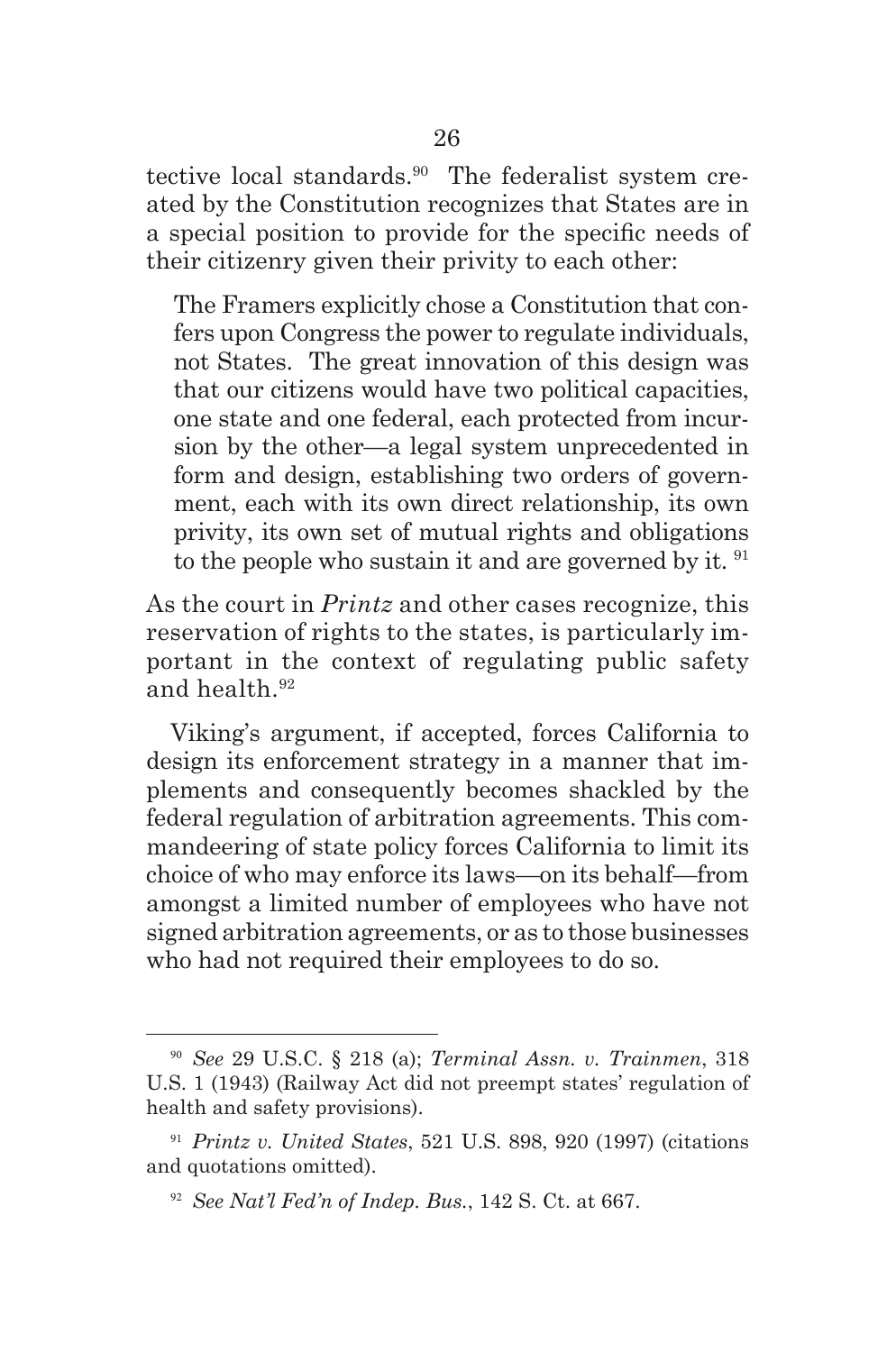tective local standards.90 The federalist system created by the Constitution recognizes that States are in a special position to provide for the specifc needs of their citizenry given their privity to each other:

The Framers explicitly chose a Constitution that confers upon Congress the power to regulate individuals, not States. The great innovation of this design was that our citizens would have two political capacities, one state and one federal, each protected from incursion by the other—a legal system unprecedented in form and design, establishing two orders of government, each with its own direct relationship, its own privity, its own set of mutual rights and obligations to the people who sustain it and are governed by it. <sup>91</sup>

As the court in *Printz* and other cases recognize, this reservation of rights to the states, is particularly important in the context of regulating public safety and health.92

Viking's argument, if accepted, forces California to design its enforcement strategy in a manner that implements and consequently becomes shackled by the federal regulation of arbitration agreements. This commandeering of state policy forces California to limit its choice of who may enforce its laws—on its behalf—from amongst a limited number of employees who have not signed arbitration agreements, or as to those businesses who had not required their employees to do so.

<sup>90</sup> *See* 29 U.S.C. § 218 (a); *Terminal Assn. v. Trainmen*, 318 U.S. 1 (1943) (Railway Act did not preempt states' regulation of health and safety provisions).

<sup>91</sup> *Printz v. United States*, 521 U.S. 898, 920 (1997) (citations and quotations omitted).

<sup>92</sup> *See Nat'l Fed'n of Indep. Bus.*, 142 S. Ct. at 667.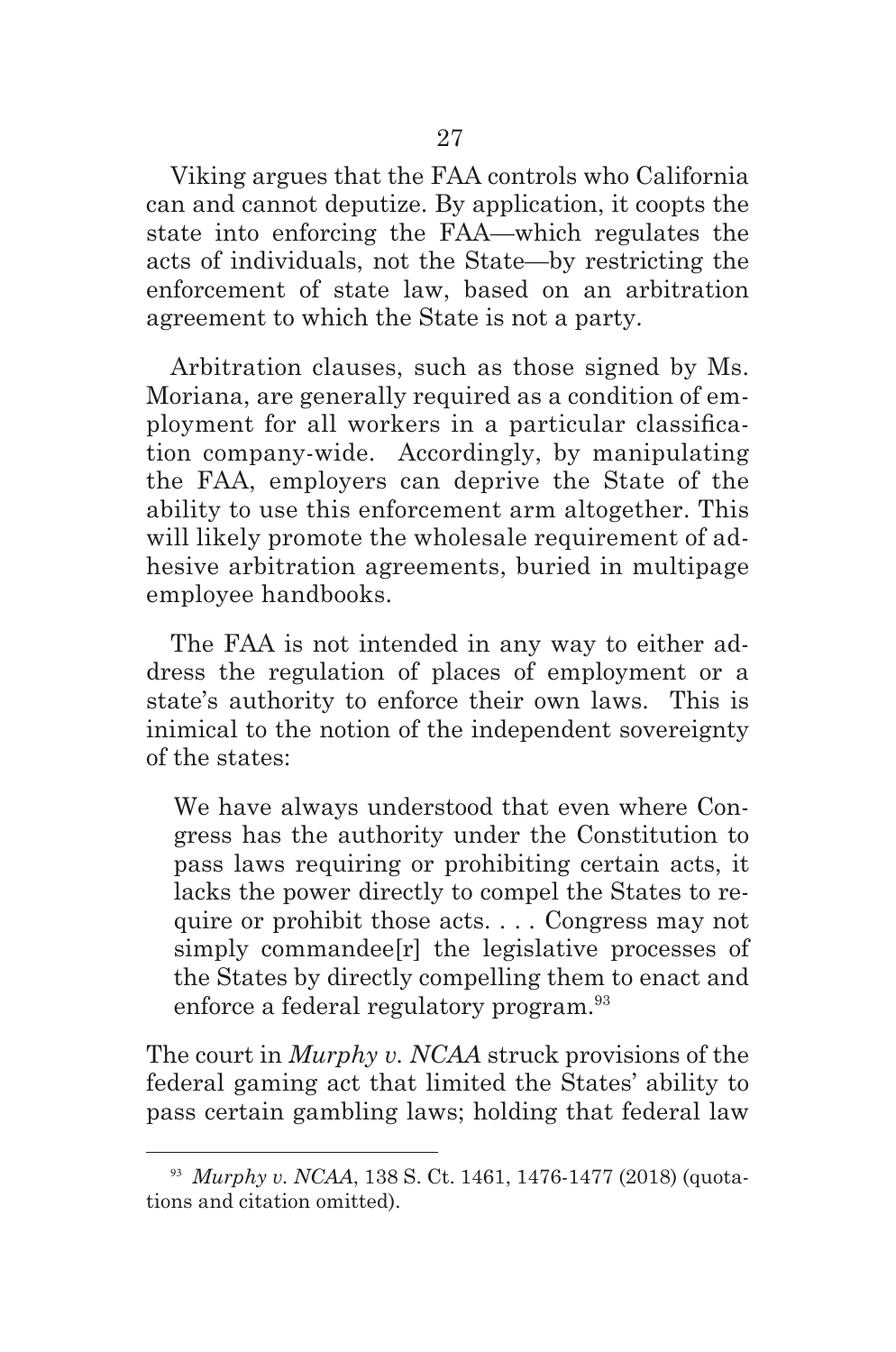Viking argues that the FAA controls who California can and cannot deputize. By application, it coopts the state into enforcing the FAA—which regulates the acts of individuals, not the State—by restricting the enforcement of state law, based on an arbitration agreement to which the State is not a party.

Arbitration clauses, such as those signed by Ms. Moriana, are generally required as a condition of employment for all workers in a particular classifcation company-wide. Accordingly, by manipulating the FAA, employers can deprive the State of the ability to use this enforcement arm altogether. This will likely promote the wholesale requirement of adhesive arbitration agreements, buried in multipage employee handbooks.

The FAA is not intended in any way to either address the regulation of places of employment or a state's authority to enforce their own laws. This is inimical to the notion of the independent sovereignty of the states:

We have always understood that even where Congress has the authority under the Constitution to pass laws requiring or prohibiting certain acts, it lacks the power directly to compel the States to require or prohibit those acts. . . *.* Congress may not simply commandee[r] the legislative processes of the States by directly compelling them to enact and enforce a federal regulatory program.<sup>93</sup>

The court in *Murphy v. NCAA* struck provisions of the federal gaming act that limited the States' ability to pass certain gambling laws; holding that federal law

<sup>93</sup> *Murphy v. NCAA*, 138 S. Ct. 1461, 1476-1477 (2018) (quotations and citation omitted).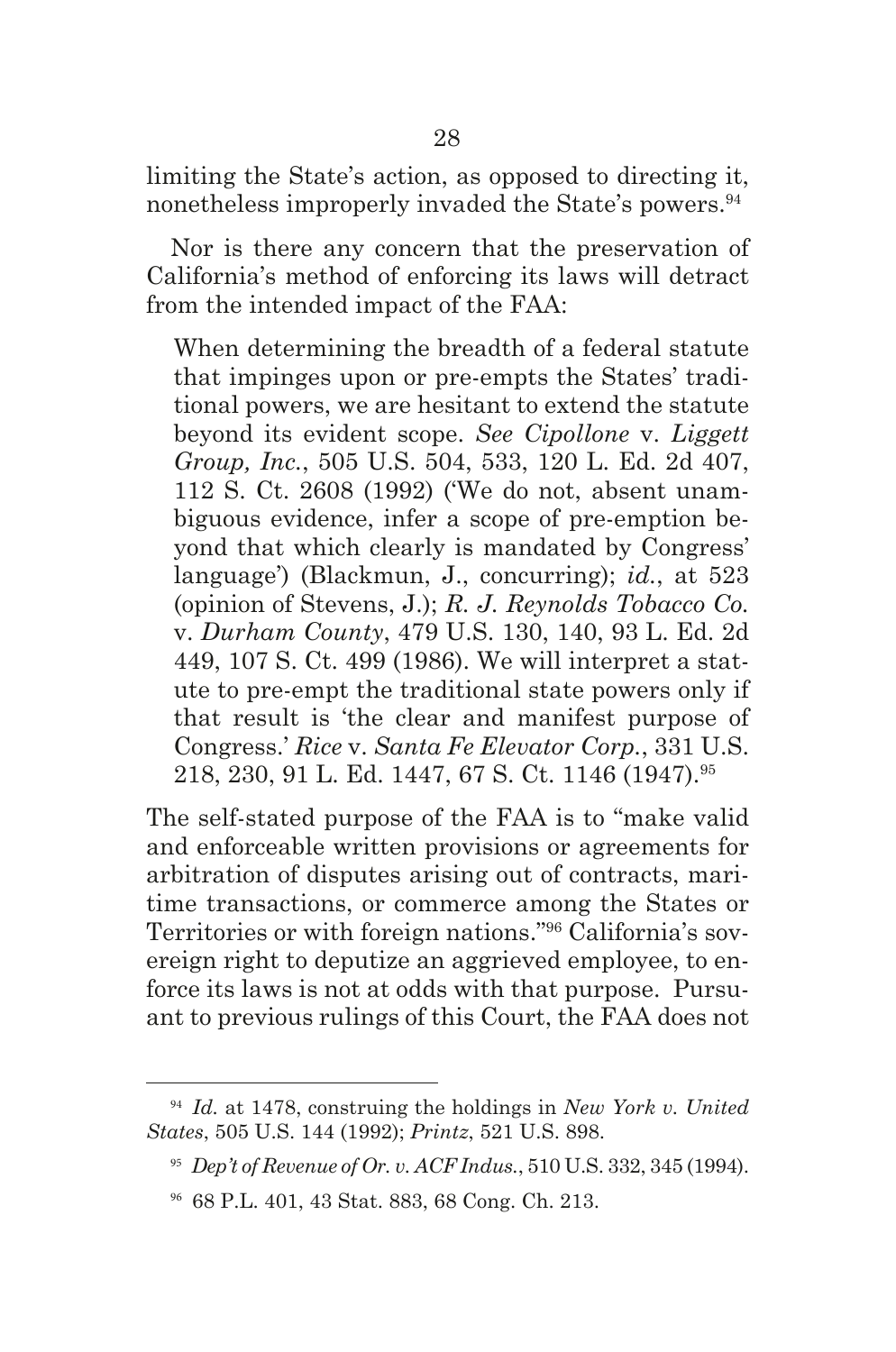limiting the State's action, as opposed to directing it, nonetheless improperly invaded the State's powers.<sup>94</sup>

Nor is there any concern that the preservation of California's method of enforcing its laws will detract from the intended impact of the FAA:

When determining the breadth of a federal statute that impinges upon or pre-empts the States' traditional powers, we are hesitant to extend the statute beyond its evident scope. *See Cipollone* v. *Liggett Group, Inc.*, 505 U.S. 504, 533, 120 L. Ed. 2d 407, 112 S. Ct. 2608 (1992) ('We do not, absent unambiguous evidence, infer a scope of pre-emption beyond that which clearly is mandated by Congress' language') (Blackmun, J., concurring); *id.*, at 523 (opinion of Stevens, J.); *R. J. Reynolds Tobacco Co.* v. *Durham County*, 479 U.S. 130, 140, 93 L. Ed. 2d 449, 107 S. Ct. 499 (1986). We will interpret a statute to pre-empt the traditional state powers only if that result is 'the clear and manifest purpose of Congress.' *Rice* v. *Santa Fe Elevator Corp.*, 331 U.S. 218, 230, 91 L. Ed. 1447, 67 S. Ct. 1146 (1947).95

The self-stated purpose of the FAA is to "make valid and enforceable written provisions or agreements for arbitration of disputes arising out of contracts, maritime transactions, or commerce among the States or Territories or with foreign nations."96 California's sovereign right to deputize an aggrieved employee, to enforce its laws is not at odds with that purpose. Pursuant to previous rulings of this Court, the FAA does not

<sup>94</sup> *Id.* at 1478, construing the holdings in *New York v. United States*, 505 U.S. 144 (1992); *Printz*, 521 U.S. 898.

<sup>95</sup> *Dep't of Revenue of Or. v. ACF Indus.*, 510 U.S. 332, 345 (1994).

<sup>96</sup> 68 P.L. 401, 43 Stat. 883, 68 Cong. Ch. 213.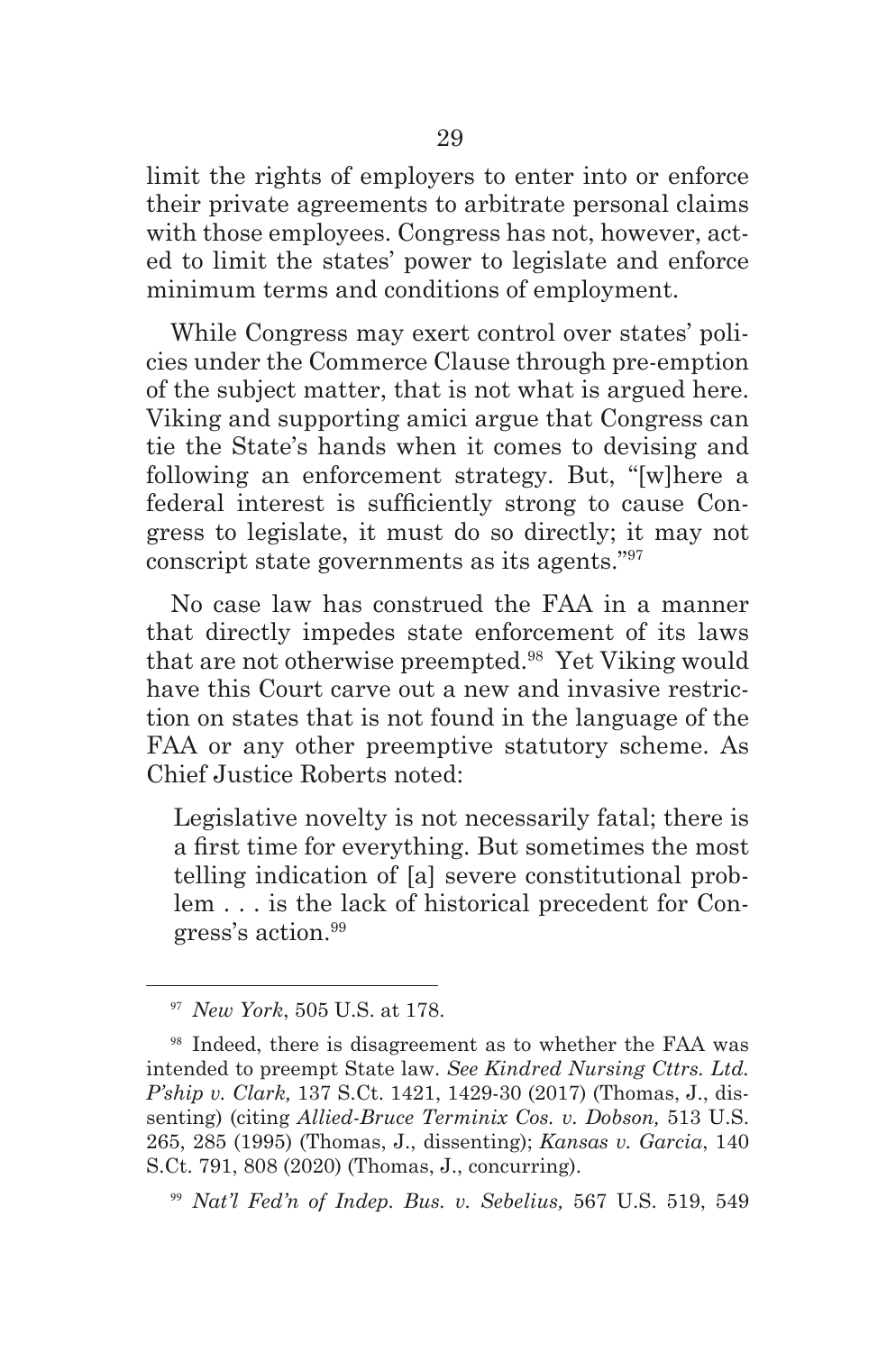limit the rights of employers to enter into or enforce their private agreements to arbitrate personal claims with those employees. Congress has not, however, acted to limit the states' power to legislate and enforce minimum terms and conditions of employment.

While Congress may exert control over states' policies under the Commerce Clause through pre-emption of the subject matter, that is not what is argued here. Viking and supporting amici argue that Congress can tie the State's hands when it comes to devising and following an enforcement strategy. But, "[w]here a federal interest is sufficiently strong to cause Congress to legislate, it must do so directly; it may not conscript state governments as its agents."97

No case law has construed the FAA in a manner that directly impedes state enforcement of its laws that are not otherwise preempted.98 Yet Viking would have this Court carve out a new and invasive restriction on states that is not found in the language of the FAA or any other preemptive statutory scheme. As Chief Justice Roberts noted:

Legislative novelty is not necessarily fatal; there is a frst time for everything. But sometimes the most telling indication of [a] severe constitutional problem . . . is the lack of historical precedent for Congress's action.<sup>99</sup>

<sup>97</sup> *New York*, 505 U.S. at 178.

<sup>98</sup> Indeed, there is disagreement as to whether the FAA was intended to preempt State law. *See Kindred Nursing Cttrs. Ltd. P'ship v. Clark,* 137 S.Ct. 1421, 1429-30 (2017) (Thomas, J., dissenting) (citing *Allied-Bruce Terminix Cos. v. Dobson,* 513 U.S. 265, 285 (1995) (Thomas, J., dissenting); *Kansas v. Garcia*, 140 S.Ct. 791, 808 (2020) (Thomas, J., concurring).

<sup>99</sup> *Nat'l Fed'n of Indep. Bus. v. Sebelius,* 567 U.S. 519, 549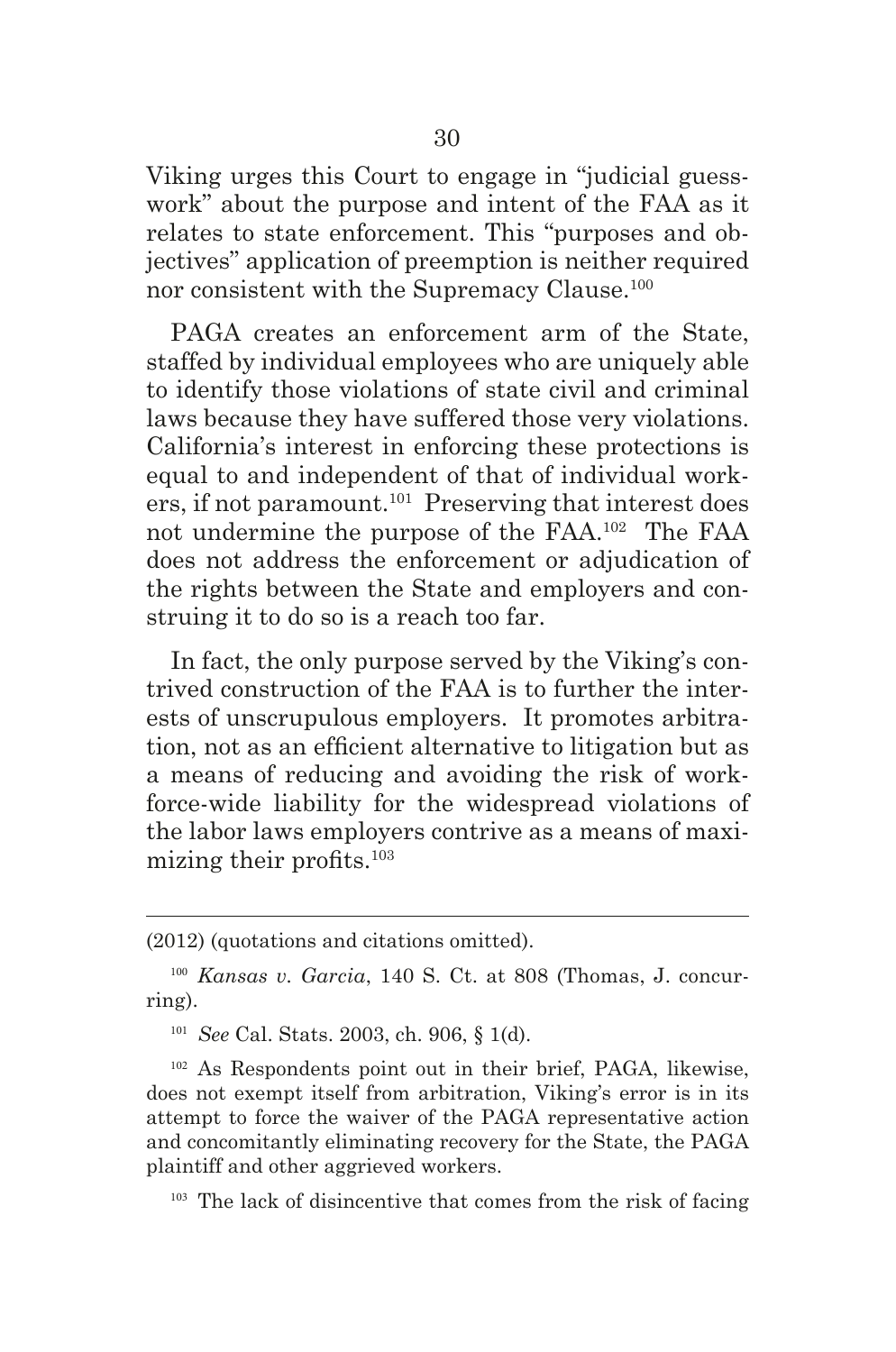Viking urges this Court to engage in "judicial guesswork" about the purpose and intent of the FAA as it relates to state enforcement. This "purposes and objectives" application of preemption is neither required nor consistent with the Supremacy Clause.<sup>100</sup>

PAGA creates an enforcement arm of the State, staffed by individual employees who are uniquely able to identify those violations of state civil and criminal laws because they have suffered those very violations. California's interest in enforcing these protections is equal to and independent of that of individual workers, if not paramount.<sup>101</sup> Preserving that interest does not undermine the purpose of the FAA.102 The FAA does not address the enforcement or adjudication of the rights between the State and employers and construing it to do so is a reach too far.

In fact, the only purpose served by the Viking's contrived construction of the FAA is to further the interests of unscrupulous employers. It promotes arbitration, not as an efficient alternative to litigation but as a means of reducing and avoiding the risk of workforce-wide liability for the widespread violations of the labor laws employers contrive as a means of maximizing their profts.<sup>103</sup>

<sup>(2012) (</sup>quotations and citations omitted).

<sup>100</sup> *Kansas v. Garcia*, 140 S. Ct. at 808 (Thomas, J. concurring).

<sup>101</sup> *See* Cal. Stats. 2003, ch. 906, § 1(d).

<sup>102</sup> As Respondents point out in their brief, PAGA, likewise, does not exempt itself from arbitration, Viking's error is in its attempt to force the waiver of the PAGA representative action and concomitantly eliminating recovery for the State, the PAGA plaintiff and other aggrieved workers.

<sup>&</sup>lt;sup>103</sup> The lack of disincentive that comes from the risk of facing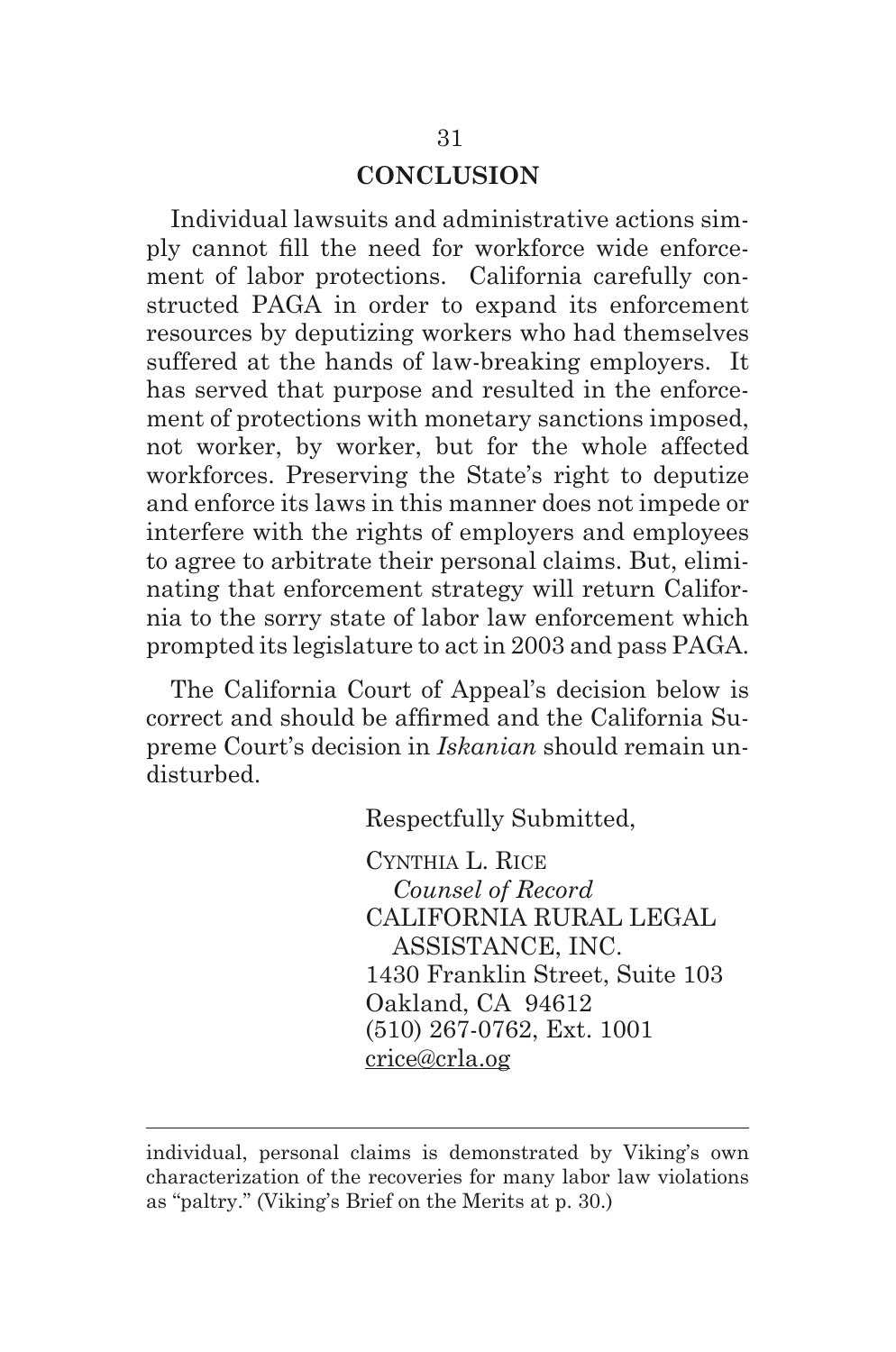#### **CONCLUSION**

Individual lawsuits and administrative actions simply cannot fll the need for workforce wide enforcement of labor protections. California carefully constructed PAGA in order to expand its enforcement resources by deputizing workers who had themselves suffered at the hands of law-breaking employers. It has served that purpose and resulted in the enforcement of protections with monetary sanctions imposed, not worker, by worker, but for the whole affected workforces. Preserving the State's right to deputize and enforce its laws in this manner does not impede or interfere with the rights of employers and employees to agree to arbitrate their personal claims. But, eliminating that enforcement strategy will return California to the sorry state of labor law enforcement which prompted its legislature to act in 2003 and pass PAGA.

The California Court of Appeal's decision below is correct and should be affrmed and the California Supreme Court's decision in *Iskanian* should remain undisturbed.

Respectfully Submitted,

CynThIA L. RIce  *Counsel of Record* CALIFORNIA RURAL LEGAL ASSISTANCE, INC. 1430 Franklin Street, Suite 103 Oakland, CA 94612 (510) 267-0762, Ext. 1001 crice@crla.og

individual, personal claims is demonstrated by Viking's own characterization of the recoveries for many labor law violations as "paltry." (Viking's Brief on the Merits at p. 30.)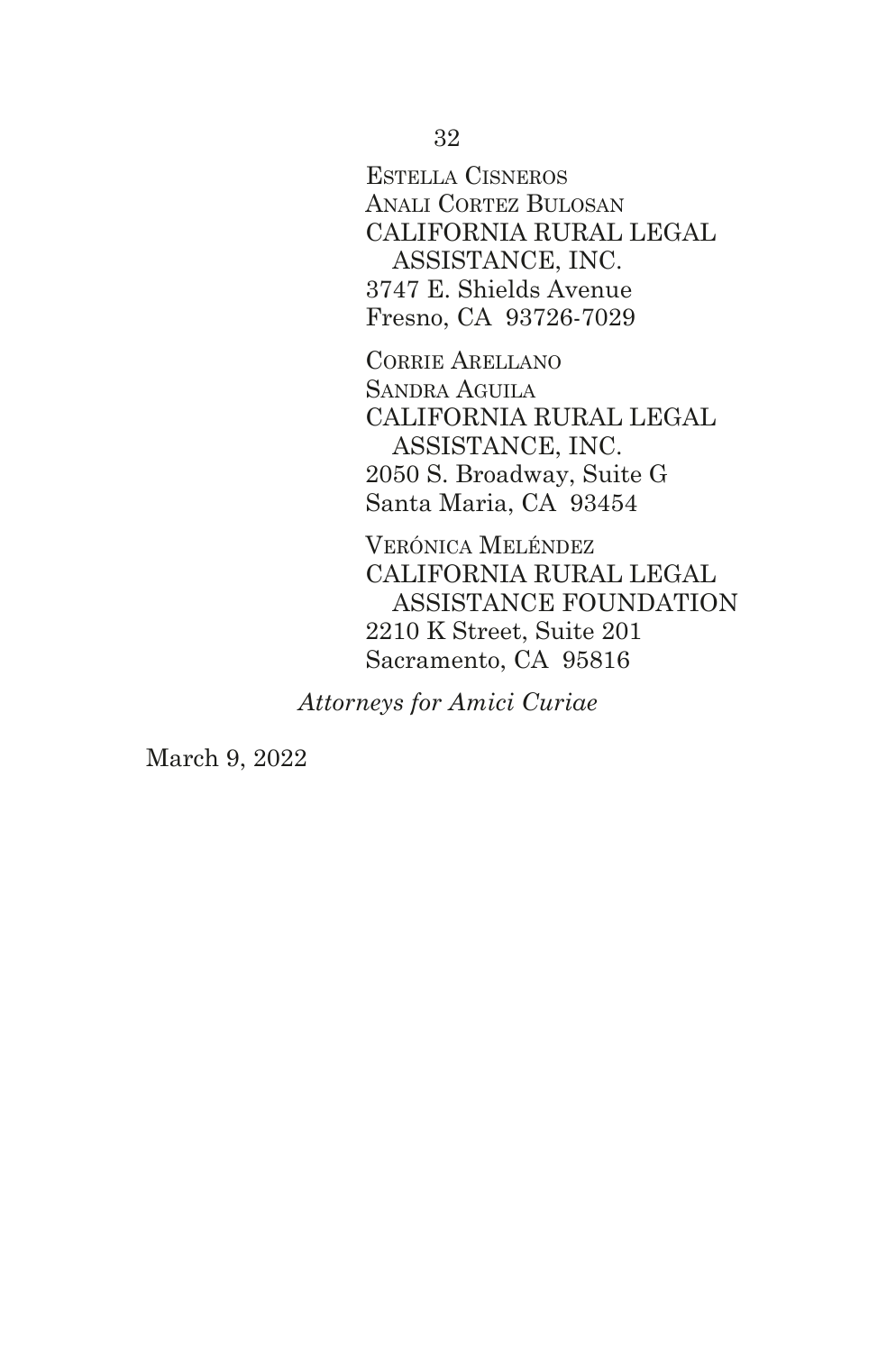EsTellA CIsneros AnAlI CorTez BulosAn CALIFORNIA RURAL LEGAL ASSISTANCE, INC. 3747 E. Shields Avenue Fresno, CA 93726-7029

CorrIe ArellAno SANDRA AGUILA CALIFORNIA RURAL LEGAL ASSISTANCE, INC. 2050 S. Broadway, Suite G Santa Maria, CA 93454

VERÓNICA MELÉNDEZ CALIFORNIA RURAL LEGAL ASSISTANCE FOUNDATION 2210 K Street, Suite 201 Sacramento, CA 95816

*Attorneys for Amici Curiae*

March 9, 2022